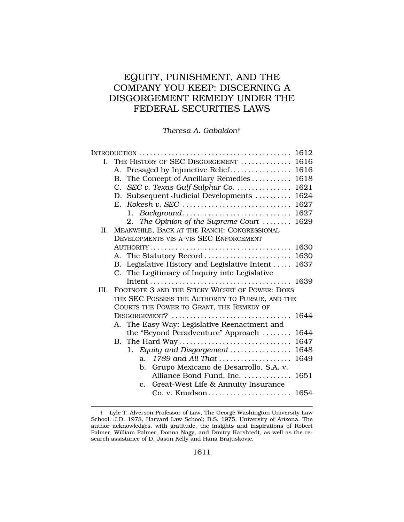# EQUITY, PUNISHMENT, AND THE COMPANY YOU KEEP: DISCERNING A DISGORGEMENT REMEDY UNDER THE FEDERAL SECURITIES LAWS

### *Theresa A. Gabaldon*†

|              | 1612                                                        |  |  |
|--------------|-------------------------------------------------------------|--|--|
| $\mathbf{L}$ | THE HISTORY OF SEC DISGORGEMENT<br>1616                     |  |  |
|              | 1616<br>A. Presaged by Injunctive Relief                    |  |  |
|              | 1618<br>B. The Concept of Ancillary Remedies                |  |  |
|              | 1621<br>C. SEC v. Texas Gulf Sulphur Co.                    |  |  |
|              | D. Subsequent Judicial Developments<br>1624                 |  |  |
|              | 1627                                                        |  |  |
|              | 1627<br>Background<br>$1_{\cdots}$                          |  |  |
|              | 2. The Opinion of the Supreme Court $\ldots \ldots$<br>1629 |  |  |
|              | II. MEANWHILE, BACK AT THE RANCH: CONGRESSIONAL             |  |  |
|              | DEVELOPMENTS VIS-À-VIS SEC ENFORCEMENT                      |  |  |
|              | 1630                                                        |  |  |
|              | A. The Statutory Record<br>1630                             |  |  |
|              | B. Legislative History and Legislative Intent<br>1637       |  |  |
|              | C. The Legitimacy of Inquiry into Legislative               |  |  |
|              |                                                             |  |  |
| III.         | FOOTNOTE 3 AND THE STICKY WICKET OF POWER: DOES             |  |  |
|              | THE SEC POSSESS THE AUTHORITY TO PURSUE, AND THE            |  |  |
|              | COURTS THE POWER TO GRANT, THE REMEDY OF                    |  |  |
|              | DISGORGEMENT?<br>1644                                       |  |  |
|              | A. The Easy Way: Legislative Reenactment and                |  |  |
|              | the "Beyond Peradventure" Approach<br>1644                  |  |  |
|              | 1647<br>B. The Hard Way                                     |  |  |
|              | 1. Equity and Disgorgement<br>1648                          |  |  |
|              | $1789$ and All That<br>1649<br>a <sub>1</sub>               |  |  |
|              | Grupo Mexicano de Desarrollo, S.A. v.<br>b.                 |  |  |
|              | Alliance Bond Fund, Inc.<br>1651                            |  |  |
|              | Great-West Life & Annuity Insurance<br>$\mathbf{c}$ .       |  |  |
|              |                                                             |  |  |

<sup>†</sup> Lyle T. Alverson Professor of Law, The George Washington University Law School. J.D. 1978, Harvard Law School; B.S. 1975, University of Arizona. The author acknowledges, with gratitude, the insights and inspirations of Robert Palmer, William Palmer, Donna Nagy, and Dmitry Karshtedt, as well as the research assistance of D. Jason Kelly and Hana Brajuskovic.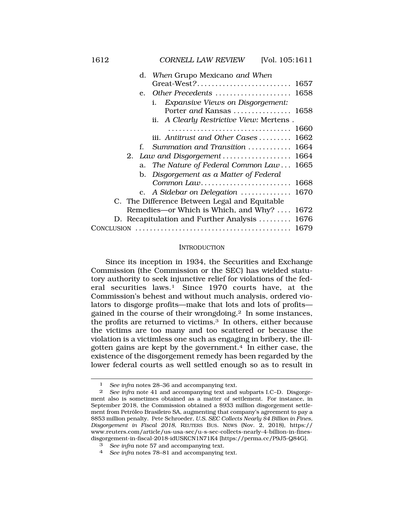<span id="page-1-0"></span>

|    | d. When Grupo Mexicano and When                |
|----|------------------------------------------------|
|    |                                                |
|    | e. Other Precedents<br>1658                    |
|    | <b>Expansive Views on Disgorgement:</b><br>i.  |
|    | Porter and Kansas  1658                        |
|    | ii. A Clearly Restrictive View: Mertens.       |
|    | 1660                                           |
|    | iii. Antitrust and Other Cases<br>1662         |
| f. | Summation and Transition<br>1664               |
|    | 1664<br>2. Law and Disgorgement                |
|    | a. The Nature of Federal Common Law<br>1665    |
|    | b. Disgorgement as a Matter of Federal         |
|    | Common Law<br>1668                             |
|    | 1670<br>c. A Sidebar on Delegation $\ldots$    |
|    | C. The Difference Between Legal and Equitable  |
|    | Remedies—or Which is Which, and Why?<br>1672   |
|    | 1676<br>D. Recapitulation and Further Analysis |
|    | 1679                                           |

#### INTRODUCTION

Since its inception in 1934, the Securities and Exchange Commission (the Commission or the SEC) has wielded statutory authority to seek injunctive relief for violations of the federal securities laws.1 Since 1970 courts have, at the Commission's behest and without much analysis, ordered violators to disgorge profits—make that lots and lots of profits gained in the course of their wrongdoing.2 In some instances, the profits are returned to victims.3 In others, either because the victims are too many and too scattered or because the violation is a victimless one such as engaging in bribery, the illgotten gains are kept by the government.4 In either case, the existence of the disgorgement remedy has been regarded by the lower federal courts as well settled enough so as to result in

<sup>1</sup> *See infra* notes 28–36 and accompanying text.

<sup>2</sup> *See infra* note 41 and accompanying text and subparts I.C–D. Disgorgement also is sometimes obtained as a matter of settlement. For instance, in September 2018, the Commission obtained a \$933 million disgorgement settlement from Petróleo Brasileiro SA, augmenting that company's agreement to pay a \$853 million penalty. Pete Schroeder, *U.S. SEC Collects Nearly \$4 Billion in Fines, Disgorgement in Fiscal 2018*, REUTERS BUS. NEWS (Nov. 2, 2018), https:// <www.reuters.com/article/us-usa-sec/u-s-sec-collects-nearly-4-billion-in-fines>disgorgement-in-fiscal-2018-idUSKCN1N71K4 [[https://perma.cc/P9J5-Q84G\]](https://perma.cc/P9J5-Q84G).

<sup>3</sup> *See infra* note 57 and accompanying text.

<sup>4</sup> *See infra* notes 78–81 and accompanying text.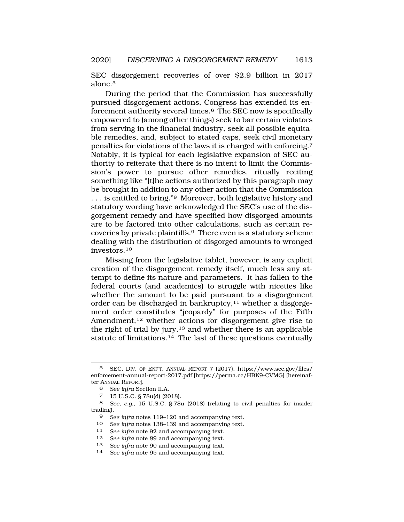SEC disgorgement recoveries of over \$2.9 billion in 2017 alone.5

During the period that the Commission has successfully pursued disgorgement actions, Congress has extended its enforcement authority several times.6 The SEC now is specifically empowered to (among other things) seek to bar certain violators from serving in the financial industry, seek all possible equitable remedies, and, subject to stated caps, seek civil monetary penalties for violations of the laws it is charged with enforcing.7 Notably, it is typical for each legislative expansion of SEC authority to reiterate that there is no intent to limit the Commission's power to pursue other remedies, ritually reciting something like "[t]he actions authorized by this paragraph may be brought in addition to any other action that the Commission ... is entitled to bring."<sup>8</sup> Moreover, both legislative history and statutory wording have acknowledged the SEC's use of the disgorgement remedy and have specified how disgorged amounts are to be factored into other calculations, such as certain recoveries by private plaintiffs.9 There even is a statutory scheme dealing with the distribution of disgorged amounts to wronged [investors.10](https://investors.10)

Missing from the legislative tablet, however, is any explicit creation of the disgorgement remedy itself, much less any attempt to define its nature and parameters. It has fallen to the federal courts (and academics) to struggle with niceties like whether the amount to be paid pursuant to a disgorgement order can be discharged in bankruptcy,<sup>11</sup> whether a disgorgement order constitutes "jeopardy" for purposes of the Fifth Amendment,12 whether actions for disgorgement give rise to the right of trial by jury, $13$  and whether there is an applicable statute of [limitations.14](https://limitations.14) The last of these questions eventually

<sup>5</sup> SEC, DIV. OF ENF'T, ANNUAL REPORT 7 (2017), [https://www.sec.gov/files/](https://www.sec.gov/files) enforcement-annual-report-2017.pdf [\[https://perma.cc/HBK9-CVMG\]](https://perma.cc/HBK9-CVMG) [hereinafter ANNUAL REPORT].

<sup>6</sup> *See infra* Section II.A.

<sup>7 15</sup> U.S.C. § 78u(d) (2018).

<sup>8</sup> *See, e.g.*, 15 U.S.C. § 78u (2018) (relating to civil penalties for insider trading).

<sup>9</sup> *See infra* notes 119–120 and accompanying text.

<sup>10</sup> *See infra* notes 138–139 and accompanying text.<br>11 *See infra* note 92 and accompanying text

<sup>11</sup> *See infra* note 92 and accompanying text.

<sup>12</sup> *See infra note 89 and accompanying text.*<br>13 *See infra note 90 and accompanying text* 

<sup>13</sup> *See infra* note 90 and accompanying text.

See infra note 95 and accompanying text.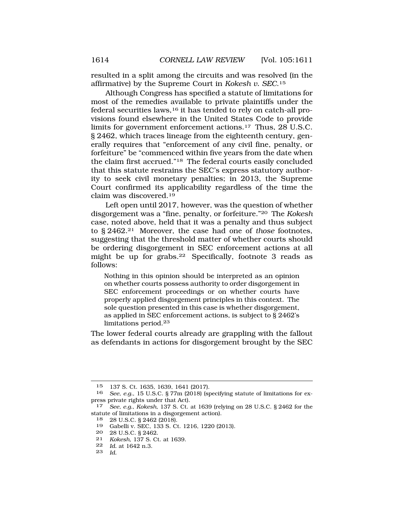resulted in a split among the circuits and was resolved (in the affirmative) by the Supreme Court in *Kokesh v. SEC*.15

Although Congress has specified a statute of limitations for most of the remedies available to private plaintiffs under the federal securities laws,  $16$  it has tended to rely on catch-all provisions found elsewhere in the United States Code to provide limits for government enforcement [actions.17](https://actions.17) Thus, 28 U.S.C. § 2462, which traces lineage from the eighteenth century, generally requires that "enforcement of any civil fine, penalty, or forfeiture" be "commenced within five years from the date when the claim first accrued."18 The federal courts easily concluded that this statute restrains the SEC's express statutory authority to seek civil monetary penalties; in 2013, the Supreme Court confirmed its applicability regardless of the time the claim was [discovered.19](https://discovered.19)

Left open until 2017, however, was the question of whether disgorgement was a "fine, penalty, or forfeiture."20 The *Kokesh*  case, noted above, held that it was a penalty and thus subject to § 2462.21 Moreover, the case had one of *those* footnotes, suggesting that the threshold matter of whether courts should be ordering disgorgement in SEC enforcement actions at all might be up for [grabs.22](https://grabs.22) Specifically, footnote 3 reads as follows:

Nothing in this opinion should be interpreted as an opinion on whether courts possess authority to order disgorgement in SEC enforcement proceedings or on whether courts have properly applied disgorgement principles in this context. The sole question presented in this case is whether disgorgement, as applied in SEC enforcement actions, is subject to § 2462's limitations [period.](https://period.23)<sup>23</sup>

The lower federal courts already are grappling with the fallout as defendants in actions for disgorgement brought by the SEC

<sup>15 137</sup> S. Ct. 1635, 1639, 1641 (2017).<br>16 See e.g. 15 U.S.C. 8.77m (2018) (st.

<sup>16</sup> *See*, *e.g.*, 15 U.S.C. § 77m (2018) (specifying statute of limitations for express private rights under that Act).

<sup>17</sup> *See, e.g.*, *Kokesh*, 137 S. Ct. at 1639 (relying on 28 U.S.C. § 2462 for the statute of limitations in a disgorgement action).

<sup>18 28</sup> U.S.C. § 2462 (2018).

<sup>19</sup> Gabelli v. SEC, 133 S. Ct. 1216, 1220 (2013).

<sup>20 28</sup> U.S.C. § 2462.

<sup>21</sup> *Kokesh*, 137 S. Ct. at 1639.

<sup>22</sup> *Id.* at 1642 n.3.

<sup>23</sup> *Id.*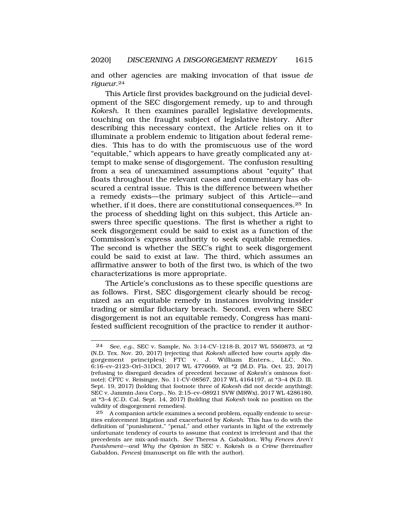and other agencies are making invocation of that issue *de [rigueur](https://rigueur.24)*.24

This Article first provides background on the judicial development of the SEC disgorgement remedy, up to and through *Kokesh*. It then examines parallel legislative developments, touching on the fraught subject of legislative history. After describing this necessary context, the Article relies on it to illuminate a problem endemic to litigation about federal remedies. This has to do with the promiscuous use of the word "equitable," which appears to have greatly complicated any attempt to make sense of disgorgement. The confusion resulting from a sea of unexamined assumptions about "equity" that floats throughout the relevant cases and commentary has obscured a central issue. This is the difference between whether a remedy exists—the primary subject of this Article—and whether, if it does, there are constitutional consequences.<sup>25</sup> In the process of shedding light on this subject, this Article answers three specific questions. The first is whether a right to seek disgorgement could be said to exist as a function of the Commission's express authority to seek equitable remedies. The second is whether the SEC's right to seek disgorgement could be said to exist at law. The third, which assumes an affirmative answer to both of the first two, is which of the two characterizations is more appropriate.

The Article's conclusions as to these specific questions are as follows. First, SEC disgorgement clearly should be recognized as an equitable remedy in instances involving insider trading or similar fiduciary breach. Second, even where SEC disgorgement is not an equitable remedy, Congress has manifested sufficient recognition of the practice to render it author-

<sup>24</sup> *See*, *e.g.*, SEC v. Sample, No. 3:14-CV-1218-B, 2017 WL 5569873, at \*2 (N.D. Tex. Nov. 20, 2017) (rejecting that *Kokesh* affected how courts apply disgorgement principles); FTC v. J. William Enters., LLC, No. 6:16–cv–2123–Orl–31DCI, 2017 WL 4776669, at \*2 (M.D. Fla. Oct. 23, 2017) (refusing to disregard decades of precedent because of *Kokesh's* ominous footnote); CFTC v. Reisinger, No. 11-CV-08567, 2017 WL 4164197, at \*3–4 (N.D. Ill. Sept. 19, 2017) (holding that footnote three of *Kokesh* did not decide anything); SEC v. Jammin Java Corp., No. 2:15–cv–08921 SVW (MRWx), 2017 WL 4286180, at \*3–4 (C.D. Cal. Sept. 14, 2017) (holding that *Kokesh* took no position on the validity of disgorgement remedies).

<sup>25</sup> A companion article examines a second problem, equally endemic to securities enforcement litigation and exacerbated by *Kokesh*. This has to do with the definition of "punishment," "penal," and other variants in light of the extremely unfortunate tendency of courts to assume that context is irrelevant and that the precedents are mix-and-match. *See* Theresa A. Gabaldon, *Why Fences Aren't Punishment—and Why the Opinion in* SEC v. Kokesh *is a Crime* (hereinafter Gabaldon, *Fences*) (manuscript on file with the author).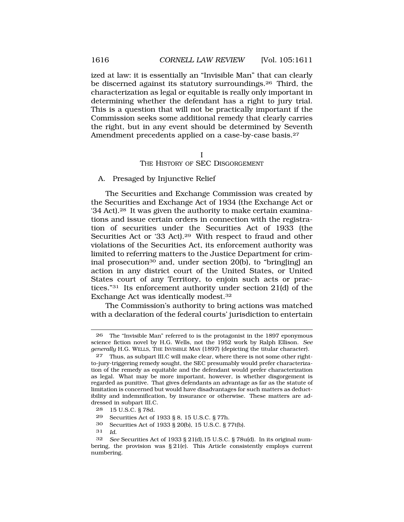ized at law: it is essentially an "Invisible Man" that can clearly be discerned against its statutory [surroundings.26](https://surroundings.26) Third, the characterization as legal or equitable is really only important in determining whether the defendant has a right to jury trial. This is a question that will not be practically important if the Commission seeks some additional remedy that clearly carries the right, but in any event should be determined by Seventh Amendment precedents applied on a case-by-case basis.<sup>27</sup>

#### I THE HISTORY OF SEC DISGORGEMENT

#### A. Presaged by Injunctive Relief

The Securities and Exchange Commission was created by the Securities and Exchange Act of 1934 (the Exchange Act or '34 Act).<sup>28</sup> It was given the authority to make certain examinations and issue certain orders in connection with the registration of securities under the Securities Act of 1933 (the Securities Act or '33 Act).29 With respect to fraud and other violations of the Securities Act, its enforcement authority was limited to referring matters to the Justice Department for criminal prosecution30 and, under section 20(b), to "bring[ing] an action in any district court of the United States, or United States court of any Territory, to enjoin such acts or practices."31 Its enforcement authority under section 21(d) of the Exchange Act was identically [modest.32](https://modest.32)

The Commission's authority to bring actions was matched with a declaration of the federal courts' jurisdiction to entertain

- 30 Securities Act of 1933 § 20(b), 15 U.S.C. § 77t(b).
- 31 *Id.*

<sup>26</sup> The "Invisible Man" referred to is the protagonist in the 1897 eponymous science fiction novel by H.G. Wells, not the 1952 work by Ralph Ellison. *See generally* H.G. WELLS, THE INVISIBLE MAN (1897) (depicting the titular character).

<sup>27</sup> Thus, as subpart III.C will make clear, where there is not some other rightto-jury-triggering remedy sought, the SEC presumably would prefer characterization of the remedy as equitable and the defendant would prefer characterization as legal. What may be more important, however, is whether disgorgement is regarded as punitive. That gives defendants an advantage as far as the statute of limitation is concerned but would have disadvantages for such matters as deductibility and indemnification, by insurance or otherwise. These matters are addressed in subpart III.C.

<sup>28 15</sup> U.S.C. § 78d*.* 

<sup>29</sup> Securities Act of 1933 § 8, 15 U.S.C. § 77h.

<sup>32</sup> *See* Securities Act of 1933 § 21(d),15 U.S.C. § 78u(d). In its original numbering, the provision was  $\S 21(e)$ . This Article consistently employs current numbering.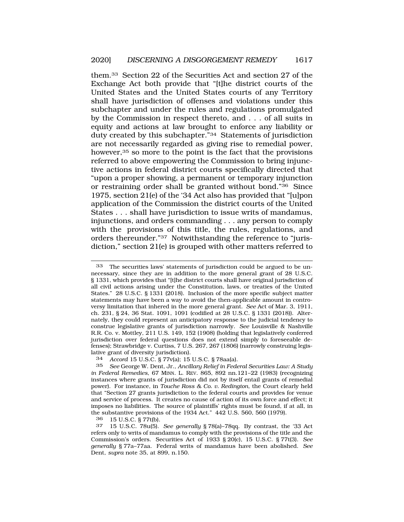them.33 Section 22 of the Securities Act and section 27 of the Exchange Act both provide that "[t]he district courts of the United States and the United States courts of any Territory shall have jurisdiction of offenses and violations under this subchapter and under the rules and regulations promulgated by the Commission in respect thereto, and . . . of all suits in equity and actions at law brought to enforce any liability or duty created by this subchapter."34 Statements of jurisdiction are not necessarily regarded as giving rise to remedial power, however,<sup>35</sup> so more to the point is the fact that the provisions referred to above empowering the Commission to bring injunctive actions in federal district courts specifically directed that "upon a proper showing, a permanent or temporary injunction or restraining order shall be granted without bond."36 Since 1975, section 21(e) of the '34 Act also has provided that "[u]pon application of the Commission the district courts of the United States . . . shall have jurisdiction to issue writs of mandamus, injunctions, and orders commanding . . . any person to comply with the provisions of this title, the rules, regulations, and orders thereunder."37 Notwithstanding the reference to "jurisdiction," section 21(e) is grouped with other matters referred to

33 The securities laws' statements of jurisdiction could be argued to be unnecessary, since they are in addition to the more general grant of 28 U.S.C. § 1331, which provides that "[t]he district courts shall have original jurisdiction of all civil actions arising under the Constitution, laws, or treaties of the United States." 28 U.S.C. § 1331 (2018). Inclusion of the more specific subject matter statements may have been a way to avoid the then-applicable amount in controversy limitation that inhered in the more general grant. *See* Act of Mar. 3, 1911, ch. 231, § 24, 36 Stat. 1091, 1091 (codified at 28 U.S.C. § 1331 (2018)). Alternately, they could represent an anticipatory response to the judicial tendency to construe legislative grants of jurisdiction narrowly. *See* Louisville & Nashville R.R. Co. v. Mottley, 211 U.S. 149, 152 (1908) (holding that legislatively conferred jurisdiction over federal questions does not extend simply to foreseeable defenses); Strawbridge v. Curtiss, 7 U.S. 267, 267 (1806) (narrowly construing legislative grant of diversity jurisdiction).

36 15 U.S.C. § 77t(b).

<sup>34</sup> *Accord* 15 U.S.C. § 77v(a); 15 U.S.C. § 78aa(a).

<sup>35</sup> *See* George W. Dent, Jr., *Ancillary Relief in Federal Securities Law: A Study in Federal Remedies*, 67 MINN. L. REV. 865, 892 nn.121–22 (1983) (recognizing instances where grants of jurisdiction did not by itself entail grants of remedial power). For instance, in *Touche Ross & Co. v. Redington*, the Court clearly held that "Section 27 grants jurisdiction to the federal courts and provides for venue and service of process. It creates no cause of action of its own force and effect; it imposes no liabilities. The source of plaintiffs' rights must be found, if at all, in the substantive provisions of the 1934 Act." 442 U.S. 560, 560 (1979).

<sup>37 15</sup> U.S.C. 78u(5). *See generally* § 78(a)–78qq. By contrast, the '33 Act refers only to writs of mandamus to comply with the provisions of the title and the Commission's orders. Securities Act of 1933 § 20(c), 15 U.S.C. § 77t(3). *See generally* § 77a–77aa. Federal writs of mandamus have been abolished. *See*  Dent, *supra* note 35, at 899, n.150.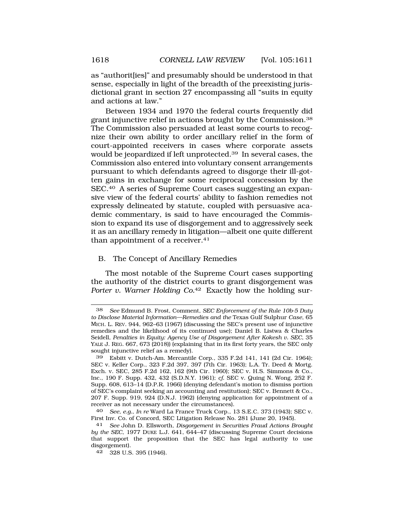<span id="page-7-0"></span>as "authorit[ies]" and presumably should be understood in that sense, especially in light of the breadth of the preexisting jurisdictional grant in section 27 encompassing all "suits in equity and actions at law."

Between 1934 and 1970 the federal courts frequently did grant injunctive relief in actions brought by the [Commission.38](https://Commission.38)  The Commission also persuaded at least some courts to recognize their own ability to order ancillary relief in the form of court-appointed receivers in cases where corporate assets would be jeopardized if left [unprotected.39](https://unprotected.39) In several cases, the Commission also entered into voluntary consent arrangements pursuant to which defendants agreed to disgorge their ill-gotten gains in exchange for some reciprocal concession by the SEC.40 A series of Supreme Court cases suggesting an expansive view of the federal courts' ability to fashion remedies not expressly delineated by statute, coupled with persuasive academic commentary, is said to have encouraged the Commission to expand its use of disgorgement and to aggressively seek it as an ancillary remedy in litigation—albeit one quite different than appointment of a receiver.<sup>41</sup>

#### B. The Concept of Ancillary Remedies

The most notable of the Supreme Court cases supporting the authority of the district courts to grant disgorgement was *Porter v. Warner Holding Co.*42 Exactly how the holding sur-

<sup>38</sup> *See* Edmund B. Frost, Comment, *SEC Enforcement of the Rule 10b-5 Duty to Disclose Material Information—Remedies and the* Texas Gulf Sulphur *Case*, 65 MICH. L. REV. 944, 962–63 (1967) (discussing the SEC's present use of injunctive remedies and the likelihood of its continued use); Daniel B. Listwa & Charles Seidell, *Penalties in Equity: Agency Use of Disgorgement After Kokesh v. SEC*, 35 YALE J. REG. 667, 673 (2018)) (explaining that in its first forty years, the SEC only sought injunctive relief as a remedy).

<sup>39</sup> Esbitt v. Dutch-Am. Mercantile Corp., 335 F.2d 141, 141 (2d Cir. 1964); SEC v. Keller Corp., 323 F.2d 397, 397 (7th Cir. 1963); L.A. Tr. Deed & Mortg. Exch. v. SEC, 285 F.2d 162, 162 (9th Cir. 1960); SEC v. H.S. Simmons & Co., Inc., 190 F. Supp. 432, 432 (S.D.N.Y. 1961); *cf.* SEC v. Quing N. Wong, 252 F. Supp. 608, 613–14 (D.P.R. 1966) (denying defendant's motion to dismiss portion of SEC's complaint seeking an accounting and restitution); SEC v. Bennett & Co., 207 F. Supp. 919, 924 (D.N.J. 1962) (denying application for appointment of a receiver as not necessary under the circumstances).

<sup>40</sup> *See, e.g.*, *In re* Ward La France Truck Corp., 13 S.E.C. 373 (1943); SEC v. First Inv. Co. of Concord, SEC Litigation Release No. 281 (June 20, 1945).

<sup>41</sup> *See* John D. Ellsworth, *Disgorgement in Securities Fraud Actions Brought by the SEC*, 1977 DUKE L.J. 641, 644–47 (discussing Supreme Court decisions that support the proposition that the SEC has legal authority to use disgorgement).

<sup>42 328</sup> U.S. 395 (1946).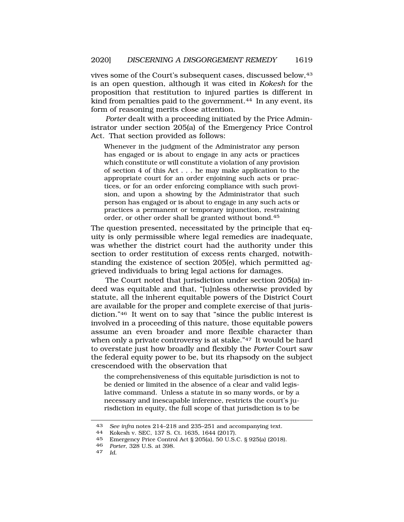vives some of the Court's subsequent cases, discussed below, 43 is an open question, although it was cited in *Kokesh* for the proposition that restitution to injured parties is different in kind from penalties paid to the government.<sup>44</sup> In any event, its form of reasoning merits close attention.

*Porter* dealt with a proceeding initiated by the Price Administrator under section 205(a) of the Emergency Price Control Act. That section provided as follows:

Whenever in the judgment of the Administrator any person has engaged or is about to engage in any acts or practices which constitute or will constitute a violation of any provision of section 4 of this Act . . . he may make application to the appropriate court for an order enjoining such acts or practices, or for an order enforcing compliance with such provision, and upon a showing by the Administrator that such person has engaged or is about to engage in any such acts or practices a permanent or temporary injunction, restraining order, or other order shall be granted without bond.<sup>45</sup>

The question presented, necessitated by the principle that equity is only permissible where legal remedies are inadequate, was whether the district court had the authority under this section to order restitution of excess rents charged, notwithstanding the existence of section 205(e), which permitted aggrieved individuals to bring legal actions for damages.

The Court noted that jurisdiction under section 205(a) indeed was equitable and that, "[u]nless otherwise provided by statute, all the inherent equitable powers of the District Court are available for the proper and complete exercise of that jurisdiction."<sup>46</sup> It went on to say that "since the public interest is involved in a proceeding of this nature, those equitable powers assume an even broader and more flexible character than when only a private controversy is at stake."47 It would be hard to overstate just how broadly and flexibly the *Porter* Court saw the federal equity power to be, but its rhapsody on the subject crescendoed with the observation that

the comprehensiveness of this equitable jurisdiction is not to be denied or limited in the absence of a clear and valid legislative command. Unless a statute in so many words, or by a necessary and inescapable inference, restricts the court's jurisdiction in equity, the full scope of that jurisdiction is to be

<sup>43</sup>*See infra* notes 214–218 and 235–251 and accompanying text. 44 Kokesh v. SEC, 137 S. Ct. 1635, 1644 (2017).

<sup>45</sup> Emergency Price Control Act § 205(a), 50 U.S.C. § 925(a) (2018).

<sup>46</sup>*Porter*, 328 U.S. at 398. 47 *Id.*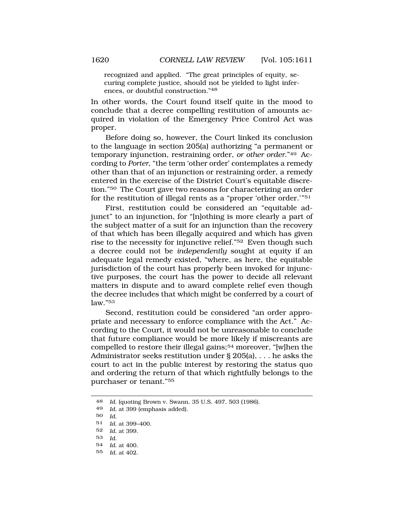recognized and applied. "The great principles of equity, securing complete justice, should not be yielded to light inferences, or doubtful construction."<sup>48</sup>

In other words, the Court found itself quite in the mood to conclude that a decree compelling restitution of amounts acquired in violation of the Emergency Price Control Act was proper.

Before doing so, however, the Court linked its conclusion to the language in section 205(a) authorizing "a permanent or temporary injunction, restraining order, *or other order*."49 According to *Porter*, "the term 'other order' contemplates a remedy other than that of an injunction or restraining order, a remedy entered in the exercise of the District Court's equitable discretion."50 The Court gave two reasons for characterizing an order for the restitution of illegal rents as a "proper 'other order.'"51

First, restitution could be considered an "equitable adjunct" to an injunction, for "[n]othing is more clearly a part of the subject matter of a suit for an injunction than the recovery of that which has been illegally acquired and which has given rise to the necessity for injunctive relief."52 Even though such a decree could not be *independently* sought at equity if an adequate legal remedy existed, "where, as here, the equitable jurisdiction of the court has properly been invoked for injunctive purposes, the court has the power to decide all relevant matters in dispute and to award complete relief even though the decree includes that which might be conferred by a court of law."53

Second, restitution could be considered "an order appropriate and necessary to enforce compliance with the Act." According to the Court, it would not be unreasonable to conclude that future compliance would be more likely if miscreants are compelled to restore their illegal gains;54 moreover, "[w]hen the Administrator seeks restitution under § 205(a), . . . he asks the court to act in the public interest by restoring the status quo and ordering the return of that which rightfully belongs to the purchaser or tenant."55

- 53 *Id.*
- 54 *Id.* at 400.
- 55 *Id.* at 402.

<sup>48</sup> *Id.* (quoting Brown v. Swann, 35 U.S. 497, 503 (1986).

<sup>49</sup> *Id.* at 399 (emphasis added).

<sup>50</sup> *Id.* 

<sup>51</sup> *Id.* at 399–400.

<sup>52</sup> *Id.* at 399.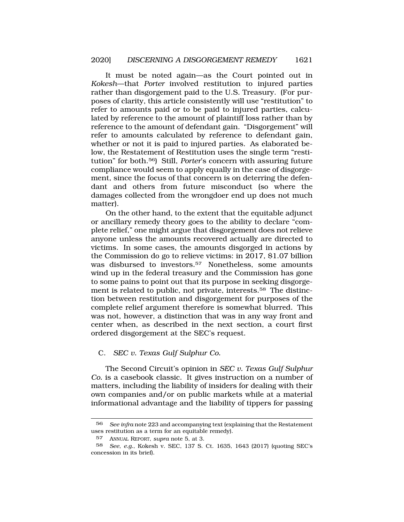<span id="page-10-0"></span>It must be noted again—as the Court pointed out in *Kokesh*—that *Porter* involved restitution to injured parties rather than disgorgement paid to the U.S. Treasury. (For purposes of clarity, this article consistently will use "restitution" to refer to amounts paid or to be paid to injured parties, calculated by reference to the amount of plaintiff loss rather than by reference to the amount of defendant gain. "Disgorgement" will refer to amounts calculated by reference to defendant gain, whether or not it is paid to injured parties. As elaborated below, the Restatement of Restitution uses the single term "restitution" for both.56) Still, *Porter*'s concern with assuring future compliance would seem to apply equally in the case of disgorgement, since the focus of that concern is on deterring the defendant and others from future misconduct (so where the damages collected from the wrongdoer end up does not much matter).

On the other hand, to the extent that the equitable adjunct or ancillary remedy theory goes to the ability to declare "complete relief," one might argue that disgorgement does not relieve anyone unless the amounts recovered actually are directed to victims. In some cases, the amounts disgorged in actions by the Commission do go to relieve victims: in 2017, \$1.07 billion was disbursed to investors.<sup>57</sup> Nonetheless, some amounts wind up in the federal treasury and the Commission has gone to some pains to point out that its purpose in seeking disgorgement is related to public, not private, [interests.58](https://interests.58) The distinction between restitution and disgorgement for purposes of the complete relief argument therefore is somewhat blurred. This was not, however, a distinction that was in any way front and center when, as described in the next section, a court first ordered disgorgement at the SEC's request.

#### C. *SEC v. Texas Gulf Sulphur Co.*

The Second Circuit's opinion in *SEC v. Texas Gulf Sulphur Co.* is a casebook classic. It gives instruction on a number of matters, including the liability of insiders for dealing with their own companies and/or on public markets while at a material informational advantage and the liability of tippers for passing

<sup>56</sup> *See infra* note 223 and accompanying text (explaining that the Restatement uses restitution as a term for an equitable remedy).

<sup>57</sup> ANNUAL REPORT, *supra* note 5, at 3.

<sup>58</sup> *See*, *e.g.*, Kokesh v. SEC, 137 S. Ct. 1635, 1643 (2017) (quoting SEC's concession in its brief).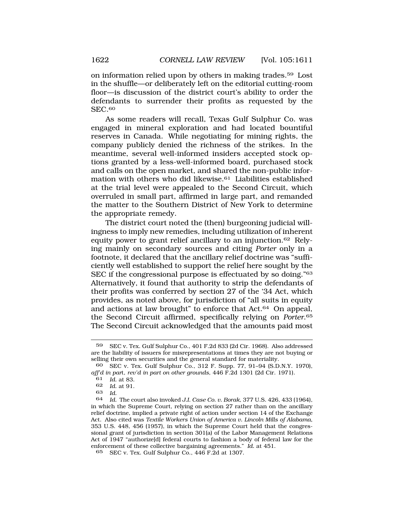on information relied upon by others in making [trades.59](https://trades.59) Lost in the shuffle—or deliberately left on the editorial cutting-room floor—is discussion of the district court's ability to order the defendants to surrender their profits as requested by the SEC.60

As some readers will recall, Texas Gulf Sulphur Co. was engaged in mineral exploration and had located bountiful reserves in Canada. While negotiating for mining rights, the company publicly denied the richness of the strikes. In the meantime, several well-informed insiders accepted stock options granted by a less-well-informed board, purchased stock and calls on the open market, and shared the non-public information with others who did [likewise.61](https://likewise.61) Liabilities established at the trial level were appealed to the Second Circuit, which overruled in small part, affirmed in large part, and remanded the matter to the Southern District of New York to determine the appropriate remedy.

The district court noted the (then) burgeoning judicial willingness to imply new remedies, including utilization of inherent equity power to grant relief ancillary to an [injunction.62](https://injunction.62) Relying mainly on secondary sources and citing *Porter* only in a footnote, it declared that the ancillary relief doctrine was "sufficiently well established to support the relief here sought by the SEC if the congressional purpose is effectuated by so doing."63 Alternatively, it found that authority to strip the defendants of their profits was conferred by section 27 of the '34 Act, which provides, as noted above, for jurisdiction of "all suits in equity and actions at law brought" to enforce that Act.64 On appeal, the Second Circuit affirmed, specifically relying on *[Porter](https://Porter.65)*.65 The Second Circuit acknowledged that the amounts paid most

<sup>59</sup> SEC v. Tex. Gulf Sulphur Co., 401 F.2d 833 (2d Cir. 1968). Also addressed are the liability of issuers for misrepresentations at times they are not buying or selling their own securities and the general standard for materiality.

<sup>60</sup> SEC v. Tex. Gulf Sulphur Co., 312 F. Supp. 77, 91–94 (S.D.N.Y. 1970), *aff'd in par*t, *rev'd in part on other grounds*, 446 F.2d 1301 (2d Cir. 1971).

<sup>61</sup> *Id.* at 83.

<sup>62</sup> *Id.* at 91.

<sup>63</sup> *Id.* 

<sup>64</sup> *Id.* The court also invoked *J.I. Case Co. v. Borak*, 377 U.S. 426, 433 (1964), in which the Supreme Court, relying on section 27 rather than on the ancillary relief doctrine, implied a private right of action under section 14 of the Exchange Act. Also cited was *Textile Workers Union of America v. Lincoln Mills of Alabama*, 353 U.S. 448, 456 (1957), in which the Supreme Court held that the congressional grant of jurisdiction in section 301(a) of the Labor Management Relations Act of 1947 "authorize[d] federal courts to fashion a body of federal law for the enforcement of these collective bargaining agreements." *Id.* at 451.

<sup>65</sup> SEC v. Tex. Gulf Sulphur Co., 446 F.2d at 1307.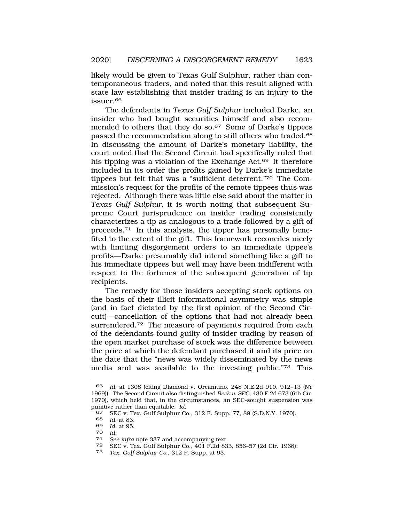likely would be given to Texas Gulf Sulphur, rather than contemporaneous traders, and noted that this result aligned with state law establishing that insider trading is an injury to the [issuer.66](https://issuer.66)

The defendants in *Texas Gulf Sulphur* included Darke, an insider who had bought securities himself and also recommended to others that they do so.<sup>67</sup> Some of Darke's tippees passed the recommendation along to still others who [traded.68](https://traded.68)  In discussing the amount of Darke's monetary liability, the court noted that the Second Circuit had specifically ruled that his tipping was a violation of the Exchange Act.<sup>69</sup> It therefore included in its order the profits gained by Darke's immediate tippees but felt that was a "sufficient deterrent."70 The Commission's request for the profits of the remote tippees thus was rejected. Although there was little else said about the matter in *Texas Gulf Sulphur*, it is worth noting that subsequent Supreme Court jurisprudence on insider trading consistently characterizes a tip as analogous to a trade followed by a gift of [proceeds.71](https://proceeds.71) In this analysis, the tipper has personally benefited to the extent of the gift. This framework reconciles nicely with limiting disgorgement orders to an immediate tippee's profits—Darke presumably did intend something like a gift to his immediate tippees but well may have been indifferent with respect to the fortunes of the subsequent generation of tip recipients.

The remedy for those insiders accepting stock options on the basis of their illicit informational asymmetry was simple (and in fact dictated by the first opinion of the Second Circuit)—cancellation of the options that had not already been surrendered.<sup>72</sup> The measure of payments required from each of the defendants found guilty of insider trading by reason of the open market purchase of stock was the difference between the price at which the defendant purchased it and its price on the date that the "news was widely disseminated by the news media and was available to the investing public."73 This

73 *Tex. Gulf Sulphur Co.*, 312 F. Supp. at 93.

<sup>66</sup> *Id.* at 1308 (citing Diamond v. Oreamuno, 248 N.E.2d 910, 912–13 (NY 1969)). The Second Circuit also distinguished *Beck v. SEC*, 430 F.2d 673 (6th Cir. 1970), which held that, in the circumstances, an SEC-sought suspension was punitive rather than equitable. *Id.* 

<sup>67</sup> SEC v. Tex. Gulf Sulphur Co., 312 F. Supp. 77, 89 (S.D.N.Y. 1970).<br>68 Id. at 83

*Id.* at 83.

<sup>69</sup> *Id.* at 95.

<sup>70</sup>*Id.* 71 *See infra* note 337 and accompanying text.

<sup>72</sup> SEC v. Tex. Gulf Sulphur Co.,  $401$  F.2d 833, 856–57 (2d Cir. 1968).<br>73 Tex. Gulf Sulphur Co.,  $312$  F. Supp. at 93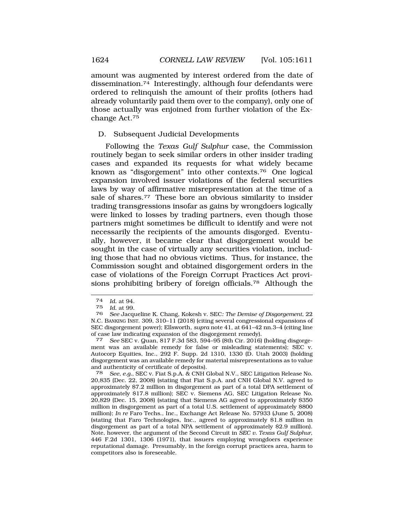amount was augmented by interest ordered from the date of [dissemination.74](https://dissemination.74) Interestingly, although four defendants were ordered to relinquish the amount of their profits (others had already voluntarily paid them over to the company), only one of those actually was enjoined from further violation of the Exchange Act.75

# D. Subsequent Judicial Developments

Following the *Texas Gulf Sulphur* case, the Commission routinely began to seek similar orders in other insider trading cases and expanded its requests for what widely became known as "disgorgement" into other [contexts.76](https://contexts.76) One logical expansion involved issuer violations of the federal securities laws by way of affirmative misrepresentation at the time of a sale of [shares.77](https://shares.77) These bore an obvious similarity to insider trading transgressions insofar as gains by wrongdoers logically were linked to losses by trading partners, even though those partners might sometimes be difficult to identify and were not necessarily the recipients of the amounts disgorged. Eventually, however, it became clear that disgorgement would be sought in the case of virtually any securities violation, including those that had no obvious victims. Thus, for instance, the Commission sought and obtained disgorgement orders in the case of violations of the Foreign Corrupt Practices Act provisions prohibiting bribery of foreign [officials.78](https://officials.78) Although the

77 *See* SEC v. Quan, 817 F.3d 583, 594–95 (8th Cir. 2016) (holding disgorgement was an available remedy for false or misleading statements); SEC v. Autocorp Equities, Inc., 292 F. Supp. 2d 1310, 1330 (D. Utah 2003) (holding disgorgement was an available remedy for material misrepresentations as to value and authenticity of certificate of deposits).

78 *See, e.g.*, SEC v. Fiat S.p.A. & CNH Global N.V., SEC Litigation Release No. 20,835 (Dec. 22, 2008) (stating that Fiat S.p.A. and CNH Global N.V. agreed to approximately \$7.2 million in disgorgement as part of a total DPA settlement of approximately \$17.8 million); SEC v. Siemens AG, SEC Litigation Release No. 20,829 (Dec. 15, 2008) (stating that Siemens AG agreed to approximately \$350 million in disgorgement as part of a total U.S. settlement of approximately \$800 million); *In re* Faro Techs., Inc., Exchange Act Release No. 57933 (June 5, 2008) (stating that Faro Technologies, Inc., agreed to approximately \$1.8 million in disgorgement as part of a total NPA settlement of approximately \$2.9 million). Note, however, the argument of the Second Circuit in *SEC v. Texas Gulf Sulphur*, 446 F.2d 1301, 1306 (1971), that issuers employing wrongdoers experience reputational damage. Presumably, in the foreign corrupt practices area, harm to competitors also is foreseeable.

<sup>74</sup> *Id.* at 94.

<sup>75</sup> *Id.* at 99.

<sup>76</sup> *See* Jacqueline K. Chang, Kokesh v. SEC*: The Demise of Disgorgement*, 22 N.C. BANKING INST. 309, 310–11 (2018) (citing several congressional expansions of SEC disgorgement power); Ellsworth, *supra* note 41, at 641–42 nn.3–4 (citing line of case law indicating expansion of the disgorgement remedy).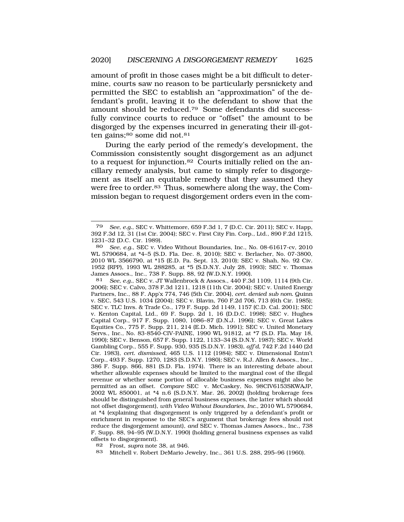amount of profit in those cases might be a bit difficult to determine, courts saw no reason to be particularly persnickety and permitted the SEC to establish an "approximation" of the defendant's profit, leaving it to the defendant to show that the amount should be [reduced.79](https://reduced.79) Some defendants did successfully convince courts to reduce or "offset" the amount to be disgorged by the expenses incurred in generating their ill-gotten gains; $80$  some did not.  $81$ 

During the early period of the remedy's development, the Commission consistently sought disgorgement as an adjunct to a request for [injunction.82](https://injunction.82) Courts initially relied on the ancillary remedy analysis, but came to simply refer to disgorgement as itself an equitable remedy that they assumed they were free to order.<sup>83</sup> Thus, somewhere along the way, the Commission began to request disgorgement orders even in the com-

81 *See, e.g.*, SEC v. JT Wallenbrock & Assocs., 440 F.3d 1109, 1114 (9th Cir. 2006); SEC v. Calvo, 378 F.3d 1211, 1218 (11th Cir. 2004); SEC v. United Energy Partners, Inc., 88 F. App'x 774, 746 (5th Cir. 2004)*, cert. denied sub nom.* Quinn v. SEC, 543 U.S. 1034 (2004); SEC v. Blavin, 760 F.2d 706, 713 (6th Cir. 1985); SEC v. TLC Invs. & Trade Co., 179 F. Supp. 2d 1149, 1157 (C.D. Cal. 2001); SEC v. Kenton Capital, Ltd., 69 F. Supp. 2d 1, 16 (D.D.C. 1998); SEC v. Hughes Capital Corp., 917 F. Supp. 1080, 1086–87 (D.N.J. 1996); SEC v. Great Lakes Equities Co., 775 F. Supp. 211, 214 (E.D. Mich. 1991); SEC v. United Monetary Servs., Inc.*,* No. 83-8540-CIV-PAINE, 1990 WL 91812, at \*7 (S.D. Fla. May 18, 1990); SEC v. Benson*,* 657 F. Supp. 1122, 1133–34 (S.D.N.Y. 1987); SEC v. World Gambling Corp., 555 F. Supp. 930, 935 (S.D.N.Y. 1983), *aff'd*, 742 F.2d 1440 (2d Cir. 1983), *cert. dismissed*, 465 U.S. 1112 (1984); SEC v. Dimensional Entm't Corp., 493 F. Supp. 1270, 1283 (S.D.N.Y. 1980)*;* SEC v. R.J. Allen & Assocs., Inc., 386 F. Supp. 866, 881 (S.D. Fla. 1974). There is an interesting debate about whether allowable expenses should be limited to the marginal cost of the illegal revenue or whether some portion of allocable business expenses might also be permitted as an offset. *Compare* SEC v. McCaskey, No. 98CIV6153SKWAJP, 2002 WL 850001, at \*4 n.6 (S.D.N.Y. Mar. 26, 2002) (holding brokerage fees should be distinguished from general business expenses, the latter which should not offset disgorgement), *with Video Without Boundaries, Inc.*, 2010 WL 5790684, at \*4 (explaining that disgorgement is only triggered by a defendant's profit or enrichment in response to the SEC's argument that brokerage fees should not reduce the disgorgement amount), *and* SEC v. Thomas James Assocs., Inc., 738 F. Supp. 88, 94–95 (W.D.N.Y. 1990) (holding general business expenses as valid offsets to disgorgement).

82 Frost, *supra* note 38, at 946.

<sup>79</sup> *See, e.g.*, SEC v. Whittemore, 659 F.3d 1, 7 (D.C. Cir. 2011); SEC v. Happ, 392 F.3d 12, 31 (1st Cir. 2004); SEC v. First City Fin. Corp., Ltd., 890 F.2d 1215, 1231–32 (D.C. Cir. 1989).

<sup>80</sup> *See, e.g.*, SEC v. Video Without Boundaries, Inc., No. 08-61617-cv, 2010 WL 5790684, at \*4–5 (S.D. Fla. Dec. 8, 2010); SEC v. Berlacher, No. 07-3800, 2010 WL 3566790, at \*15 (E.D. Pa. Sept. 13, 2010); SEC v. Shah, No. 92 Civ. 1952 (RPP), 1993 WL 288285, at \*5 (S.D.N.Y. July 28, 1993); SEC v. Thomas James Assocs., Inc., 738 F. Supp. 88, 92 (W.D.N.Y. 1990).

<sup>83</sup> Mitchell v. Robert DeMario Jewelry, Inc., 361 U.S. 288, 295–96 (1960).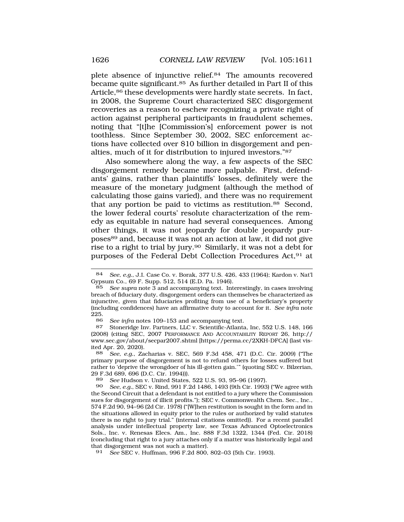plete absence of injunctive [relief.84](https://relief.84) The amounts recovered became quite [significant.85](https://significant.85) As further detailed in Part II of this Article,<sup>86</sup> these developments were hardly state secrets. In fact, in 2008, the Supreme Court characterized SEC disgorgement recoveries as a reason to eschew recognizing a private right of action against peripheral participants in fraudulent schemes, noting that "[t]he [Commission's] enforcement power is not toothless. Since September 30, 2002, SEC enforcement actions have collected over \$10 billion in disgorgement and penalties, much of it for distribution to injured investors."87

Also somewhere along the way, a few aspects of the SEC disgorgement remedy became more palpable. First, defendants' gains, rather than plaintiffs' losses, definitely were the measure of the monetary judgment (although the method of calculating those gains varied), and there was no requirement that any portion be paid to victims as [restitution.88](https://restitution.88) Second, the lower federal courts' resolute characterization of the remedy as equitable in nature had several consequences. Among other things, it was not jeopardy for double jeopardy purposes89 and, because it was not an action at law, it did not give rise to a right to trial by jury.90 Similarly, it was not a debt for purposes of the Federal Debt Collection Procedures Act,91 at

<sup>84</sup> *See, e.g.*, J.I. Case Co. v. Borak, 377 U.S. 426, 433 (1964); Kardon v. Nat'l Gypsum Co., 69 F. Supp. 512, 514 (E.D. Pa. 1946).

See supra note 3 and accompanying text. Interestingly, in cases involving breach of fiduciary duty, disgorgement orders can themselves be characterized as injunctive, given that fiduciaries profiting from use of a beneficiary's property (including confidences) have an affirmative duty to account for it. *See infra* note  $\frac{225}{86}$ 

<sup>86</sup> *See infra* notes 109–153 and accompanying text.<br>87 Stoneridge Inv. Partners **ILC v. Scientific-Atlants** 

Stoneridge Inv. Partners, LLC v. Scientific-Atlanta, Inc, 552 U.S. 148, 166 (2008) (citing SEC, 2007 PERFORMANCE AND ACCOUNTABILITY REPORT 26, http:// <www.sec.gov/about/secpar2007.shtml> [\[https://perma.cc/2XKH-DFCA](https://perma.cc/2XKH-DFCA)] (last visited Apr. 20, 2020).<br>88 See, e.g., Za

<sup>88</sup> *See, e.g.*, Zacharias v. SEC, 569 F.3d 458, 471 (D.C. Cir. 2009) ("The primary purpose of disgorgement is not to refund others for losses suffered but rather to 'deprive the wrongdoer of his ill-gotten gain.'" (quoting SEC v. Bilzerian, 29 F.3d 689, 696 (D.C. Cir. 1994))).

<sup>89</sup> *See* Hudson v. United States, 522 U.S. 93, 95–96 (1997).

<sup>90</sup> *See, e.g.*, SEC v. Rind, 991 F.2d 1486, 1493 (9th Cir. 1993) ("We agree with the Second Circuit that a defendant is not entitled to a jury where the Commission sues for disgorgement of illicit profits."); SEC v. Commonwealth Chem. Sec., Inc., 574 F.2d 90, 94–96 (2d Cir. 1978) ("[W]hen restitution is sought in the form and in the situations allowed in equity prior to the rules or authorized by valid statutes there is no right to jury trial." (internal citations omitted)). For a recent parallel analysis under intellectual property law, see Texas Advanced Optoelectronics Sols., Inc. v. Renesas Elecs. Am., Inc. 888 F.3d 1322, 1344 (Fed. Cir. 2018) (concluding that right to a jury attaches only if a matter was historically legal and that disgorgement was not such a matter).<br>91 See SEC v. Huffman, 996 F.2d 800.

<sup>91</sup> *See* SEC v. Huffman, 996 F.2d 800, 802–03 (5th Cir. 1993).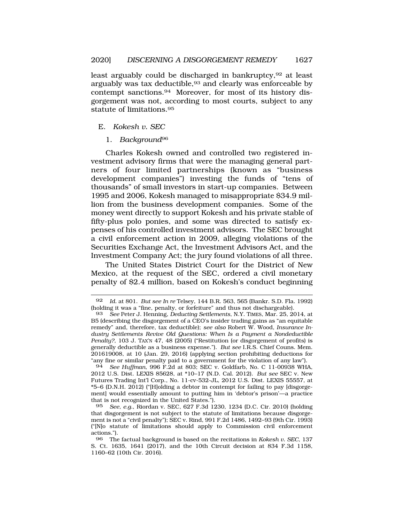<span id="page-16-0"></span>least arguably could be discharged in bankruptcy, <sup>92</sup> at least arguably was tax deductible, <sup>93</sup> and clearly was enforceable by contempt [sanctions.94](https://sanctions.94) Moreover, for most of its history disgorgement was not, according to most courts, subject to any statute of [limitations.95](https://limitations.95)

E. *Kokesh v. SEC* 

1. *Background*<sup>96</sup>

Charles Kokesh owned and controlled two registered investment advisory firms that were the managing general partners of four limited partnerships (known as "business development companies") investing the funds of "tens of thousands" of small investors in start-up companies. Between 1995 and 2006, Kokesh managed to misappropriate \$34.9 million from the business development companies. Some of the money went directly to support Kokesh and his private stable of fifty-plus polo ponies, and some was directed to satisfy expenses of his controlled investment advisors. The SEC brought a civil enforcement action in 2009, alleging violations of the Securities Exchange Act, the Investment Advisors Act, and the Investment Company Act; the jury found violations of all three.

The United States District Court for the District of New Mexico, at the request of the SEC, ordered a civil monetary penalty of \$2.4 million, based on Kokesh's conduct beginning

<sup>92</sup> *Id.* at 801. *But see In re* Telsey, 144 B.R. 563, 565 (Bankr. S.D. Fla. 1992) (holding it was a "fine, penalty, or forfeiture" and thus not dischargeable).

<sup>93</sup> *See* Peter J. Henning, *Deducting Settlements*, N.Y. TIMES, Mar. 25, 2014, at B5 (describing the disgorgement of a CEO's insider trading gains as "an equitable remedy" and, therefore, tax deductible); *see also* Robert W. Wood, *Insurance Industry Settlements Revive Old Questions: When Is a Payment a Nondeductible Penalty?*, 103 J. TAX'N 47, 48 (2005) ("Restitution (or disgorgement of profits) is generally deductible as a business expense."). *But see* I.R.S. Chief Couns. Mem. 201619008, at 10 (Jan. 29, 2016) (applying section prohibiting deductions for "any fine or similar penalty paid to a government for the violation of any law").

<sup>94</sup> *See Huffman*, 996 F.2d at 803; SEC v. Goldfarb, No. C 11-00938 WHA, 2012 U.S. Dist. LEXIS 85628, at \*10–17 (N.D. Cal. 2012). *But see* SEC v. New Futures Trading Int'l Corp., No. 11-cv-532-JL, 2012 U.S. Dist. LEXIS 55557, at \*5–6 (D.N.H. 2012) ("[H]olding a debtor in contempt for failing to pay [disgorgement] would essentially amount to putting him in 'debtor's prison'—a practice that is not recognized in the United States.").

<sup>95</sup> *See, e.g.*, Riordan v. SEC, 627 F.3d 1230, 1234 (D.C. Cir. 2010) (holding that disgorgement is not subject to the statute of limitations because disgorgement is not a "civil penalty"); SEC v. Rind, 991 F.2d 1486, 1492–93 (9th Cir. 1993) ("[N]o statute of limitations should apply to Commission civil enforcement actions.").

<sup>96</sup> The factual background is based on the recitations in *Kokesh v. SEC*, 137 S. Ct. 1635, 1641 (2017), and the 10th Circuit decision at 834 F.3d 1158, 1160–62 (10th Cir. 2016).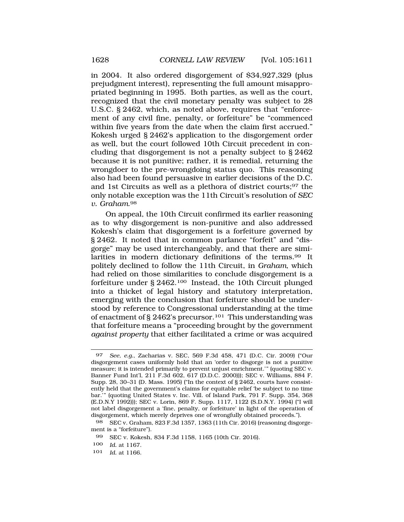in 2004. It also ordered disgorgement of \$34,927,329 (plus prejudgment interest), representing the full amount misappropriated beginning in 1995. Both parties, as well as the court, recognized that the civil monetary penalty was subject to 28 U.S.C. § 2462, which, as noted above, requires that "enforcement of any civil fine, penalty, or forfeiture" be "commenced within five years from the date when the claim first accrued." Kokesh urged § 2462's application to the disgorgement order as well, but the court followed 10th Circuit precedent in concluding that disgorgement is not a penalty subject to § 2462 because it is not punitive; rather, it is remedial, returning the wrongdoer to the pre-wrongdoing status quo. This reasoning also had been found persuasive in earlier decisions of the D.C. and 1st Circuits as well as a plethora of district courts;97 the only notable exception was the 11th Circuit's resolution of *SEC v. [Graham](https://Graham.98)*.98

On appeal, the 10th Circuit confirmed its earlier reasoning as to why disgorgement is non-punitive and also addressed Kokesh's claim that disgorgement is a forfeiture governed by § 2462. It noted that in common parlance "forfeit" and "disgorge" may be used interchangeably, and that there are similarities in modern dictionary definitions of the [terms.99](https://terms.99) It politely declined to follow the 11th Circuit, in *Graham*, which had relied on those similarities to conclude disgorgement is a forfeiture under § 2462.100 Instead, the 10th Circuit plunged into a thicket of legal history and statutory interpretation, emerging with the conclusion that forfeiture should be understood by reference to Congressional understanding at the time of enactment of § 2462's precursor.101 This understanding was that forfeiture means a "proceeding brought by the government *against property* that either facilitated a crime or was acquired

100 *Id.* at 1167.

<sup>97</sup> *See, e.g.*, Zacharias v. SEC, 569 F.3d 458, 471 (D.C. Cir. 2009) ("Our disgorgement cases uniformly hold that an 'order to disgorge is not a punitive measure; it is intended primarily to prevent unjust enrichment.'" (quoting SEC v. Banner Fund Int'l, 211 F.3d 602, 617 (D.D.C. 2000))); SEC v. Williams, 884 F. Supp. 28, 30–31 (D. Mass. 1995) ("In the context of § 2462, courts have consistently held that the government's claims for equitable relief 'be subject to no time bar.'" (quoting United States v. Inc. Vill. of Island Park, 791 F. Supp. 354, 368 (E.D.N.Y 1992))); SEC v. Lorin, 869 F. Supp. 1117, 1122 (S.D.N.Y. 1994) ("I will not label disgorgement a 'fine, penalty, or forfeiture' in light of the operation of disgorgement, which merely deprives one of wrongfully obtained proceeds.").

<sup>98</sup> SEC v. Graham, 823 F.3d 1357, 1363 (11th Cir. 2016) (reasoning disgorgement is a "forfeiture").

<sup>99</sup> SEC v. Kokesh, 834 F.3d 1158, 1165 (10th Cir. 2016).

<sup>101</sup> *Id.* at 1166.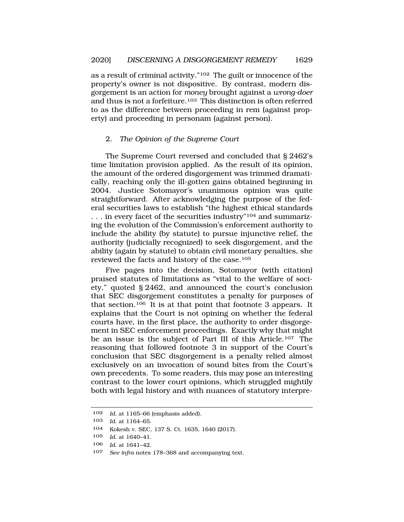<span id="page-18-0"></span>as a result of criminal activity."102 The guilt or innocence of the property's owner is not dispositive. By contrast, modern disgorgement is an action for *money* brought against a *wrong-doer*  and thus is not a forfeiture.<sup>103</sup> This distinction is often referred to as the difference between proceeding in rem (against property) and proceeding in personam (against person).

### 2. *The Opinion of the Supreme Court*

The Supreme Court reversed and concluded that § 2462's time limitation provision applied. As the result of its opinion, the amount of the ordered disgorgement was trimmed dramatically, reaching only the ill-gotten gains obtained beginning in 2004. Justice Sotomayor's unanimous opinion was quite straightforward. After acknowledging the purpose of the federal securities laws to establish "the highest ethical standards . . . in every facet of the securities industry"104 and summarizing the evolution of the Commission's enforcement authority to include the ability (by statute) to pursue injunctive relief, the authority (judicially recognized) to seek disgorgement, and the ability (again by statute) to obtain civil monetary penalties, she reviewed the facts and history of the case.105

Five pages into the decision, Sotomayor (with citation) praised statutes of limitations as "vital to the welfare of society," quoted § 2462, and announced the court's conclusion that SEC disgorgement constitutes a penalty for purposes of that section.106 It is at that point that footnote 3 appears. It explains that the Court is not opining on whether the federal courts have, in the first place, the authority to order disgorgement in SEC enforcement proceedings. Exactly why that might be an issue is the subject of Part III of this Article.107 The reasoning that followed footnote 3 in support of the Court's conclusion that SEC disgorgement is a penalty relied almost exclusively on an invocation of sound bites from the Court's own precedents. To some readers, this may pose an interesting contrast to the lower court opinions, which struggled mightily both with legal history and with nuances of statutory interpre-

<sup>102</sup> *Id.* at 1165–66 (emphasis added).

<sup>103</sup> *Id.* at 1164–65.

<sup>104</sup> Kokesh v. SEC, 137 S. Ct. 1635, 1640 (2017).

<sup>105</sup> *Id.* at 1640–41.

<sup>106</sup> *Id.* at 1641–42.

<sup>107</sup> *See infra* notes 178–368 and accompanying text.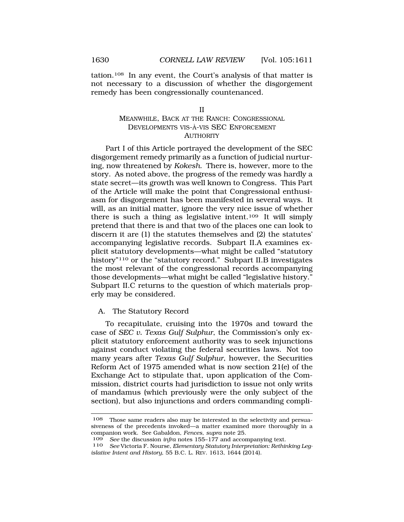<span id="page-19-0"></span>tation.108 In any event, the Court's analysis of that matter is not necessary to a discussion of whether the disgorgement remedy has been congressionally countenanced.

#### II

# MEANWHILE, BACK AT THE RANCH: CONGRESSIONAL DEVELOPMENTS VIS-À-VIS SEC ENFORCEMENT **AUTHORITY**

Part I of this Article portrayed the development of the SEC disgorgement remedy primarily as a function of judicial nurturing, now threatened by *Kokesh*. There is, however, more to the story. As noted above, the progress of the remedy was hardly a state secret—its growth was well known to Congress. This Part of the Article will make the point that Congressional enthusiasm for disgorgement has been manifested in several ways. It will, as an initial matter, ignore the very nice issue of whether there is such a thing as legislative intent.109 It will simply pretend that there is and that two of the places one can look to discern it are (1) the statutes themselves and (2) the statutes' accompanying legislative records. Subpart II.A examines explicit statutory developments—what might be called "statutory history"110 or the "statutory record." Subpart II.B investigates the most relevant of the congressional records accompanying those developments—what might be called "legislative history." Subpart II.C returns to the question of which materials properly may be considered.

# A. The Statutory Record

To recapitulate, cruising into the 1970s and toward the case of *SEC v. Texas Gulf Sulphur*, the Commission's only explicit statutory enforcement authority was to seek injunctions against conduct violating the federal securities laws. Not too many years after *Texas Gulf Sulphur*, however, the Securities Reform Act of 1975 amended what is now section 21(e) of the Exchange Act to stipulate that, upon application of the Commission, district courts had jurisdiction to issue not only writs of mandamus (which previously were the only subject of the section), but also injunctions and orders commanding compli-

<sup>108</sup> Those same readers also may be interested in the selectivity and persuasiveness of the precedents invoked—a matter examined more thoroughly in a companion work. See Gabaldon, *Fences*, *supra* note 25.

<sup>109</sup> *See* the discussion *infra* notes 155–177 and accompanying text.

<sup>110</sup> *See* Victoria F. Nourse, *Elementary Statutory Interpretation: Rethinking Legislative Intent and History*, 55 B.C. L. REV. 1613, 1644 (2014).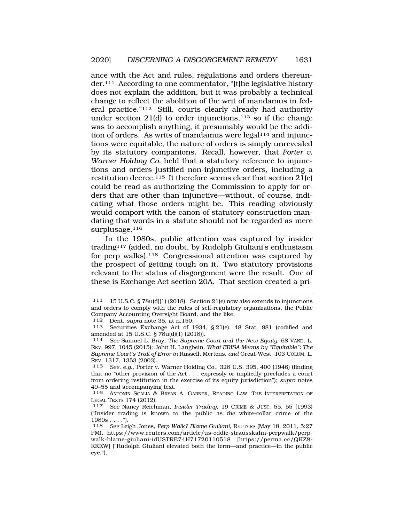ance with the Act and rules, regulations and orders thereunder.111 According to one commentator, "[t]he legislative history does not explain the addition, but it was probably a technical change to reflect the abolition of the writ of mandamus in federal practice."112 Still, courts clearly already had authority under section 21(d) to order injunctions, $113$  so if the change was to accomplish anything, it presumably would be the addition of orders. As writs of mandamus were legal<sup>114</sup> and injunctions were equitable, the nature of orders is simply unrevealed by its statutory companions. Recall, however, that *Porter v. Warner Holding Co.* held that a statutory reference to injunctions and orders justified non-injunctive orders, including a restitution decree.<sup>115</sup> It therefore seems clear that section  $21(e)$ could be read as authorizing the Commission to apply for orders that are other than injunctive—without, of course, indicating what those orders might be. This reading obviously would comport with the canon of statutory construction mandating that words in a statute should not be regarded as mere surplusage.<sup>116</sup>

In the 1980s, public attention was captured by insider trading117 (aided, no doubt, by Rudolph Giuliani's enthusiasm for perp walks).118 Congressional attention was captured by the prospect of getting tough on it. Two statutory provisions relevant to the status of disgorgement were the result. One of these is Exchange Act section 20A. That section created a pri-

<sup>111 15</sup> U.S.C. § 78u(d)(1) (2018). Section 21(e) now also extends to injunctions and orders to comply with the rules of self-regulatory organizations, the Public Company Accounting Oversight Board, and the like.

<sup>112</sup> Dent, *supra* note 35, at n.150.

<sup>113</sup> Securities Exchange Act of 1934, § 21(e), 48 Stat. 881 (codified and amended at 15 U.S.C. § 78u(d)(1) (2018)).

<sup>114</sup> *See* Samuel L. Bray, *The Supreme Court and the New Equity*, 68 VAND. L. REV. 997, 1045 (2015); John H. Langbein, *What ERISA Means by "Equitable": The Supreme Court's Trail of Error in* Russell*,* Mertens*, and* Great-West, 103 COLUM. L. REV. 1317, 1353 (2003).

<sup>115</sup> *See, e.g.*, Porter v. Warner Holding Co., 328 U.S. 395, 400 (1946) (finding that no "other provision of the Act . . . expressly or impliedly precludes a court from ordering restitution in the exercise of its equity jurisdiction"); *supra* notes 49–55 and accompanying text.<br> $116$  ANTONIN SCALLA & BRYAN

ANTONIN SCALIA & BRYAN A. GARNER, READING LAW: THE INTERPRETATION OF LEGAL TEXTS 174 (2012). 117 *See* Nancy Reichman, *Insider Trading*, 19 CRIME & JUST. 55, 55 (1993)

<sup>(&</sup>quot;Insider trading is known to the public as *the* white-collar crime of the  $1980s...$ ").

<sup>118</sup> *See* Leigh Jones, *Perp Walk? Blame Guiliani*, REUTERS (May 18, 2011, 5:27 PM), <https://www.reuters.com/article/us-eddie-strausskahn-perpwalk/perp>walk-blame-giuliani-idUSTRE74H71720110518 [\[https://perma.cc/QKZ8](https://perma.cc/QKZ8)- KKKW] ("Rudolph Giuliani elevated both the term—and practice—in the public eye.").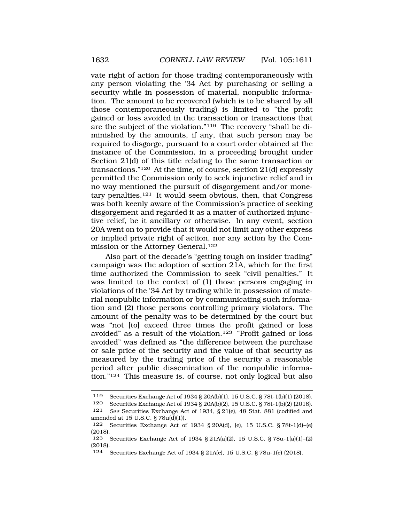vate right of action for those trading contemporaneously with any person violating the '34 Act by purchasing or selling a security while in possession of material, nonpublic information. The amount to be recovered (which is to be shared by all those contemporaneously trading) is limited to "the profit gained or loss avoided in the transaction or transactions that are the subject of the violation."119 The recovery "shall be diminished by the amounts, if any, that such person may be required to disgorge, pursuant to a court order obtained at the instance of the Commission, in a proceeding brought under Section 21(d) of this title relating to the same transaction or transactions."120 At the time, of course, section 21(d) expressly permitted the Commission only to seek injunctive relief and in no way mentioned the pursuit of disgorgement and/or monetary penalties.121 It would seem obvious, then, that Congress was both keenly aware of the Commission's practice of seeking disgorgement and regarded it as a matter of authorized injunctive relief, be it ancillary or otherwise. In any event, section 20A went on to provide that it would not limit any other express or implied private right of action, nor any action by the Commission or the Attorney General.<sup>122</sup>

Also part of the decade's "getting tough on insider trading" campaign was the adoption of section 21A, which for the first time authorized the Commission to seek "civil penalties." It was limited to the context of (1) those persons engaging in violations of the '34 Act by trading while in possession of material nonpublic information or by communicating such information and (2) those persons controlling primary violators. The amount of the penalty was to be determined by the court but was "not [to] exceed three times the profit gained or loss avoided" as a result of the violation.123 "Profit gained or loss avoided" was defined as "the difference between the purchase or sale price of the security and the value of that security as measured by the trading price of the security a reasonable period after public dissemination of the nonpublic information."124 This measure is, of course, not only logical but also

<sup>119</sup> Securities Exchange Act of 1934 § 20A(b)(1), 15 U.S.C. § 78t-1(b)(1) (2018).

<sup>120</sup> Securities Exchange Act of 1934 § 20A(b)(2), 15 U.S.C. § 78t-1(b)(2) (2018).

<sup>121</sup> *See* Securities Exchange Act of 1934, § 21(e), 48 Stat. 881 (codified and amended at 15 U.S.C. § 78u(d)(1)).

<sup>122</sup> Securities Exchange Act of 1934 § 20A(d), (e), 15 U.S.C. § 78t-1(d)–(e) (2018).

<sup>123</sup> Securities Exchange Act of 1934 § 21A(a)(2), 15 U.S.C. § 78u-1(a)(1)–(2) (2018).

<sup>124</sup> Securities Exchange Act of 1934 § 21A(e), 15 U.S.C. § 78u-1(e) (2018).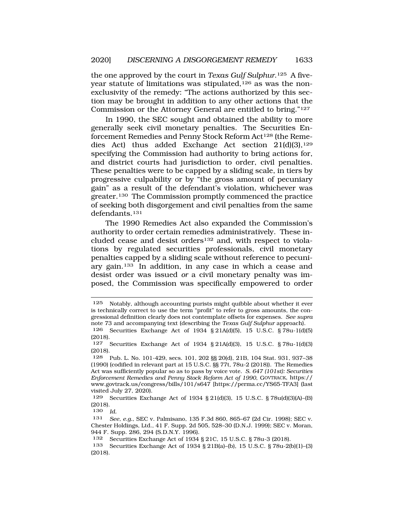the one approved by the court in *Texas Gulf Sulphur*.125 A fiveyear statute of limitations was stipulated,<sup>126</sup> as was the nonexclusivity of the remedy: "The actions authorized by this section may be brought in addition to any other actions that the Commission or the Attorney General are entitled to bring."127

In 1990, the SEC sought and obtained the ability to more generally seek civil monetary penalties. The Securities Enforcement Remedies and Penny Stock Reform Act<sup>128</sup> (the Remedies Act) thus added Exchange Act section  $21(d)(3)$ ,<sup>129</sup> specifying the Commission had authority to bring actions for, and district courts had jurisdiction to order, civil penalties. These penalties were to be capped by a sliding scale, in tiers by progressive culpability or by "the gross amount of pecuniary gain" as a result of the defendant's violation, whichever was greater.130 The Commission promptly commenced the practice of seeking both disgorgement and civil penalties from the same defendants.131

The 1990 Remedies Act also expanded the Commission's authority to order certain remedies administratively. These included cease and desist orders<sup>132</sup> and, with respect to violations by regulated securities professionals, civil monetary penalties capped by a sliding scale without reference to pecuniary gain.133 In addition, in any case in which a cease and desist order was issued *or* a civil monetary penalty was imposed, the Commission was specifically empowered to order

<sup>125</sup> Notably, although accounting purists might quibble about whether it ever is technically correct to use the term "profit" to refer to gross amounts, the congressional definition clearly does not contemplate offsets for expenses. *See supra*  note 73 and accompanying text (describing the *Texas Gulf Sulphur* approach).

<sup>126</sup> Securities Exchange Act of 1934 § 21A(d)(5), 15 U.S.C. § 78u-1(d)(5) (2018).

<sup>127</sup> Securities Exchange Act of 1934 § 21A(d)(3), 15 U.S.C. § 78u-1(d)(3) (2018).

<sup>128</sup> Pub. L. No. 101-429, secs. 101, 202 §§ 20(d), 21B, 104 Stat. 931, 937–38 (1990) (codified in relevant part at 15 U.S.C. §§ 77t, 78u-2 (2018)). The Remedies Act was sufficiently popular so as to pass by voice vote. *S. 647 (101st): Securities Enforcement Remedies and Penny Stock Reform Act of 1990*, GOVTRACK, https:// <www.govtrack.us/congress/bills/101/s647> [\[https://perma.cc/YS65-TFA3\]](https://perma.cc/YS65-TFA3) (last visited July 27, 2020).

<sup>129</sup> Securities Exchange Act of 1934 § 21(d)(3), 15 U.S.C. § 78u(d)(3)(A)–(B) (2018).

<sup>130</sup> *Id.* 

<sup>131</sup> *See, e.g.*, SEC v. Palmisano, 135 F.3d 860, 865–67 (2d Cir. 1998); SEC v. Chester Holdings, Ltd., 41 F. Supp. 2d 505, 528–30 (D.N.J. 1999); SEC v. Moran, 944 F. Supp. 286, 294 (S.D.N.Y. 1996).

<sup>132</sup> Securities Exchange Act of 1934 § 21C, 15 U.S.C. § 78u-3 (2018).

<sup>133</sup> Securities Exchange Act of 1934 § 21B(a)–(b), 15 U.S.C. § 78u-2(b)(1)–(3) (2018).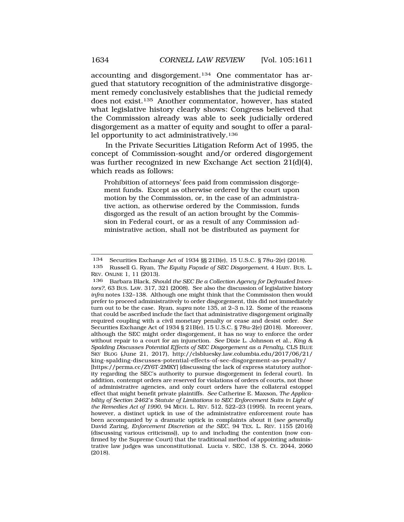accounting and disgorgement.134 One commentator has argued that statutory recognition of the administrative disgorgement remedy conclusively establishes that the judicial remedy does not exist.135 Another commentator, however, has stated what legislative history clearly shows: Congress believed that the Commission already was able to seek judicially ordered disgorgement as a matter of equity and sought to offer a parallel opportunity to act administratively.136

In the Private Securities Litigation Reform Act of 1995, the concept of Commission-sought and/or ordered disgorgement was further recognized in new Exchange Act section 21(d)(4), which reads as follows:

Prohibition of attorneys' fees paid from commission disgorgement funds. Except as otherwise ordered by the court upon motion by the Commission, or, in the case of an administrative action, as otherwise ordered by the Commission, funds disgorged as the result of an action brought by the Commission in Federal court, or as a result of any Commission administrative action, shall not be distributed as payment for

<sup>134</sup> Securities Exchange Act of 1934 §§ 21B(e), 15 U.S.C. § 78u-2(e) (2018).

<sup>135</sup> Russell G. Ryan, *The Equity Facade of SEC Disgorgement*, 4 HARV. Bus. L. REV. ONLINE 1, 11 (2013).

<sup>136</sup> Barbara Black, *Should the SEC Be a Collection Agency for Defrauded Investors?*, 63 BUS. LAW. 317, 321 (2008). See also the discussion of legislative history *infra* notes 132–138. Although one might think that the Commission then would prefer to proceed administratively to order disgorgement, this did not immediately turn out to be the case. Ryan, *supra* note 135, at 2–3 n.12. Some of the reasons that could be ascribed include the fact that administrative disgorgement originally required coupling with a civil monetary penalty or cease and desist order. *See*  Securities Exchange Act of 1934 § 21B(e), 15 U.S.C. § 78u-2(e) (2018). Moreover, although the SEC might order disgorgement, it has no way to enforce the order without repair to a court for an injunction. *See* Dixie L. Johnson et al., *King & Spalding Discusses Potential Effects of SEC Disgorgement as a Penalty*, CLS BLUE SKY BLOG (June 21, 2017), [http://clsbluesky.law.columbia.edu/2017/06/21/](http://clsbluesky.law.columbia.edu/2017/06/21) king-spalding-discusses-potential-effects-of-sec-disgorgement-as-penalty/ [[https://perma.cc/ZY6T-2MKY\]](https://perma.cc/ZY6T-2MKY) (discussing the lack of express statutory authority regarding the SEC's authority to pursue disgorgement in federal court). In addition, contempt orders are reserved for violations of orders of courts, not those of administrative agencies, and only court orders have the collateral estoppel effect that might benefit private plaintiffs. *See* Catherine E. Maxson, *The Applicability of Section 2462's Statute of Limitations to SEC Enforcement Suits in Light of the Remedies Act of 1990*, 94 MICH. L. REV. 512, 522–23 (1995). In recent years, however, a distinct uptick in use of the administrative enforcement route has been accompanied by a dramatic uptick in complaints about it (*see generally*  David Zaring, *Enforcement Discretion at the SEC*, 94 TEX. L. REV. 1155 (2016) (discussing various criticisms)), up to and including the contention (now confirmed by the Supreme Court) that the traditional method of appointing administrative law judges was unconstitutional. Lucia v. SEC, 138 S. Ct. 2044, 2060 (2018).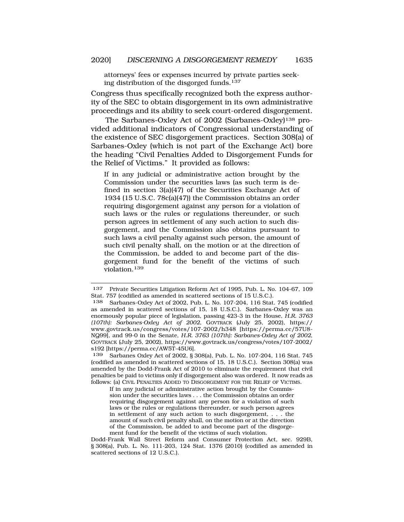attorneys' fees or expenses incurred by private parties seeking distribution of the disgorged funds.<sup>137</sup>

Congress thus specifically recognized both the express authority of the SEC to obtain disgorgement in its own administrative proceedings and its ability to seek court-ordered disgorgement.

The Sarbanes-Oxley Act of 2002 (Sarbanes-Oxley)<sup>138</sup> provided additional indicators of Congressional understanding of the existence of SEC disgorgement practices. Section 308(a) of Sarbanes-Oxley (which is not part of the Exchange Act) bore the heading "Civil Penalties Added to Disgorgement Funds for the Relief of Victims." It provided as follows:

If in any judicial or administrative action brought by the Commission under the securities laws (as such term is defined in section 3(a)(47) of the Securities Exchange Act of 1934 (15 U.S.C. 78c(a)(47)) the Commission obtains an order requiring disgorgement against any person for a violation of such laws or the rules or regulations thereunder, or such person agrees in settlement of any such action to such disgorgement, and the Commission also obtains pursuant to such laws a civil penalty against such person, the amount of such civil penalty shall, on the motion or at the direction of the Commission, be added to and become part of the disgorgement fund for the benefit of the victims of such violation.139

<sup>137</sup> Private Securities Litigation Reform Act of 1995, Pub. L. No. 104-67, 109 Stat. 757 (codified as amended in scattered sections of 15 U.S.C.).

<sup>138</sup> Sarbanes-Oxley Act of 2002, Pub. L. No. 107-204, 116 Stat. 745 (codified as amended in scattered sections of 15, 18 U.S.C.). Sarbanes-Oxley was an enormously popular piece of legislation, passing 423-3 in the House, *H.R. 3763 (107th): Sarbanes-Oxley Act of 2002*, GOVTRACK (July 25, 2002), https:// <www.govtrack.us/congress/votes/107-2002/h348>[<https://perma.cc/57U8>- NQ99], and 99-0 in the Senate, *H.R. 3763 (107th): Sarbanes-Oxley Act of 2002*, GOVTRACK (July 25, 2002), [https://www.govtrack.us/congress/votes/107-2002/](https://www.govtrack.us/congress/votes/107-2002) s192 [\[https://perma.cc/AW5T-45U6](https://perma.cc/AW5T-45U6)].<br>139 Sarbanes Oxley Act of 2002 8.

Sarbanes Oxley Act of 2002, § 308(a), Pub. L. No. 107-204, 116 Stat. 745 (codified as amended in scattered sections of 15, 18 U.S.C.). Section 308(a) was amended by the Dodd-Frank Act of 2010 to eliminate the requirement that civil penalties be paid to victims only if disgorgement also was ordered. It now reads as follows: (a) CIVIL PENALTIES ADDED TO DISGORGEMENT FOR THE RELIEF OF VICTIMS.

If in any judicial or administrative action brought by the Commission under the securities laws . . . the Commission obtains an order requiring disgorgement against any person for a violation of such laws or the rules or regulations thereunder, or such person agrees in settlement of any such action to such disgorgement, . . . the amount of such civil penalty shall, on the motion or at the direction of the Commission, be added to and become part of the disgorgement fund for the benefit of the victims of such violation.

Dodd-Frank Wall Street Reform and Consumer Protection Act, sec. 929B, § 308(a), Pub. L. No. 111-203, 124 Stat. 1376 (2010) (codified as amended in scattered sections of 12 U.S.C.).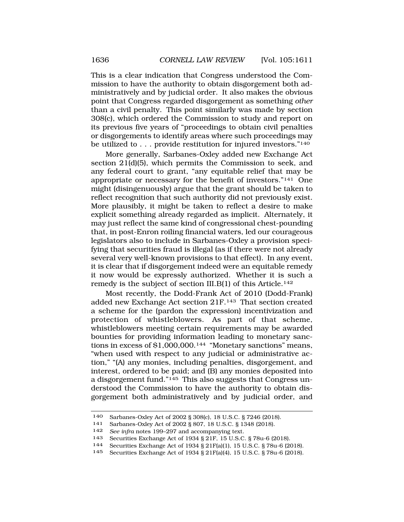This is a clear indication that Congress understood the Commission to have the authority to obtain disgorgement both administratively and by judicial order. It also makes the obvious point that Congress regarded disgorgement as something *other*  than a civil penalty. This point similarly was made by section 308(c), which ordered the Commission to study and report on its previous five years of "proceedings to obtain civil penalties or disgorgements to identify areas where such proceedings may be utilized to . . . provide restitution for injured investors."140

More generally, Sarbanes-Oxley added new Exchange Act section 21(d)(5), which permits the Commission to seek, and any federal court to grant, "any equitable relief that may be appropriate or necessary for the benefit of investors."141 One might (disingenuously) argue that the grant should be taken to reflect recognition that such authority did not previously exist. More plausibly, it might be taken to reflect a desire to make explicit something already regarded as implicit. Alternately, it may just reflect the same kind of congressional chest-pounding that, in post-Enron roiling financial waters, led our courageous legislators also to include in Sarbanes-Oxley a provision specifying that securities fraud is illegal (as if there were not already several very well-known provisions to that effect). In any event, it is clear that if disgorgement indeed were an equitable remedy it now would be expressly authorized. Whether it is such a remedy is the subject of section III.B(1) of this Article.<sup>142</sup>

Most recently, the Dodd-Frank Act of 2010 (Dodd-Frank) added new Exchange Act section 21F.143 That section created a scheme for the (pardon the expression) incentivization and protection of whistleblowers. As part of that scheme, whistleblowers meeting certain requirements may be awarded bounties for providing information leading to monetary sanctions in excess of  $$1,000,000$ .<sup>144</sup> "Monetary sanctions" means, "when used with respect to any judicial or administrative action," "(A) any monies, including penalties, disgorgement, and interest, ordered to be paid; and (B) any monies deposited into a disgorgement fund."145 This also suggests that Congress understood the Commission to have the authority to obtain disgorgement both administratively and by judicial order, and

<sup>140</sup> Sarbanes-Oxley Act of 2002 § 308(c), 18 U.S.C. § 7246 (2018).

<sup>141</sup> Sarbanes-Oxley Act of 2002 § 807, 18 U.S.C. § 1348 (2018).<br>142 See infra notes 199–297 and accompanying text

<sup>142</sup> *See infra* notes 199–297 and accompanying text.

Securities Exchange Act of 1934 § 21F, 15 U.S.C. § 78u-6 (2018).

<sup>144</sup> Securities Exchange Act of 1934 § 21F(a)(1), 15 U.S.C. § 78u-6 (2018).

Securities Exchange Act of 1934 § 21F(a)(4), 15 U.S.C. § 78u-6 (2018).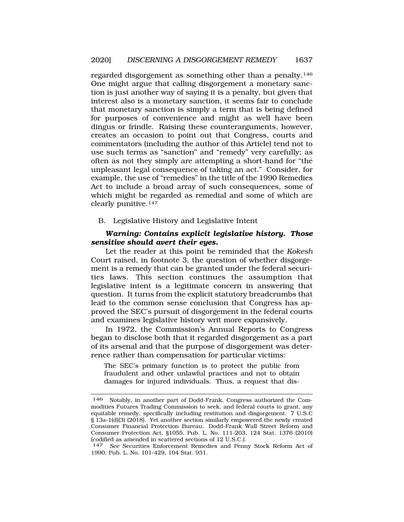<span id="page-26-0"></span>regarded disgorgement as something other than a penalty.146 One might argue that calling disgorgement a monetary sanction is just another way of saying it is a penalty, but given that interest also is a monetary sanction, it seems fair to conclude that monetary sanction is simply a term that is being defined for purposes of convenience and might as well have been dingus or frindle. Raising these counterarguments, however, creates an occasion to point out that Congress, courts and commentators (including the author of this Article) tend not to use such terms as "sanction" and "remedy" very carefully; as often as not they simply are attempting a short-hand for "the unpleasant legal consequence of taking an act." Consider, for example, the use of "remedies" in the title of the 1990 Remedies Act to include a broad array of such consequences, some of which might be regarded as remedial and some of which are clearly punitive.147

B. Legislative History and Legislative Intent

# *Warning: Contains explicit legislative history. Those sensitive should avert their eyes.*

Let the reader at this point be reminded that the *Kokesh*  Court raised, in footnote 3, the question of whether disgorgement is a remedy that can be granted under the federal securities laws. This section continues the assumption that legislative intent is a legitimate concern in answering that question. It turns from the explicit statutory breadcrumbs that lead to the common sense conclusion that Congress has approved the SEC's pursuit of disgorgement in the federal courts and examines legislative history writ more expansively.

In 1972, the Commission's Annual Reports to Congress began to disclose both that it regarded disgorgement as a part of its arsenal and that the purpose of disgorgement was deterrence rather than compensation for particular victims:

The SEC's primary function is to protect the public from fraudulent and other unlawful practices and not to obtain damages for injured individuals. Thus, a request that dis-

<sup>146</sup> Notably, in another part of Dodd-Frank, Congress authorized the Commodities Futures Trading Commission to seek, and federal courts to grant, any equitable remedy, specifically including restitution and disgorgement. 7 U.S.C § 13a-1(d)(3) (2018). Yet another section similarly empowered the newly created Consumer Financial Protection Bureau. Dodd-Frank Wall Street Reform and Consumer Protection Act, §1055, Pub. L. No. 111-203, 124 Stat. 1376 (2010) (codified as amended in scattered sections of 12 U.S.C.).

<sup>147</sup> *See* Securities Enforcement Remedies and Penny Stock Reform Act of 1990, Pub. L. No. 101-429, 104 Stat. 931.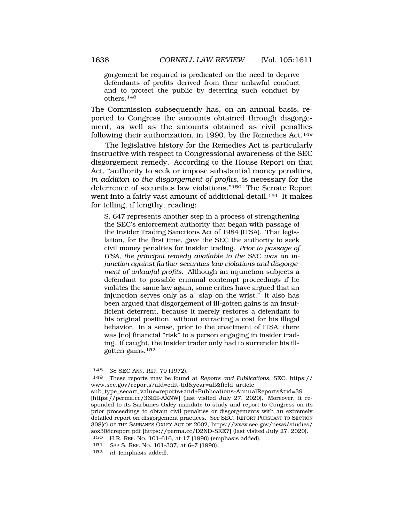gorgement be required is predicated on the need to deprive defendants of profits derived from their unlawful conduct and to protect the public by deterring such conduct by others.148

The Commission subsequently has, on an annual basis, reported to Congress the amounts obtained through disgorgement, as well as the amounts obtained as civil penalties following their authorization, in 1990, by the Remedies Act.<sup>149</sup>

The legislative history for the Remedies Act is particularly instructive with respect to Congressional awareness of the SEC disgorgement remedy. According to the House Report on that Act, "authority to seek or impose substantial money penalties, *in addition to the disgorgement of profits*, is necessary for the deterrence of securities law violations."150 The Senate Report went into a fairly vast amount of additional detail.<sup>151</sup> It makes for telling, if lengthy, reading:

S. 647 represents another step in a process of strengthening the SEC's enforcement authority that began with passage of the Insider Trading Sanctions Act of 1984 (ITSA). That legislation, for the first time, gave the SEC the authority to seek civil money penalties for insider trading. *Prior to passage of ITSA, the principal remedy available to the SEC was an injunction against further securities law violations and disgorgement of unlawful profits.* Although an injunction subjects a defendant to possible criminal contempt proceedings if he violates the same law again, some critics have argued that an injunction serves only as a "slap on the wrist." It also has been argued that disgorgement of ill-gotten gains is an insufficient deterrent, because it merely restores a defendant to his original position, without extracting a cost for his illegal behavior. In a sense, prior to the enactment of ITSA, there was [no] financial "risk" to a person engaging in insider trading. If caught, the insider trader only had to surrender his illgotten gains.<sup>152</sup>

152 *Id.* (emphasis added).

<sup>148 38</sup> SEC ANN. REP. 70 (1972).

<sup>149</sup> These reports may be found at *Reports and Publications*, SEC, https:// [www.sec.gov/reports?aId=edit-tid&year=all&field\\_article](www.sec.gov/reports?aId=edit-tid&year=all&field_article)\_

sub\_type\_secart\_value=reports+and+Publications-AnnualReports&tid=39 [[https://perma.cc/36EE-AXNW\]](https://perma.cc/36EE-AXNW) (last visited July 27, 2020). Moreover, it responded to its Sarbanes-Oxley mandate to study and report to Congress on its prior proceedings to obtain civil penalties or disgorgements with an extremely detailed report on disgorgement practices. *See* SEC, REPORT PURSUANT TO SECTION 308(C) OF THE SARBANES OXLEY ACT OF 2002, [https://www.sec.gov/news/studies/](https://www.sec.gov/news/studies) sox308creport.pdf [<https://perma.cc/D2ND-SKE7>] (last visited July 27, 2020).

<sup>150</sup> H.R. REP. NO. 101-616, at 17 (1990) (emphasis added).

<sup>151</sup> *See* S. REP. NO. 101-337, at 6–7 (1990).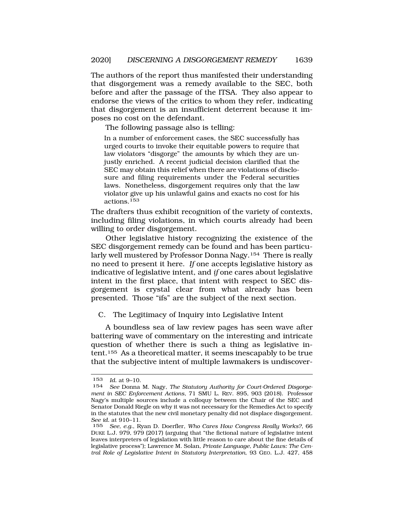<span id="page-28-0"></span>The authors of the report thus manifested their understanding that disgorgement was a remedy available to the SEC, both before and after the passage of the ITSA. They also appear to endorse the views of the critics to whom they refer, indicating that disgorgement is an insufficient deterrent because it imposes no cost on the defendant.

The following passage also is telling:

In a number of enforcement cases, the SEC successfully has urged courts to invoke their equitable powers to require that law violators "disgorge" the amounts by which they are unjustly enriched. A recent judicial decision clarified that the SEC may obtain this relief when there are violations of disclosure and filing requirements under the Federal securities laws. Nonetheless, disgorgement requires only that the law violator give up his unlawful gains and exacts no cost for his actions.153

The drafters thus exhibit recognition of the variety of contexts, including filing violations, in which courts already had been willing to order disgorgement.

Other legislative history recognizing the existence of the SEC disgorgement remedy can be found and has been particularly well mustered by Professor Donna Nagy.154 There is really no need to present it here. *If* one accepts legislative history as indicative of legislative intent, and *if* one cares about legislative intent in the first place, that intent with respect to SEC disgorgement is crystal clear from what already has been presented. Those "ifs" are the subject of the next section.

C. The Legitimacy of Inquiry into Legislative Intent

A boundless sea of law review pages has seen wave after battering wave of commentary on the interesting and intricate question of whether there is such a thing as legislative intent.155 As a theoretical matter, it seems inescapably to be true that the subjective intent of multiple lawmakers is undiscover-

<sup>153</sup> *Id.* at 9–10.

<sup>154</sup> *See* Donna M. Nagy, *The Statutory Authority for Court-Ordered Disgorgement in SEC Enforcement Actions*, 71 SMU L. REV. 895, 903 (2018). Professor Nagy's multiple sources include a colloquy between the Chair of the SEC and Senator Donald Riegle on why it was not necessary for the Remedies Act to specify in the statutes that the new civil monetary penalty did not displace disgorgement. *See id.* at 910–11.

<sup>155</sup> *See, e.g.*, Ryan D. Doerfler, *Who Cares How Congress Really Works?*, 66 DUKE L.J. 979, 979 (2017) (arguing that "the fictional nature of legislative intent leaves interpreters of legislation with little reason to care about the fine details of legislative process"); Lawrence M. Solan, *Private Language, Public Laws: The Central Role of Legislative Intent in Statutory Interpretation*, 93 GEO. L.J. 427, 458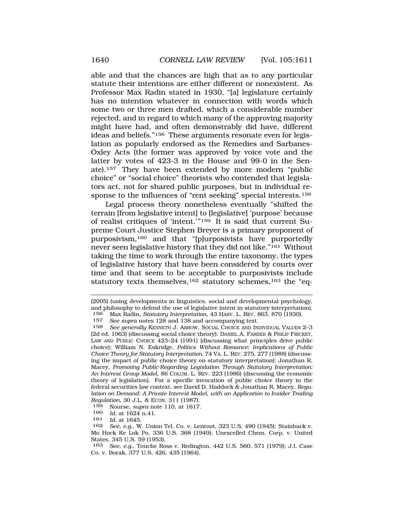able and that the chances are high that as to any particular statute their intentions are either different or nonexistent. As Professor Max Radin stated in 1930, "[a] legislature certainly has no intention whatever in connection with words which some two or three men drafted, which a considerable number rejected, and in regard to which many of the approving majority might have had, and often demonstrably did have, different ideas and beliefs."156 These arguments resonate even for legislation as popularly endorsed as the Remedies and Sarbanes-Oxley Acts (the former was approved by voice vote and the latter by votes of 423-3 in the House and 99-0 in the Senate).157 They have been extended by more modern "public choice" or "social choice" theorists who contended that legislators act, not for shared public purposes, but in individual response to the influences of "rent seeking" special interests.158

Legal process theory nonetheless eventually "shifted the terrain [from legislative intent] to [legislative] 'purpose' because of realist critiques of 'intent.'"159 It is said that current Supreme Court Justice Stephen Breyer is a primary proponent of purposivism,160 and that "[p]urposivists have purportedly never seen legislative history that they did not like."161 Without taking the time to work through the entire taxonomy, the types of legislative history that have been considered by courts over time and that seem to be acceptable to purposivists include statutory texts themselves,<sup>162</sup> statutory schemes,<sup>163</sup> the "eq-

160 *Id.* at 1624 n.41.<br>161 *Id.* at 1645

<sup>(2005) (</sup>using developments in linguistics, social and developmental psychology, and philosophy to defend the use of legislative intent in statutory interpretation).<br>156 Max Radin *Statutory Interpretation* 43 HARV L. REV 863 870 (1930) 156 Max Radin, *Statutory Interpretation*, 43 HARV. L. REV. 863, 870 (1930).

<sup>157</sup> *See supra* notes 128 and 138 and accompanying text.

See generally KENNETH J. ARROW, SOCIAL CHOICE AND INDIVIDUAL VALUES 2-3 (2d ed. 1963) (discussing social choice theory); DANIEL A. FARBER & PHILIP FRICKEY, LAW AND PUBLIC CHOICE 423–24 (1991) (discussing what principles drive public choice); William N. Eskridge, *Politics Without Romance: Implications of Public Choice Theory for Statutory Interpretation*, 74 VA. L. REV. 275, 277 (1988) (discussing the impact of public choice theory on statutory interpretation); Jonathan R. Macey, *Promoting Public-Regarding Legislation Through Statutory Interpretation: An Interest Group Model*, 86 COLUM. L. REV. 223 (1986) (discussing the economic theory of legislation). For a specific invocation of public choice theory in the federal securities law context, see David D. Haddock & Jonathan R. Macey, *Regulation on Demand: A Private Interest Model, with an Application to Insider Trading Regulation*, 30 J.L. & ECON. 311 (1987).

<sup>159</sup> Nourse, *supra* note 110, at 1617.

<sup>161</sup> *Id.* at 1645.

<sup>162</sup> *See*, *e.g.*, W. Union Tel. Co. v. Lenroot, 323 U.S. 490 (1945); Stainback v. Mo Hock Ke Lok Po, 336 U.S. 368 (1949); Unexcelled Chem. Corp. v. United States, 345 U.S. 59 (1953).

<sup>163</sup> *See*, *e.g.*, Touche Ross v. Redington, 442 U.S. 560, 571 (1979); J.I. Case Co. v. Borak, 377 U.S. 426, 435 (1964).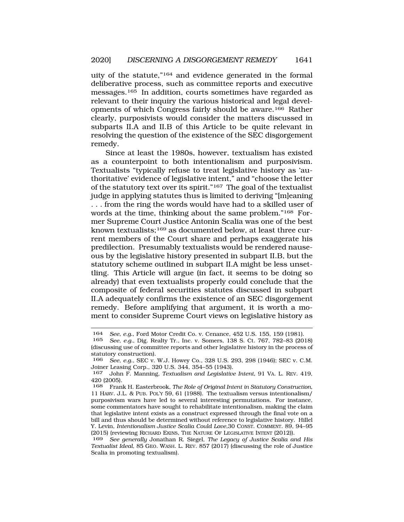uity of the statute,"164 and evidence generated in the formal deliberative process, such as committee reports and executive messages.165 In addition, courts sometimes have regarded as relevant to their inquiry the various historical and legal developments of which Congress fairly should be aware.166 Rather clearly, purposivists would consider the matters discussed in subparts II.A and II.B of this Article to be quite relevant in resolving the question of the existence of the SEC disgorgement remedy.

Since at least the 1980s, however, textualism has existed as a counterpoint to both intentionalism and purposivism. Textualists "typically refuse to treat legislative history as 'authoritative' evidence of legislative intent," and "choose the letter of the statutory text over its spirit."167 The goal of the textualist judge in applying statutes thus is limited to deriving "[m]eaning . . . from the ring the words would have had to a skilled user of words at the time, thinking about the same problem."168 Former Supreme Court Justice Antonin Scalia was one of the best known textualists;<sup>169</sup> as documented below, at least three current members of the Court share and perhaps exaggerate his predilection. Presumably textualists would be rendered nauseous by the legislative history presented in subpart II.B, but the statutory scheme outlined in subpart II.A might be less unsettling. This Article will argue (in fact, it seems to be doing so already) that even textualists properly could conclude that the composite of federal securities statutes discussed in subpart II.A adequately confirms the existence of an SEC disgorgement remedy. Before amplifying that argument, it is worth a moment to consider Supreme Court views on legislative history as

<sup>164</sup> *See*, *e.g.*, Ford Motor Credit Co. v. Cenance, 452 U.S. 155, 159 (1981).

<sup>165</sup> *See, e.g.*, Dig. Realty Tr., Inc. v. Somers, 138 S. Ct. 767, 782–83 (2018) (discussing use of committee reports and other legislative history in the process of statutory construction).

<sup>166</sup> *See*, *e.g.*, SEC v. W.J. Howey Co., 328 U.S. 293, 298 (1946); SEC v. C.M. Joiner Leasing Corp., 320 U.S. 344, 354–55 (1943).

<sup>167</sup> John F. Manning, *Textualism and Legislative Intent*, 91 VA. L. REV. 419, 420 (2005).

<sup>168</sup> Frank H. Easterbrook, *The Role of Original Intent in Statutory Construction*, 11 HARV. J.L. & PUB. POL'Y 59, 61 (1988). The textualism versus intentionalism/ purposivism wars have led to several interesting permutations. For instance, some commentators have sought to rehabilitate intentionalism, making the claim that legislative intent exists as a construct expressed through the final vote on a bill and thus should be determined without reference to legislative history. Hillel Y. Levin, *Intentionalism Justice Scalia Could Love*,30 CONST. COMMENT. 89, 94–95 (2015) (reviewing RICHARD EKINS, THE NATURE OF LEGISLATIVE INTENT (2012)).

<sup>169</sup> *See generally* Jonathan R. Siegel, *The Legacy of Justice Scalia and His Textualist Ideal*, 85 GEO. WASH. L. REV. 857 (2017) (discussing the role of Justice Scalia in promoting textualism).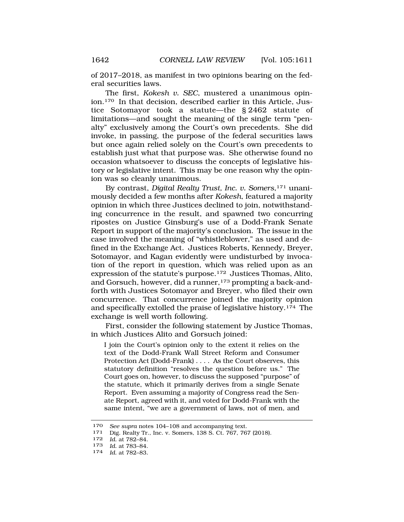of 2017–2018, as manifest in two opinions bearing on the federal securities laws.

The first, *Kokesh v. SEC*, mustered a unanimous opinion.170 In that decision, described earlier in this Article, Justice Sotomayor took a statute—the § 2462 statute of limitations—and sought the meaning of the single term "penalty" exclusively among the Court's own precedents. She did invoke, in passing, the purpose of the federal securities laws but once again relied solely on the Court's own precedents to establish just what that purpose was. She otherwise found no occasion whatsoever to discuss the concepts of legislative history or legislative intent. This may be one reason why the opinion was so cleanly unanimous.

By contrast, *Digital Realty Trust, Inc. v. Somers*,171 unanimously decided a few months after *Kokesh*, featured a majority opinion in which three Justices declined to join, notwithstanding concurrence in the result, and spawned two concurring ripostes on Justice Ginsburg's use of a Dodd-Frank Senate Report in support of the majority's conclusion. The issue in the case involved the meaning of "whistleblower," as used and defined in the Exchange Act. Justices Roberts, Kennedy, Breyer, Sotomayor, and Kagan evidently were undisturbed by invocation of the report in question, which was relied upon as an expression of the statute's purpose.172 Justices Thomas, Alito, and Gorsuch, however, did a runner,<sup>173</sup> prompting a back-andforth with Justices Sotomayor and Breyer, who filed their own concurrence. That concurrence joined the majority opinion and specifically extolled the praise of legislative history.174 The exchange is well worth following.

First, consider the following statement by Justice Thomas, in which Justices Alito and Gorsuch joined:

I join the Court's opinion only to the extent it relies on the text of the Dodd-Frank Wall Street Reform and Consumer Protection Act (Dodd-Frank) . . . . As the Court observes, this statutory definition "resolves the question before us." The Court goes on, however, to discuss the supposed "purpose" of the statute, which it primarily derives from a single Senate Report. Even assuming a majority of Congress read the Senate Report, agreed with it, and voted for Dodd-Frank with the same intent, "we are a government of laws, not of men, and

<sup>170</sup>*See supra* notes 104–108 and accompanying text. 171 Dig. Realty Tr., Inc. v. Somers, 138 S. Ct. 767, 767 (2018).

<sup>172</sup> *Id.* at 782–84.

<sup>173</sup>*Id.* at 783–84. 174 *Id.* at 782–83*.*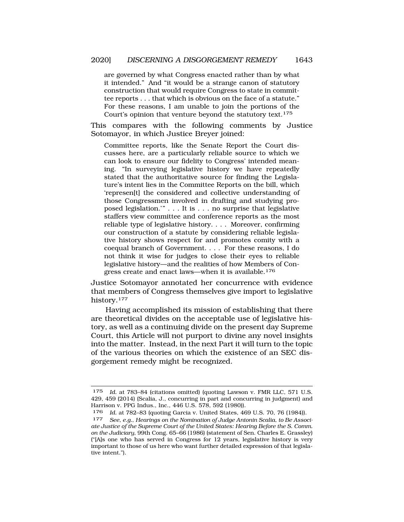are governed by what Congress enacted rather than by what it intended." And "it would be a strange canon of statutory construction that would require Congress to state in committee reports . . . that which is obvious on the face of a statute." For these reasons, I am unable to join the portions of the Court's opinion that venture beyond the statutory text.<sup>175</sup>

This compares with the following comments by Justice Sotomayor, in which Justice Breyer joined:

Committee reports, like the Senate Report the Court discusses here, are a particularly reliable source to which we can look to ensure our fidelity to Congress' intended meaning. "In surveying legislative history we have repeatedly stated that the authoritative source for finding the Legislature's intent lies in the Committee Reports on the bill, which 'represen[t] the considered and collective understanding of those Congressmen involved in drafting and studying proposed legislation.'" . . . It is . . . no surprise that legislative staffers view committee and conference reports as the most reliable type of legislative history. . . . Moreover, confirming our construction of a statute by considering reliable legislative history shows respect for and promotes comity with a coequal branch of Government. . . . For these reasons, I do not think it wise for judges to close their eyes to reliable legislative history—and the realities of how Members of Congress create and enact laws—when it is available.<sup>176</sup>

Justice Sotomayor annotated her concurrence with evidence that members of Congress themselves give import to legislative history.177

Having accomplished its mission of establishing that there are theoretical divides on the acceptable use of legislative history, as well as a continuing divide on the present day Supreme Court, this Article will not purport to divine any novel insights into the matter. Instead, in the next Part it will turn to the topic of the various theories on which the existence of an SEC disgorgement remedy might be recognized.

<sup>175</sup> *Id.* at 783–84 (citations omitted) (quoting Lawson v. FMR LLC, 571 U.S. 429, 459 (2014) (Scalia, J., concurring in part and concurring in judgment) and Harrison v. PPG Indus., Inc., 446 U.S. 578, 592 (1980)).

<sup>176</sup> *Id.* at 782–83 (quoting Garcia v. United States, 469 U.S. 70, 76 (1984)).

<sup>177</sup> *See*, *e.g.*, *Hearings on the Nomination of Judge Antonin Scalia, to Be Associate Justice of the Supreme Court of the United States: Hearing Before the S. Comm. on the Judiciary*, 99th Cong. 65–66 (1986) (statement of Sen. Charles E. Grassley) ("[A]s one who has served in Congress for 12 years, legislative history is very important to those of us here who want further detailed expression of that legislative intent.").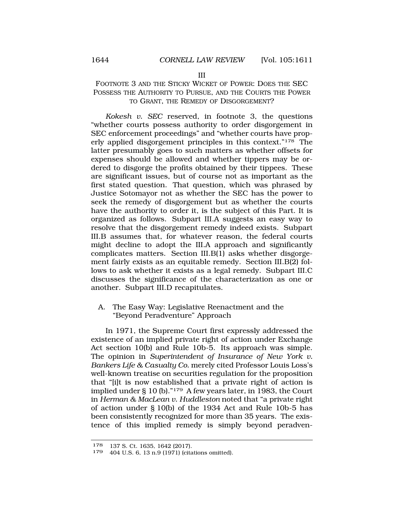#### III

# <span id="page-33-0"></span>FOOTNOTE 3 AND THE STICKY WICKET OF POWER: DOES THE SEC POSSESS THE AUTHORITY TO PURSUE, AND THE COURTS THE POWER TO GRANT, THE REMEDY OF DISGORGEMENT?

*Kokesh v. SEC* reserved, in footnote 3, the questions "whether courts possess authority to order disgorgement in SEC enforcement proceedings" and "whether courts have properly applied disgorgement principles in this context."178 The latter presumably goes to such matters as whether offsets for expenses should be allowed and whether tippers may be ordered to disgorge the profits obtained by their tippees. These are significant issues, but of course not as important as the first stated question. That question, which was phrased by Justice Sotomayor not as whether the SEC has the power to seek the remedy of disgorgement but as whether the courts have the authority to order it, is the subject of this Part. It is organized as follows. Subpart III.A suggests an easy way to resolve that the disgorgement remedy indeed exists. Subpart III.B assumes that, for whatever reason, the federal courts might decline to adopt the III.A approach and significantly complicates matters. Section III.B(1) asks whether disgorgement fairly exists as an equitable remedy. Section III.B(2) follows to ask whether it exists as a legal remedy. Subpart III.C discusses the significance of the characterization as one or another. Subpart III.D recapitulates.

# A. The Easy Way: Legislative Reenactment and the "Beyond Peradventure" Approach

In 1971, the Supreme Court first expressly addressed the existence of an implied private right of action under Exchange Act section 10(b) and Rule 10b-5. Its approach was simple. The opinion in *Superintendent of Insurance of New York v. Bankers Life & Casualty Co.* merely cited Professor Louis Loss's well-known treatise on securities regulation for the proposition that "[i]t is now established that a private right of action is implied under § 10 (b)."179 A few years later, in 1983, the Court in *Herman & MacLean v. Huddleston* noted that "a private right of action under § 10(b) of the 1934 Act and Rule 10b-5 has been consistently recognized for more than 35 years. The existence of this implied remedy is simply beyond peradven-

<sup>178 137</sup> S. Ct. 1635, 1642 (2017).

<sup>179 404</sup> U.S. 6, 13 n.9 (1971) (citations omitted).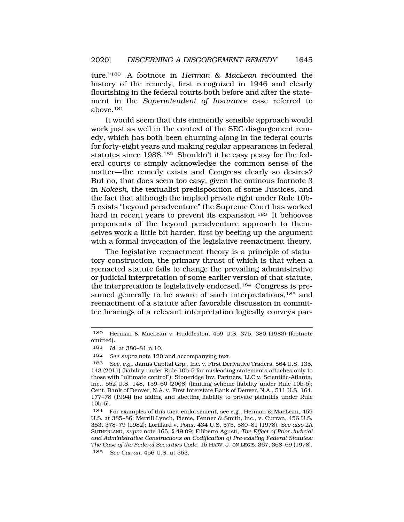ture."180 A footnote in *Herman & MacLean* recounted the history of the remedy, first recognized in 1946 and clearly flourishing in the federal courts both before and after the statement in the *Superintendent of Insurance* case referred to above.181

It would seem that this eminently sensible approach would work just as well in the context of the SEC disgorgement remedy, which has both been churning along in the federal courts for forty-eight years and making regular appearances in federal statutes since 1988.182 Shouldn't it be easy peasy for the federal courts to simply acknowledge the common sense of the matter—the remedy exists and Congress clearly so desires? But no, that does seem too easy, given the ominous footnote 3 in *Kokesh*, the textualist predisposition of some Justices, and the fact that although the implied private right under Rule 10b-5 exists "beyond peradventure" the Supreme Court has worked hard in recent years to prevent its expansion.<sup>183</sup> It behooves proponents of the beyond peradventure approach to themselves work a little bit harder, first by beefing up the argument with a formal invocation of the legislative reenactment theory.

The legislative reenactment theory is a principle of statutory construction, the primary thrust of which is that when a reenacted statute fails to change the prevailing administrative or judicial interpretation of some earlier version of that statute, the interpretation is legislatively endorsed.184 Congress is presumed generally to be aware of such interpretations,<sup>185</sup> and reenactment of a statute after favorable discussion in committee hearings of a relevant interpretation logically conveys par-

181 *Id.* at 380–81 n.10.

182 *See supra* note 120 and accompanying text.

<sup>180</sup> Herman & MacLean v. Huddleston, 459 U.S. 375, 380 (1983) (footnote omitted).

<sup>183</sup> *See, e.g.*, Janus Capital Grp., Inc. v. First Derivative Traders, 564 U.S. 135, 143 (2011) (liability under Rule 10b-5 for misleading statements attaches only to those with "ultimate control"); Stoneridge Inv. Partners, LLC v. Scientific-Atlanta, Inc., 552 U.S. 148, 159–60 (2008) (limiting scheme liability under Rule 10b-5); Cent. Bank of Denver, N.A. v. First Interstate Bank of Denver, N.A., 511 U.S. 164, 177–78 (1994) (no aiding and abetting liability to private plaintiffs under Rule 10b-5).

<sup>184</sup> For examples of this tacit endorsement, see e.g., Herman & MacLean, 459 U.S. at 385–86; Merrill Lynch, Pierce, Fenner & Smith, Inc., v. Curran, 456 U.S. 353, 378–79 (1982); Lorillard v. Pons, 434 U.S. 575, 580–81 (1978). *See also* 2A SUTHERLAND, *supra* note 165, § 49.09; Filiberto Agusti, *The Effect of Prior Judicial and Administrative Constructions on Codification of Pre-existing Federal Statutes: The Case of the Federal Securities Code*, 15 HARV. J. ON LEGIS. 367, 368–69 (1978).

<sup>185</sup> *See Curran*, 456 U.S. at 353.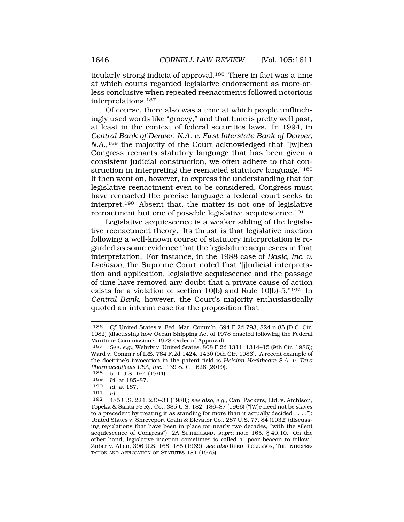ticularly strong indicia of approval.<sup>186</sup> There in fact was a time at which courts regarded legislative endorsement as more-orless conclusive when repeated reenactments followed notorious interpretations.187

Of course, there also was a time at which people unflinchingly used words like "groovy," and that time is pretty well past, at least in the context of federal securities laws. In 1994, in *Central Bank of Denver, N.A. v. First Interstate Bank of Denver, N.A.*,<sup>188</sup> the majority of the Court acknowledged that "[w]hen Congress reenacts statutory language that has been given a consistent judicial construction, we often adhere to that construction in interpreting the reenacted statutory language."<sup>189</sup> It then went on, however, to express the understanding that for legislative reenactment even to be considered, Congress must have reenacted the precise language a federal court seeks to interpret.190 Absent that, the matter is not one of legislative reenactment but one of possible legislative acquiescence.191

Legislative acquiescence is a weaker sibling of the legislative reenactment theory. Its thrust is that legislative inaction following a well-known course of statutory interpretation is regarded as some evidence that the legislature acquiesces in that interpretation. For instance, in the 1988 case of *Basic, Inc. v. Levinson*, the Supreme Court noted that '[j]udicial interpretation and application, legislative acquiescence and the passage of time have removed any doubt that a private cause of action exists for a violation of section 10(b) and Rule 10(b)-5."192 In *Central Bank*, however, the Court's majority enthusiastically quoted an interim case for the proposition that

<sup>186</sup> *Cf.* United States v. Fed. Mar. Comm'n, 694 F.2d 793, 824 n.85 (D.C. Cir. 1982) (discussing how Ocean Shipping Act of 1978 enacted following the Federal Maritime Commission's 1978 Order of Approval).<br>187 See, e.g., Wehrly v. United States, 808 F.2d

<sup>187</sup> *See, e.g.*, Wehrly v. United States, 808 F.2d 1311, 1314–15 (9th Cir. 1986); Ward v. Comm'r of IRS, 784 F.2d 1424, 1430 (9th Cir. 1986). A recent example of the doctrine's invocation in the patent field is *Helsinn Healthcare S.A. v. Teva Pharmaceuticals USA, Inc.*, 139 S. Ct. 628 (2019).

<sup>511</sup> U.S. 164 (1994).

<sup>189</sup> *Id.* at 185–87.

<sup>190</sup> *Id.* at 187.

<sup>191</sup> *Id.* 

<sup>192 485</sup> U.S. 224, 230–31 (1988); *see also, e.g.*, Can. Packers, Ltd. v. Atchison, Topeka & Santa Fe Ry. Co., 385 U.S. 182, 186–87 (1966) ("[W]e need not be slaves to a precedent by treating it as standing for more than it actually decided . . . ."); United States v. Shreveport Grain & Elevator Co., 287 U.S. 77, 84 (1932) (discussing regulations that have been in place for nearly two decades, "with the silent acquiescence of Congress"); 2A SUTHERLAND, *supra* note 165, § 49.10. On the other hand, legislative inaction sometimes is called a "poor beacon to follow." Zuber v. Allen, 396 U.S. 168, 185 (1969); *see also* REED DICKERSON, THE INTERPRE-TATION AND APPLICATION OF STATUTES 181 (1975).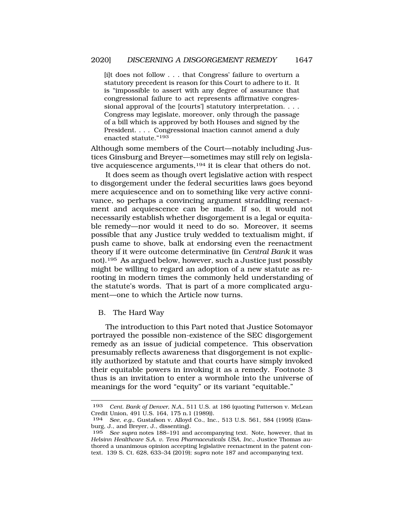[i]t does not follow . . . that Congress' failure to overturn a statutory precedent is reason for this Court to adhere to it. It is "impossible to assert with any degree of assurance that congressional failure to act represents affirmative congressional approval of the [courts'] statutory interpretation. . . . Congress may legislate, moreover, only through the passage of a bill which is approved by both Houses and signed by the President. . . . Congressional inaction cannot amend a duly enacted statute."<sup>193</sup>

Although some members of the Court—notably including Justices Ginsburg and Breyer—sometimes may still rely on legislative acquiescence arguments,<sup>194</sup> it is clear that others do not.

It does seem as though overt legislative action with respect to disgorgement under the federal securities laws goes beyond mere acquiescence and on to something like very active connivance, so perhaps a convincing argument straddling reenactment and acquiescence can be made. If so, it would not necessarily establish whether disgorgement is a legal or equitable remedy—nor would it need to do so. Moreover, it seems possible that any Justice truly wedded to textualism might, if push came to shove, balk at endorsing even the reenactment theory if it were outcome determinative (in *Central Bank* it was not).195 As argued below, however, such a Justice just possibly might be willing to regard an adoption of a new statute as rerooting in modern times the commonly held understanding of the statute's words. That is part of a more complicated argument—one to which the Article now turns.

B. The Hard Way

The introduction to this Part noted that Justice Sotomayor portrayed the possible non-existence of the SEC disgorgement remedy as an issue of judicial competence. This observation presumably reflects awareness that disgorgement is not explicitly authorized by statute and that courts have simply invoked their equitable powers in invoking it as a remedy. Footnote 3 thus is an invitation to enter a wormhole into the universe of meanings for the word "equity" or its variant "equitable."

<sup>193</sup> *Cent. Bank of Denver, N.A.*, 511 U.S. at 186 (quoting Patterson v. McLean Credit Union, 491 U.S. 164, 175 n.1 (1989)).<br>194 See e.g. Gustafson v Alloyd Co. Inc.

<sup>194</sup> *See*, *e.g.*, Gustafson v. Alloyd Co., Inc., 513 U.S. 561, 584 (1995) (Ginsburg, J., and Breyer, J., dissenting).

<sup>195</sup> *See supra* notes 188–191 and accompanying text. Note, however, that in *Helsinn Healthcare S.A. v. Teva Pharmaceuticals USA, Inc.*, Justice Thomas authored a unanimous opinion accepting legislative reenactment in the patent context. 139 S. Ct. 628, 633–34 (2019); *supra* note 187 and accompanying text.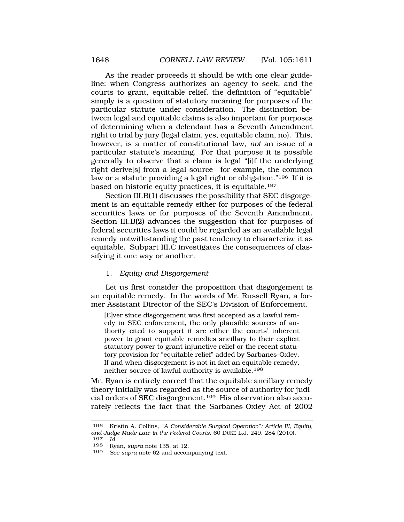As the reader proceeds it should be with one clear guideline: when Congress authorizes an agency to seek, and the courts to grant, equitable relief, the definition of "equitable" simply is a question of statutory meaning for purposes of the particular statute under consideration. The distinction between legal and equitable claims is also important for purposes of determining when a defendant has a Seventh Amendment right to trial by jury (legal claim, yes, equitable claim, no). This, however, is a matter of constitutional law, *not* an issue of a particular statute's meaning. For that purpose it is possible generally to observe that a claim is legal "[i]f the underlying right derive[s] from a legal source—for example, the common law or a statute providing a legal right or obligation."<sup>196</sup> If it is based on historic equity practices, it is equitable.<sup>197</sup>

Section III.B(1) discusses the possibility that SEC disgorgement is an equitable remedy either for purposes of the federal securities laws or for purposes of the Seventh Amendment. Section III.B(2) advances the suggestion that for purposes of federal securities laws it could be regarded as an available legal remedy notwithstanding the past tendency to characterize it as equitable. Subpart III.C investigates the consequences of classifying it one way or another.

## 1. *Equity and Disgorgement*

Let us first consider the proposition that disgorgement is an equitable remedy. In the words of Mr. Russell Ryan, a former Assistant Director of the SEC's Division of Enforcement,

[E]ver since disgorgement was first accepted as a lawful remedy in SEC enforcement, the only plausible sources of authority cited to support it are either the courts' inherent power to grant equitable remedies ancillary to their explicit statutory power to grant injunctive relief or the recent statutory provision for "equitable relief" added by Sarbanes-Oxley. If and when disgorgement is not in fact an equitable remedy, neither source of lawful authority is available.<sup>198</sup>

Mr. Ryan is entirely correct that the equitable ancillary remedy theory initially was regarded as the source of authority for judicial orders of SEC disgorgement.199 His observation also accurately reflects the fact that the Sarbanes-Oxley Act of 2002

<sup>196</sup> Kristin A. Collins, *"A Considerable Surgical Operation": Article III, Equity, and Judge-Made Law in the Federal Courts*, 60 DUKE L.J. 249, 284 (2010). 197 *Id.* 

<sup>198</sup> Ryan, *supra* note 135, at 12.

See supra note 62 and accompanying text.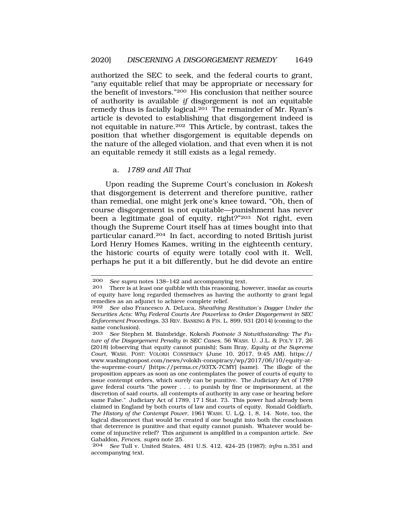authorized the SEC to seek, and the federal courts to grant, "any equitable relief that may be appropriate or necessary for the benefit of investors."200 His conclusion that neither source of authority is available *if* disgorgement is not an equitable remedy thus is facially logical.201 The remainder of Mr. Ryan's article is devoted to establishing that disgorgement indeed is not equitable in nature.202 This Article, by contrast, takes the position that whether disgorgement is equitable depends on the nature of the alleged violation, and that even when it is not an equitable remedy it still exists as a legal remedy.

#### a. *1789 and All That*

Upon reading the Supreme Court's conclusion in *Kokesh*  that disgorgement is deterrent and therefore punitive, rather than remedial, one might jerk one's knee toward, "Oh, then of course disgorgement is not equitable—punishment has never been a legitimate goal of equity, right?"203 Not right, even though the Supreme Court itself has at times bought into that particular canard.204 In fact, according to noted British jurist Lord Henry Homes Kames, writing in the eighteenth century, the historic courts of equity were totally cool with it. Well, perhaps he put it a bit differently, but he did devote an entire

<sup>200</sup> *See supra* notes 138–142 and accompanying text.<br>201 There is at least one quibble with this reasoning ho

There is at least one quibble with this reasoning, however, insofar as courts of equity have long regarded themselves as having the authority to grant legal remedies as an adjunct to achieve complete relief.

<sup>202</sup> *See also* Francesco A. DeLuca, *Sheathing Restitution's Dagger Under the Securities Acts: Why Federal Courts Are Powerless to Order Disgorgement in SEC Enforcement Proceedings*, 33 REV. BANKING & FIN. L. 899, 931 (2014) (coming to the same conclusion).<br>203 See Stephen

See Stephen M. Bainbridge, Kokesh Footnote 3 Notwithstanding: The Fu*ture of the Disgorgement Penalty in SEC Cases*, 56 WASH. U. J.L. & POL'Y 17, 26 (2018) (observing that equity cannot punish); Sam Bray, *Equity at the Supreme Court*, WASH. POST: VOLOKH CONSPIRACY (June 10, 2017, 9:45 AM), https:// <www.washingtonpost.com/news/volokh-conspiracy/wp/2017/06/10/equity-at>the-supreme-court/ [\[https://perma.cc/93TX-7CMY](https://perma.cc/93TX-7CMY)] (same). The illogic of the proposition appears as soon as one contemplates the power of courts of equity to issue contempt orders, which surely can be punitive. The Judiciary Act of 1789 gave federal courts "the power . . . to punish by fine or imprisonment, at the discretion of said courts, all contempts of authority in any case or hearing before same False." Judiciary Act of 1789, 17 I Stat. 73. This power had already been claimed in England by both courts of law and courts of equity. Ronald Goldfarb, *The History of the Contempt Power*, 1961 WASH. U. L.Q. 1, 8, 14. Note, too, the logical disconnect that would be created if one bought into both the conclusion that deterrence is punitive and that equity cannot punish. Whatever would become of injunctive relief? This argument is amplified in a companion article. *See*  Gabaldon, *Fences*, *supra* note 25.

<sup>204</sup> *See* Tull v. United States, 481 U.S. 412, 424–25 (1987); *infra* n.351 and accompanying text.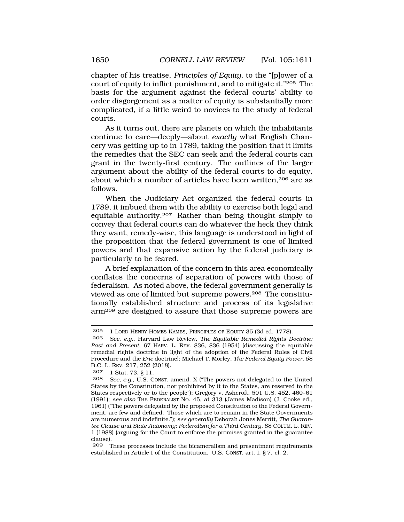chapter of his treatise, *Principles of Equity*, to the "[p]ower of a court of equity to inflict punishment, and to mitigate it."205 The basis for the argument against the federal courts' ability to order disgorgement as a matter of equity is substantially more complicated, if a little weird to novices to the study of federal courts.

As it turns out, there are planets on which the inhabitants continue to care—deeply—about *exactly* what English Chancery was getting up to in 1789, taking the position that it limits the remedies that the SEC can seek and the federal courts can grant in the twenty-first century. The outlines of the larger argument about the ability of the federal courts to do equity, about which a number of articles have been written, 206 are as follows.

When the Judiciary Act organized the federal courts in 1789, it imbued them with the ability to exercise both legal and equitable authority.207 Rather than being thought simply to convey that federal courts can do whatever the heck they think they want, remedy-wise, this language is understood in light of the proposition that the federal government is one of limited powers and that expansive action by the federal judiciary is particularly to be feared.

A brief explanation of the concern in this area economically conflates the concerns of separation of powers with those of federalism. As noted above, the federal government generally is viewed as one of limited but supreme powers.208 The constitutionally established structure and process of its legislative arm209 are designed to assure that those supreme powers are

<sup>205 1</sup> LORD HENRY HOMES KAMES, PRINCIPLES OF EQUITY 35 (3d ed. 1778).

<sup>206</sup> *See, e.g.*, Harvard Law Review, *The Equitable Remedial Rights Doctrine: Past and Present*, 67 HARV. L. REV. 836, 836 (1954) (discussing the equitable remedial rights doctrine in light of the adoption of the Federal Rules of Civil Procedure and the *Erie* doctrine); Michael T. Morley, *The Federal Equity Power*, 58 B.C. L. REV. 217, 252 (2018).

<sup>207 1</sup> Stat. 73*,* § 11.

<sup>208</sup> *See, e.g.*, U.S. CONST. amend. X ("The powers not delegated to the United States by the Constitution, nor prohibited by it to the States, are reserved to the States respectively or to the people"); Gregory v. Ashcroft, 501 U.S. 452, 460–61 (1991); *see also* THE FEDERALIST NO. 45, at 313 (James Madison) (J. Cooke ed., 1961) ("The powers delegated by the proposed Constitution to the Federal Government, are few and defined. Those which are to remain in the State Governments are numerous and indefinite."); *see generally* Deborah Jones Merritt, *The Guarantee Clause and State Autonomy: Federalism for a Third Century*, 88 COLUM. L. REV. 1 (1988) (arguing for the Court to enforce the promises granted in the guarantee clause).

<sup>209</sup> These processes include the bicameralism and presentment requirements established in Article I of the Constitution. U.S. CONST. art. I, § 7, cl. 2.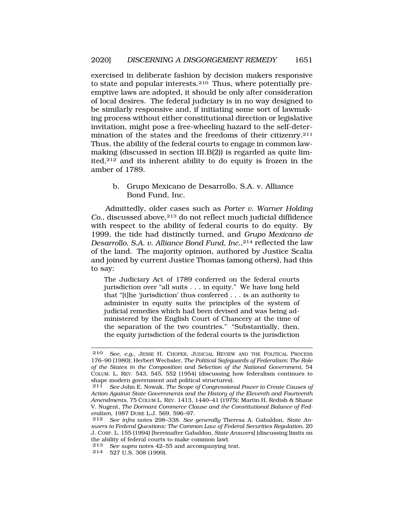exercised in deliberate fashion by decision makers responsive to state and popular interests. $210$  Thus, where potentially preemptive laws are adopted, it should be only after consideration of local desires. The federal judiciary is in no way designed to be similarly responsive and, if initiating some sort of lawmaking process without either constitutional direction or legislative invitation, might pose a free-wheeling hazard to the self-determination of the states and the freedoms of their citizenry.211 Thus, the ability of the federal courts to engage in common lawmaking (discussed in section III.B(2)) is regarded as quite limited,212 and its inherent ability to do equity is frozen in the amber of 1789.

b. Grupo Mexicano de Desarrollo, S.A. v. Alliance Bond Fund, Inc.

Admittedly, older cases such as *Porter v. Warner Holding Co.*, discussed above,213 do not reflect much judicial diffidence with respect to the ability of federal courts to do equity. By 1999, the tide had distinctly turned, and *Grupo Mexicano de Desarrollo, S.A. v. Alliance Bond Fund, Inc.*,214 reflected the law of the land. The majority opinion, authored by Justice Scalia and joined by current Justice Thomas (among others), had this to say:

The Judiciary Act of 1789 conferred on the federal courts jurisdiction over "all suits . . . in equity." We have long held that "[t]he 'jurisdiction' thus conferred . . . is an authority to administer in equity suits the principles of the system of judicial remedies which had been devised and was being administered by the English Court of Chancery at the time of the separation of the two countries." "Substantially, then, the equity jurisdiction of the federal courts is the jurisdiction

<sup>210</sup> *See, e.g.*, JESSE H. CHOPER, JUDICIAL REVIEW AND THE POLITICAL PROCESS 176–90 (1980); Herbert Wechsler, *The Political Safeguards of Federalism: The Role of the States in the Composition and Selection of the National Government*, 54 COLUM. L. REV. 543, 545, 552 (1954) (discussing how federalism continues to shape modern government and political structures).

<sup>211</sup> *See* John E. Nowak, *The Scope of Congressional Power to Create Causes of Action Against State Governments and the History of the Eleventh and Fourteenth Amendments*, 75 COLUM L. REV. 1413, 1440–41 (1975); Martin H. Redish & Shane V. Nugent, *The Dormant Commerce Clause and the Constitutional Balance of Federalism*, 1987 DUKE L.J. 569, 596–97.

<sup>212</sup> *See infra* notes 298–338. *See generally* Theresa A. Gabaldon, *State Answers to Federal Questions: The Common Law of Federal Securities Regulation*, 20 J. CORP. L. 155 (1994) [hereinafter Gabaldon, *State Answers*] (discussing limits on the ability of federal courts to make common law).

<sup>213</sup> *See supra* notes 42–55 and accompanying text.

<sup>214 527</sup> U.S. 308 (1999).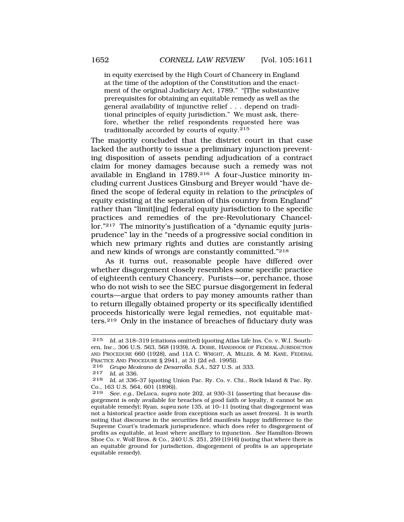in equity exercised by the High Court of Chancery in England at the time of the adoption of the Constitution and the enactment of the original Judiciary Act, 1789." "[T]he substantive prerequisites for obtaining an equitable remedy as well as the general availability of injunctive relief . . . depend on traditional principles of equity jurisdiction." We must ask, therefore, whether the relief respondents requested here was traditionally accorded by courts of equity.<sup>215</sup>

The majority concluded that the district court in that case lacked the authority to issue a preliminary injunction preventing disposition of assets pending adjudication of a contract claim for money damages because such a remedy was not available in England in 1789.216 A four-Justice minority including current Justices Ginsburg and Breyer would "have defined the scope of federal equity in relation to the *principles* of equity existing at the separation of this country from England" rather than "limit[ing] federal equity jurisdiction to the specific practices and remedies of the pre-Revolutionary Chancellor."217 The minority's justification of a "dynamic equity jurisprudence" lay in the "needs of a progressive social condition in which new primary rights and duties are constantly arising and new kinds of wrongs are constantly committed."218

As it turns out, reasonable people have differed over whether disgorgement closely resembles some specific practice of eighteenth century Chancery. Purists—or, perchance, those who do not wish to see the SEC pursue disgorgement in federal courts—argue that orders to pay money amounts rather than to return illegally obtained property or its specifically identified proceeds historically were legal remedies, not equitable matters.219 Only in the instance of breaches of fiduciary duty was

*Id.* at 336.

<sup>215</sup> *Id.* at 318–319 (citations omitted) (quoting Atlas Life Ins. Co. v. W.I. Southern, Inc., 306 U.S. 563, 568 (1939), A. DOBIE, HANDBOOK OF FEDERAL JURISDICTION AND PROCEDURE 660 (1928), and 11A C. WRIGHT, A. MILLER, & M. KANE, FEDERAL PRACTICE AND PROCEDURE § 2941, at 31 (2d ed. 1995)).

<sup>216</sup> *Grupo Mexicano de Desarrollo, S.A.*, 527 U.S. at 333.

<sup>218</sup> *Id.* at 336–37 (quoting Union Pac. Ry. Co. v. Chi., Rock Island & Pac. Ry. Co., 163 U.S. 564, 601 (1896)).<br>219 *See en* DeLuca supra

<sup>219</sup> *See*, *e.g.*, DeLuca, *supra* note 202, at 930–31 (asserting that because disgorgement is only available for breaches of good faith or loyalty, it cannot be an equitable remedy); Ryan, *supra* note 135, at 10–11 (noting that disgorgement was not a historical practice aside from exceptions such as asset freezes). It is worth noting that discourse in the securities field manifests happy indifference to the Supreme Court's trademark jurisprudence, which does refer to disgorgement of profits as equitable, at least where ancillary to injunction. *See* Hamilton-Brown Shoe Co. v. Wolf Bros. & Co., 240 U.S. 251, 259 (1916) (noting that where there is an equitable ground for jurisdiction, disgorgement of profits is an appropriate equitable remedy).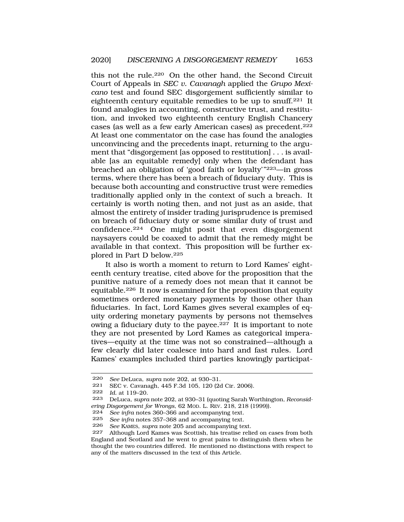this not the rule.220 On the other hand, the Second Circuit Court of Appeals in *SEC v. Cavanagh* applied the *Grupo Mexicano* test and found SEC disgorgement sufficiently similar to eighteenth century equitable remedies to be up to snuff.221 It found analogies in accounting, constructive trust, and restitution, and invoked two eighteenth century English Chancery cases (as well as a few early American cases) as precedent.222 At least one commentator on the case has found the analogies unconvincing and the precedents inapt, returning to the argument that "disgorgement [as opposed to restitution] . . . is available [as an equitable remedy] only when the defendant has breached an obligation of 'good faith or loyalty'"223—in gross terms, where there has been a breach of fiduciary duty. This is because both accounting and constructive trust were remedies traditionally applied only in the context of such a breach. It certainly is worth noting then, and not just as an aside, that almost the entirety of insider trading jurisprudence is premised on breach of fiduciary duty or some similar duty of trust and confidence.224 One might posit that even disgorgement naysayers could be coaxed to admit that the remedy might be available in that context. This proposition will be further explored in Part D below.225

It also is worth a moment to return to Lord Kames' eighteenth century treatise, cited above for the proposition that the punitive nature of a remedy does not mean that it cannot be equitable.226 It now is examined for the proposition that equity sometimes ordered monetary payments by those other than fiduciaries. In fact, Lord Kames gives several examples of equity ordering monetary payments by persons not themselves owing a fiduciary duty to the payee.227 It is important to note they are not presented by Lord Kames as categorical imperatives—equity at the time was not so constrained—although a few clearly did later coalesce into hard and fast rules. Lord Kames' examples included third parties knowingly participat-

<sup>220</sup> *See* DeLuca, *supra* note 202, at 930–31.

<sup>221</sup> SEC v. Cavanagh, 445 F.3d 105, 120 (2d Cir. 2006).

<sup>222</sup> *Id.* at 119–20.

<sup>223</sup> DeLuca, *supra* note 202, at 930–31 (quoting Sarah Worthington, *Reconsidering Disgorgement for Wrongs*, 62 MoD. L. REV. 218, 218 (1999)).<br>224 See infra notes 360–366 and accompanying text.

See infra notes 360-366 and accompanying text.

<sup>225</sup> *See infra notes* 357–368 and accompanying text.<br>226 *See KAMES* sunta note 205 and accompanying te

<sup>226</sup> *See* KAMES, *supra* note 205 and accompanying text.

Although Lord Kames was Scottish, his treatise relied on cases from both England and Scotland and he went to great pains to distinguish them when he thought the two countries differed. He mentioned no distinctions with respect to any of the matters discussed in the text of this Article.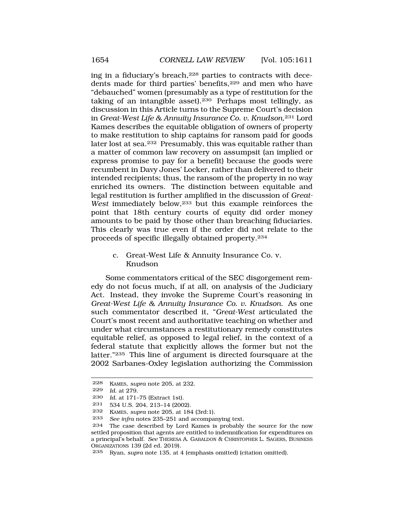ing in a fiduciary's breach,228 parties to contracts with decedents made for third parties' benefits, <sup>229</sup> and men who have "debauched" women (presumably as a type of restitution for the taking of an intangible asset).230 Perhaps most tellingly, as discussion in this Article turns to the Supreme Court's decision in *Great-West Life & Annuity Insurance Co. v. Knudson*,231 Lord Kames describes the equitable obligation of owners of property to make restitution to ship captains for ransom paid for goods later lost at sea.232 Presumably, this was equitable rather than a matter of common law recovery on assumpsit (an implied or express promise to pay for a benefit) because the goods were recumbent in Davy Jones' Locker, rather than delivered to their intended recipients; thus, the ransom of the property in no way enriched its owners. The distinction between equitable and legal restitution is further amplified in the discussion of *Great-West* immediately below,233 but this example reinforces the point that 18th century courts of equity did order money amounts to be paid by those other than breaching fiduciaries. This clearly was true even if the order did not relate to the proceeds of specific illegally obtained property.234

> c. Great-West Life & Annuity Insurance Co. v. Knudson

Some commentators critical of the SEC disgorgement remedy do not focus much, if at all, on analysis of the Judiciary Act. Instead, they invoke the Supreme Court's reasoning in *Great-West Life & Annuity Insurance Co. v. Knudson*. As one such commentator described it, "*Great-West* articulated the Court's most recent and authoritative teaching on whether and under what circumstances a restitutionary remedy constitutes equitable relief, as opposed to legal relief, in the context of a federal statute that explicitly allows the former but not the latter."235 This line of argument is directed foursquare at the 2002 Sarbanes-Oxley legislation authorizing the Commission

<sup>228</sup> KAMES, *supra* note 205, at 232.

<sup>229</sup> *Id.* at 279.

<sup>230</sup> *Id.* at 171–75 (Extract 1st).<br>231 534 U.S. 204, 213–14 (200

<sup>231 534</sup> U.S. 204, 213–14 (2002).

<sup>232</sup> KAMES, *supra* note 205, at 184 (3rd:1).

<sup>233</sup> *See infra* notes 235–251 and accompanying text.

The case described by Lord Kames is probably the source for the now settled proposition that agents are entitled to indemnification for expenditures on a principal's behalf. *See* THERESA A. GABALDON & CHRISTOPHER L. SAGERS, BUSINESS ORGANIZATIONS 139 (2d ed. 2019).

<sup>235</sup> Ryan, *supra* note 135, at 4 (emphasis omitted) (citation omitted).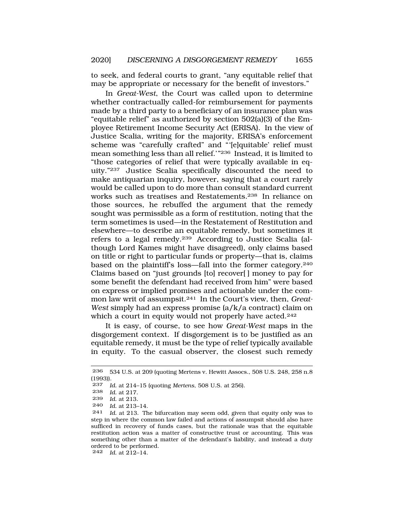to seek, and federal courts to grant, "any equitable relief that may be appropriate or necessary for the benefit of investors."

In *Great-West*, the Court was called upon to determine whether contractually called-for reimbursement for payments made by a third party to a beneficiary of an insurance plan was "equitable relief" as authorized by section 502(a)(3) of the Employee Retirement Income Security Act (ERISA). In the view of Justice Scalia, writing for the majority, ERISA's enforcement scheme was "carefully crafted" and "'[e]quitable' relief must mean something less than all relief.'"236 Instead, it is limited to "those categories of relief that were typically available in equity."237 Justice Scalia specifically discounted the need to make antiquarian inquiry, however, saying that a court rarely would be called upon to do more than consult standard current works such as treatises and Restatements.238 In reliance on those sources, he rebuffed the argument that the remedy sought was permissible as a form of restitution, noting that the term sometimes is used—in the Restatement of Restitution and elsewhere—to describe an equitable remedy, but sometimes it refers to a legal remedy.239 According to Justice Scalia (although Lord Kames might have disagreed), only claims based on title or right to particular funds or property—that is, claims based on the plaintiff's loss—fall into the former category.240 Claims based on "just grounds [to] recover[ ] money to pay for some benefit the defendant had received from him" were based on express or implied promises and actionable under the common law writ of assumpsit.241 In the Court's view, then, *Great-West* simply had an express promise (a/k/a contract) claim on which a court in equity would not properly have acted.<sup>242</sup>

It is easy, of course, to see how *Great-West* maps in the disgorgement context. If disgorgement is to be justified as an equitable remedy, it must be the type of relief typically available in equity. To the casual observer, the closest such remedy

242 *Id.* at 212–14.

<sup>236 534</sup> U.S. at 209 (quoting Mertens v. Hewitt Assocs., 508 U.S. 248, 258 n.8 (1993)).

<sup>237</sup> *Id.* at 214–15 (quoting *Mertens*, 508 U.S. at 256).

<sup>238</sup> *Id.* at 217.

<sup>239</sup>*Id.* at 213*.* 240 *Id.* at 213–14.

<sup>241</sup> *Id.* at 213. The bifurcation may seem odd, given that equity only was to step in where the common law failed and actions of assumpsit should also have sufficed in recovery of funds cases, but the rationale was that the equitable restitution action was a matter of constructive trust or accounting. This was something other than a matter of the defendant's liability, and instead a duty ordered to be performed.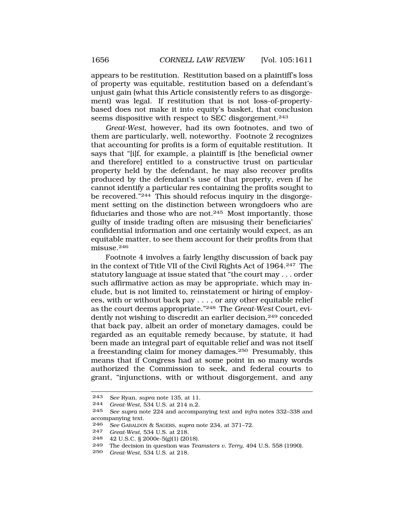appears to be restitution. Restitution based on a plaintiff's loss of property was equitable, restitution based on a defendant's unjust gain (what this Article consistently refers to as disgorgement) was legal. If restitution that is not loss-of-propertybased does not make it into equity's basket, that conclusion seems dispositive with respect to SEC disgorgement.<sup>243</sup>

*Great-West*, however, had its own footnotes, and two of them are particularly, well, noteworthy. Footnote 2 recognizes that accounting for profits is a form of equitable restitution. It says that "[i]f, for example, a plaintiff is [the beneficial owner and therefore] entitled to a constructive trust on particular property held by the defendant, he may also recover profits produced by the defendant's use of that property, even if he cannot identify a particular res containing the profits sought to be recovered."244 This should refocus inquiry in the disgorgement setting on the distinction between wrongdoers who are fiduciaries and those who are not.245 Most importantly, those guilty of inside trading often are misusing their beneficiaries' confidential information and one certainly would expect, as an equitable matter, to see them account for their profits from that misuse.<sup>246</sup>

Footnote 4 involves a fairly lengthy discussion of back pay in the context of Title VII of the Civil Rights Act of 1964.247 The statutory language at issue stated that "the court may . . . order such affirmative action as may be appropriate, which may include, but is not limited to, reinstatement or hiring of employees, with or without back pay . . . , or any other equitable relief as the court deems appropriate."248 The *Great-West* Court, evidently not wishing to discredit an earlier decision,<sup>249</sup> conceded that back pay, albeit an order of monetary damages, could be regarded as an equitable remedy because, by statute, it had been made an integral part of equitable relief and was not itself a freestanding claim for money damages.250 Presumably, this means that if Congress had at some point in so many words authorized the Commission to seek, and federal courts to grant, "injunctions, with or without disgorgement, and any

<sup>243</sup> *See* Ryan, *supra* note 135, at 11.

<sup>244</sup> *Great-West*, 534 U.S. at 214 n.2.

See supra note 224 and accompanying text and *infra* notes 332-338 and accompanying text.

<sup>246</sup> *See* GABALDON & SAGERS, *supra* note 234, at 371–72.

<sup>247</sup> *Great-West*, 534 U.S. at 218.

<sup>248 42</sup> U.S.C. § 2000e-5(g)(1) (2018).

<sup>249</sup> The decision in question was *Teamsters v. Terry*, 494 U.S. 558 (1990).

<sup>250</sup> *Great-West*, 534 U.S. at 218.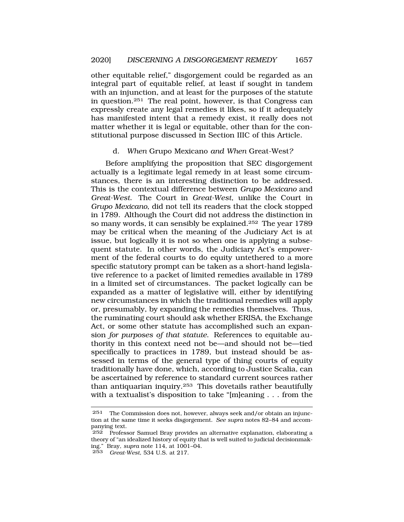other equitable relief," disgorgement could be regarded as an integral part of equitable relief, at least if sought in tandem with an injunction, and at least for the purposes of the statute in question.251 The real point, however, is that Congress can expressly create any legal remedies it likes, so if it adequately has manifested intent that a remedy exist, it really does not matter whether it is legal or equitable, other than for the constitutional purpose discussed in Section IIIC of this Article.

### d. *When* Grupo Mexicano *and When* Great-West*?*

Before amplifying the proposition that SEC disgorgement actually is a legitimate legal remedy in at least some circumstances, there is an interesting distinction to be addressed. This is the contextual difference between *Grupo Mexicano* and *Great-West*. The Court in *Great-West*, unlike the Court in *Grupo Mexicano*, did not tell its readers that the clock stopped in 1789. Although the Court did not address the distinction in so many words, it can sensibly be explained.252 The year 1789 may be critical when the meaning of the Judiciary Act is at issue, but logically it is not so when one is applying a subsequent statute. In other words, the Judiciary Act's empowerment of the federal courts to do equity untethered to a more specific statutory prompt can be taken as a short-hand legislative reference to a packet of limited remedies available in 1789 in a limited set of circumstances. The packet logically can be expanded as a matter of legislative will, either by identifying new circumstances in which the traditional remedies will apply or, presumably, by expanding the remedies themselves. Thus, the ruminating court should ask whether ERISA, the Exchange Act, or some other statute has accomplished such an expansion *for purposes of that statute*. References to equitable authority in this context need not be—and should not be—tied specifically to practices in 1789, but instead should be assessed in terms of the general type of thing courts of equity traditionally have done, which, according to Justice Scalia, can be ascertained by reference to standard current sources rather than antiquarian inquiry.253 This dovetails rather beautifully with a textualist's disposition to take "[m]eaning . . . from the

<sup>251</sup> The Commission does not, however, always seek and/or obtain an injunction at the same time it seeks disgorgement. *See supra* notes 82–84 and accompanying text.

<sup>252</sup> Professor Samuel Bray provides an alternative explanation, elaborating a theory of "an idealized history of equity that is well suited to judicial decisionmaking." Bray, *supra* note 114, at 1001–04.

<sup>253</sup> *Great-West*, 534 U.S. at 217.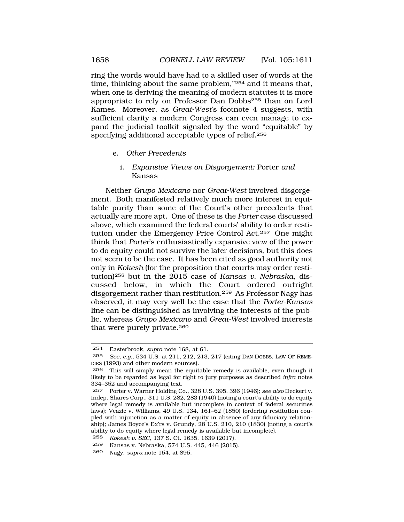ring the words would have had to a skilled user of words at the time, thinking about the same problem,"254 and it means that, when one is deriving the meaning of modern statutes it is more appropriate to rely on Professor Dan Dobbs255 than on Lord Kames. Moreover, as *Great-West*'s footnote 4 suggests, with sufficient clarity a modern Congress can even manage to expand the judicial toolkit signaled by the word "equitable" by specifying additional acceptable types of relief.256

- e. *Other Precedents* 
	- i. *Expansive Views on Disgorgement:* Porter *and*  Kansas

Neither *Grupo Mexicano* nor *Great-West* involved disgorgement. Both manifested relatively much more interest in equitable purity than some of the Court's other precedents that actually are more apt. One of these is the *Porter* case discussed above, which examined the federal courts' ability to order restitution under the Emergency Price Control Act.257 One might think that *Porter*'s enthusiastically expansive view of the power to do equity could not survive the later decisions, but this does not seem to be the case. It has been cited as good authority not only in *Kokesh* (for the proposition that courts may order restitution)258 but in the 2015 case of *Kansas v. Nebraska*, discussed below, in which the Court ordered outright disgorgement rather than restitution.259 As Professor Nagy has observed, it may very well be the case that the *Porter-Kansas*  line can be distinguished as involving the interests of the public, whereas *Grupo Mexicano* and *Great-West* involved interests that were purely private.260

<sup>254</sup> Easterbrook, *supra* note 168, at 61.

<sup>255</sup> *See, e.g.*, 534 U.S. at 211, 212, 213, 217 (citing DAN DOBBS, LAW OF REME-DIES (1993) and other modern sources).

<sup>256</sup> This will simply mean the equitable remedy is available, even though it likely to be regarded as legal for right to jury purposes as described *infra* notes 334–352 and accompanying text.

<sup>257</sup> Porter v. Warner Holding Co., 328 U.S. 395, 396 (1946); *see also* Deckert v. Indep. Shares Corp., 311 U.S. 282, 283 (1940) (noting a court's ability to do equity where legal remedy is available but incomplete in context of federal securities laws); Veazie v. Williams, 49 U.S. 134, 161–62 (1850) (ordering restitution coupled with injunction as a matter of equity in absence of any fiduciary relationship); James Boyce's Ex'rs v. Grundy, 28 U.S. 210, 210 (1830) (noting a court's ability to do equity where legal remedy is available but incomplete).

<sup>258</sup> *Kokesh v. SEC*, 137 S. Ct. 1635, 1639 (2017).

<sup>259</sup> Kansas v. Nebraska, 574 U.S. 445, 446 (2015).

<sup>260</sup> Nagy, *supra* note 154, at 895.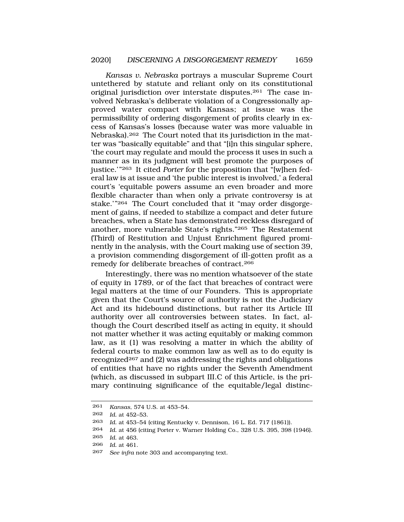*Kansas v. Nebraska* portrays a muscular Supreme Court untethered by statute and reliant only on its constitutional original jurisdiction over interstate disputes.261 The case involved Nebraska's deliberate violation of a Congressionally approved water compact with Kansas; at issue was the permissibility of ordering disgorgement of profits clearly in excess of Kansas's losses (because water was more valuable in Nebraska).262 The Court noted that its jurisdiction in the matter was "basically equitable" and that "[i]n this singular sphere, 'the court may regulate and mould the process it uses in such a manner as in its judgment will best promote the purposes of justice.'"263 It cited *Porter* for the proposition that "[w]hen federal law is at issue and 'the public interest is involved,' a federal court's 'equitable powers assume an even broader and more flexible character than when only a private controversy is at stake.'"264 The Court concluded that it "may order disgorgement of gains, if needed to stabilize a compact and deter future breaches, when a State has demonstrated reckless disregard of another, more vulnerable State's rights."265 The Restatement (Third) of Restitution and Unjust Enrichment figured prominently in the analysis, with the Court making use of section 39, a provision commending disgorgement of ill-gotten profit as a remedy for deliberate breaches of contract.266

Interestingly, there was no mention whatsoever of the state of equity in 1789, or of the fact that breaches of contract were legal matters at the time of our Founders. This is appropriate given that the Court's source of authority is not the Judiciary Act and its hidebound distinctions, but rather its Article III authority over all controversies between states. In fact, although the Court described itself as acting in equity, it should not matter whether it was acting equitably or making common law, as it (1) was resolving a matter in which the ability of federal courts to make common law as well as to do equity is recognized<sup>267</sup> and (2) was addressing the rights and obligations of entities that have no rights under the Seventh Amendment (which, as discussed in subpart III.C of this Article, is the primary continuing significance of the equitable/legal distinc-

<sup>261</sup> *Kansas*, 574 U.S. at 453–54.

<sup>262</sup> *Id.* at 452–53.

<sup>263</sup> *Id.* at 453–54 (citing Kentucky v. Dennison, 16 L. Ed. 717 (1861)).

<sup>264</sup> *Id.* at 456 (citing Porter v. Warner Holding Co., 328 U.S. 395, 398 (1946).

<sup>265</sup> *Id.* at 463.

<sup>266</sup> *Id.* at 461.

<sup>267</sup> *See infra* note 303 and accompanying text.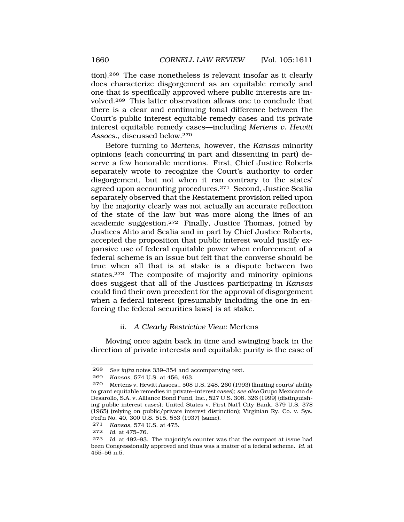tion).268 The case nonetheless is relevant insofar as it clearly does characterize disgorgement as an equitable remedy and one that is specifically approved where public interests are involved.269 This latter observation allows one to conclude that there is a clear and continuing tonal difference between the Court's public interest equitable remedy cases and its private interest equitable remedy cases—including *Mertens v. Hewitt Assocs.*, discussed below.270

Before turning to *Mertens*, however, the *Kansas* minority opinions (each concurring in part and dissenting in part) deserve a few honorable mentions. First, Chief Justice Roberts separately wrote to recognize the Court's authority to order disgorgement, but not when it ran contrary to the states' agreed upon accounting procedures.271 Second, Justice Scalia separately observed that the Restatement provision relied upon by the majority clearly was not actually an accurate reflection of the state of the law but was more along the lines of an academic suggestion.272 Finally, Justice Thomas, joined by Justices Alito and Scalia and in part by Chief Justice Roberts, accepted the proposition that public interest would justify expansive use of federal equitable power when enforcement of a federal scheme is an issue but felt that the converse should be true when all that is at stake is a dispute between two states.273 The composite of majority and minority opinions does suggest that all of the Justices participating in *Kansas*  could find their own precedent for the approval of disgorgement when a federal interest (presumably including the one in enforcing the federal securities laws) is at stake.

## ii. *A Clearly Restrictive View:* Mertens

Moving once again back in time and swinging back in the direction of private interests and equitable purity is the case of

<sup>268</sup> *See infra* notes 339–354 and accompanying text.

<sup>269</sup> *Kansas*, 574 U.S. at 456, 463.

<sup>270</sup> Mertens v. Hewitt Assocs., 508 U.S. 248, 260 (1993) (limiting courts' ability to grant equitable remedies in private–interest cases); *see also* Grupo Mexicano de Desarollo, S.A. v. Alliance Bond Fund, Inc., 527 U.S. 308, 326 (1999) (distinguishing public interest cases); United States v. First Nat'l City Bank, 379 U.S. 378 (1965) (relying on public/private interest distinction); Virginian Ry. Co. v. Sys. Fed'n No. 40, 300 U.S. 515, 553 (1937) (same).

<sup>271</sup> *Kansas*, 574 U.S. at 475.

<sup>272</sup> *Id.* at 475–76.

<sup>273</sup> *Id.* at 492–93. The majority's counter was that the compact at issue had been Congressionally approved and thus was a matter of a federal scheme. *Id.* at 455–56 n.5.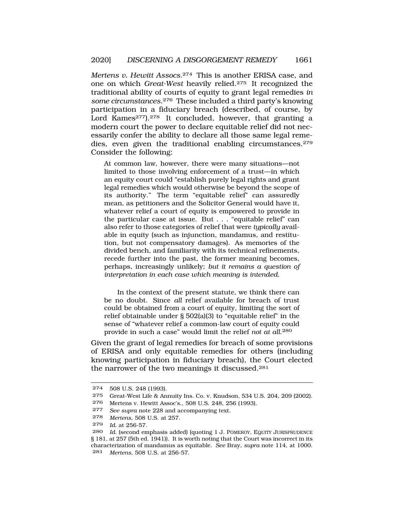*Mertens v. Hewitt Assocs*.274 This is another ERISA case, and one on which *Great-West* heavily relied.275 It recognized the traditional ability of courts of equity to grant legal remedies *in some circumstances*.276 These included a third party's knowing participation in a fiduciary breach (described, of course, by Lord Kames<sup>277</sup>).<sup>278</sup> It concluded, however, that granting a modern court the power to declare equitable relief did not necessarily confer the ability to declare all those same legal remedies, even given the traditional enabling circumstances.279 Consider the following:

At common law, however, there were many situations—not limited to those involving enforcement of a trust—in which an equity court could "establish purely legal rights and grant legal remedies which would otherwise be beyond the scope of its authority." The term "equitable relief" can assuredly mean, as petitioners and the Solicitor General would have it, whatever relief a court of equity is empowered to provide in the particular case at issue. But . . . "equitable relief" can also refer to those categories of relief that were *typically* available in equity (such as injunction, mandamus, and restitution, but not compensatory damages). As memories of the divided bench, and familiarity with its technical refinements, recede further into the past, the former meaning becomes, perhaps, increasingly unlikely; *but it remains a question of interpretation in each case which meaning is intended*.

In the context of the present statute, we think there can be no doubt. Since *all* relief available for breach of trust could be obtained from a court of equity, limiting the sort of relief obtainable under § 502(a)(3) to "equitable relief" in the sense of "whatever relief a common-law court of equity could provide in such a case" would limit the relief *not at all*.<sup>280</sup>

Given the grant of legal remedies for breach of some provisions of ERISA and only equitable remedies for others (including knowing participation in fiduciary breach), the Court elected the narrower of the two meanings it discussed.281

<sup>274 508</sup> U.S. 248 (1993).

<sup>275</sup> Great-West Life & Annuity Ins. Co. v. Knudson, 534 U.S. 204, 209 (2002).

<sup>276</sup> Mertens v. Hewitt Assoc's., 508 U.S. 248, 256 (1993).

<sup>277</sup> *See supra* note 228 and accompanying text.

<sup>278</sup> *Mertens*, 508 U.S. at 257.

<sup>279</sup> *Id.* at 256-57.

<sup>280</sup> *Id.* (second emphasis added) (quoting 1 J. POMEROY, EQUITY JURISPRUDENCE § 181, at 257 (5th ed. 1941)). It is worth noting that the Court was incorrect in its characterization of mandamus as equitable. *See* Bray, *supra* note 114, at 1000. 281 *Mertens*, 508 U.S. at 256-57.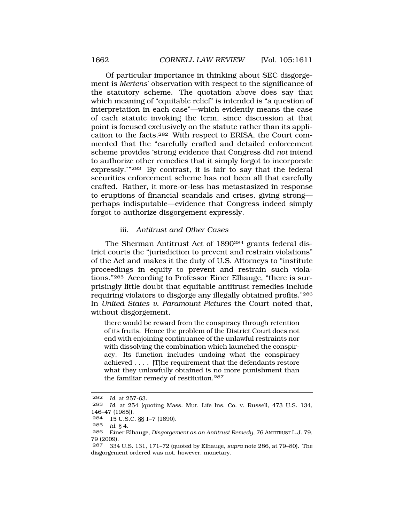Of particular importance in thinking about SEC disgorgement is *Mertens*' observation with respect to the significance of the statutory scheme. The quotation above does say that which meaning of "equitable relief" is intended is "a question of interpretation in each case"—which evidently means the case of each statute invoking the term, since discussion at that point is focused exclusively on the statute rather than its application to the facts.282 With respect to ERISA, the Court commented that the "carefully crafted and detailed enforcement scheme provides 'strong evidence that Congress did *not* intend to authorize other remedies that it simply forgot to incorporate expressly.'"283 By contrast, it is fair to say that the federal securities enforcement scheme has not been all that carefully crafted. Rather, it more-or-less has metastasized in response to eruptions of financial scandals and crises, giving strong perhaps indisputable—evidence that Congress indeed simply forgot to authorize disgorgement expressly.

## iii. *Antitrust and Other Cases*

The Sherman Antitrust Act of 1890284 grants federal district courts the "jurisdiction to prevent and restrain violations" of the Act and makes it the duty of U.S. Attorneys to "institute proceedings in equity to prevent and restrain such violations."285 According to Professor Einer Elhauge, "there is surprisingly little doubt that equitable antitrust remedies include requiring violators to disgorge any illegally obtained profits."286 In *United States v. Paramount Pictures* the Court noted that, without disgorgement,

there would be reward from the conspiracy through retention of its fruits. Hence the problem of the District Court does not end with enjoining continuance of the unlawful restraints nor with dissolving the combination which launched the conspiracy. Its function includes undoing what the conspiracy achieved . . . . [T]he requirement that the defendants restore what they unlawfully obtained is no more punishment than the familiar remedy of restitution.<sup>287</sup>

<sup>282</sup> *Id.* at 257-63.

<sup>283</sup> *Id.* at 254 (quoting Mass. Mut. Life Ins. Co. v. Russell, 473 U.S. 134, 146–47 (1985)).

<sup>284 15</sup> U.S.C. §§ 1–7 (1890).

<sup>285</sup> *Id.* § 4.

<sup>286</sup> Einer Elhauge, *Disgorgement as an Antitrust Remedy*, 76 ANTITRUST L.J. 79, 79 (2009).

<sup>287 334</sup> U.S. 131, 171–72 (quoted by Elhauge, *supra* note 286, at 79–80). The disgorgement ordered was not, however, monetary.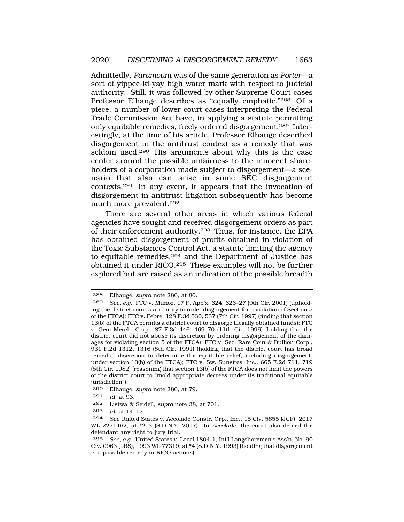Admittedly, *Paramount* was of the same generation as *Porter*—a sort of yippee-ki-yay high water mark with respect to judicial authority. Still, it was followed by other Supreme Court cases Professor Elhauge describes as "equally emphatic."288 Of a piece, a number of lower court cases interpreting the Federal Trade Commission Act have, in applying a statute permitting only equitable remedies, freely ordered disgorgement.289 Interestingly, at the time of his article, Professor Elhauge described disgorgement in the antitrust context as a remedy that was seldom used.290 His arguments about why this is the case center around the possible unfairness to the innocent shareholders of a corporation made subject to disgorgement—a scenario that also can arise in some SEC disgorgement contexts.291 In any event, it appears that the invocation of disgorgement in antitrust litigation subsequently has become much more prevalent.292

There are several other areas in which various federal agencies have sought and received disgorgement orders as part of their enforcement authority.293 Thus, for instance, the EPA has obtained disgorgement of profits obtained in violation of the Toxic Substances Control Act, a statute limiting the agency to equitable remedies,294 and the Department of Justice has obtained it under RICO.295 These examples will not be further explored but are raised as an indication of the possible breadth

290 Elhauge, *supra* note 286, at 79.

<sup>288</sup> Elhauge, *supra* note 286, at 80.

<sup>289</sup> *See, e.g.*, FTC v. Munoz, 17 F. App'x. 624, 626–27 (9th Cir. 2001) (upholding the district court's authority to order disgorgement for a violation of Section 5 of the FTCA); FTC v. Febre, 128 F.3d 530, 537 (7th Cir. 1997) (finding that section 13(b) of the FTCA permits a district court to disgorge illegally obtained funds); FTC v. Gem Merch. Corp., 87 F.3d 446, 469–70 (11th Cir. 1996) (holding that the district court did not abuse its discretion by ordering disgorgement of the damages for violating section 5 of the FTCA); FTC v. Sec. Rare Coin & Bullion Corp., 931 F.2d 1312, 1316 (8th Cir. 1991) (holding that the district court has broad remedial discretion to determine the equitable relief, including disgorgement, under section 13(b) of the FTCA); FTC v. Sw. Sunsites, Inc., 665 F.2d 711, 719 (5th Cir. 1982) (reasoning that section 13(b) of the FTCA does not limit the powers of the district court to "mold appropriate decrees under its traditional equitable jurisdiction").

<sup>291</sup> *Id.* at 93.

<sup>292</sup> Listwa & Seidell, *supra* note 38, at 701.

<sup>293</sup> *Id.* at 14–17.

<sup>294</sup> *See* United States v. Accolade Constr. Grp., Inc., 15 Civ. 5855 (JCF), 2017 WL 2271462, at \*2–3 (S.D.N.Y. 2017). In *Accolade*, the court also denied the defendant any right to jury trial.

<sup>295</sup> *See, e.g.*, United States v. Local 1804-1, Int'l Longshoremen's Ass'n, No. 90 Civ. 0963 (LBS), 1993 WL 77319, at \*4 (S.D.N.Y. 1993) (holding that disgorgement is a possible remedy in RICO actions).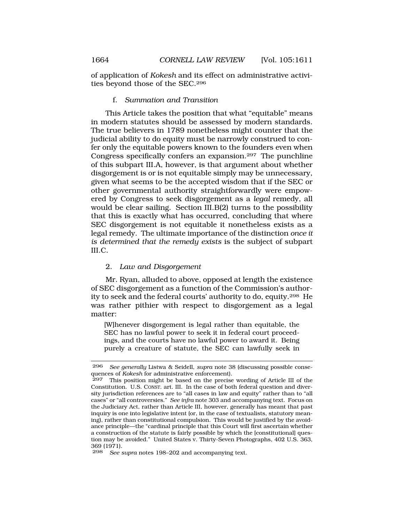of application of *Kokesh* and its effect on administrative activities beyond those of the SEC.296

f. *Summation and Transition* 

This Article takes the position that what "equitable" means in modern statutes should be assessed by modern standards. The true believers in 1789 nonetheless might counter that the judicial ability to do equity must be narrowly construed to confer only the equitable powers known to the founders even when Congress specifically confers an expansion.297 The punchline of this subpart III.A, however, is that argument about whether disgorgement is or is not equitable simply may be unnecessary, given what seems to be the accepted wisdom that if the SEC or other governmental authority straightforwardly were empowered by Congress to seek disgorgement as a *legal* remedy, all would be clear sailing. Section III.B(2) turns to the possibility that this is exactly what has occurred, concluding that where SEC disgorgement is not equitable it nonetheless exists as a legal remedy. The ultimate importance of the distinction *once it is determined that the remedy exists* is the subject of subpart III.C.

# 2. *Law and Disgorgement*

Mr. Ryan, alluded to above, opposed at length the existence of SEC disgorgement as a function of the Commission's authority to seek and the federal courts' authority to do, equity.298 He was rather pithier with respect to disgorgement as a legal matter:

[W]henever disgorgement is legal rather than equitable, the SEC has no lawful power to seek it in federal court proceedings, and the courts have no lawful power to award it. Being purely a creature of statute, the SEC can lawfully seek in

<sup>296</sup> *See generally* Listwa & Seidell, *supra* note 38 (discussing possible consequences of *Kokesh* for administrative enforcement).

<sup>297</sup> This position might be based on the precise wording of Article III of the Constitution. U.S. CONST. art. III. In the case of both federal question and diversity jurisdiction references are to "all cases in law and equity" rather than to "all cases" or "all controversies." *See infra* note 303 and accompanying text. Focus on the Judiciary Act, rather than Article III, however, generally has meant that past inquiry is one into legislative intent (or, in the case of textualists, statutory meaning), rather than constitutional compulsion. This would be justified by the avoidance principle—the "cardinal principle that this Court will first ascertain whether a construction of the statute is fairly possible by which the [constitutional] question may be avoided." United States v. Thirty-Seven Photographs, 402 U.S. 363, 369 (1971).<br>298 See

See supra notes 198-202 and accompanying text.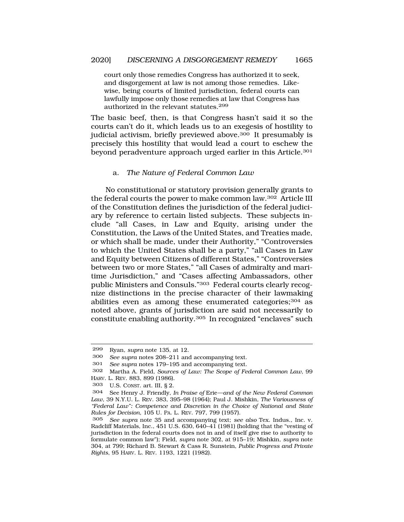court only those remedies Congress has authorized it to seek, and disgorgement at law is not among those remedies. Likewise, being courts of limited jurisdiction, federal courts can lawfully impose only those remedies at law that Congress has authorized in the relevant statutes.<sup>299</sup>

The basic beef, then, is that Congress hasn't said it so the courts can't do it, which leads us to an exegesis of hostility to judicial activism, briefly previewed above.<sup>300</sup> It presumably is precisely this hostility that would lead a court to eschew the beyond peradventure approach urged earlier in this Article.<sup>301</sup>

#### a. *The Nature of Federal Common Law*

No constitutional or statutory provision generally grants to the federal courts the power to make common law.302 Article III of the Constitution defines the jurisdiction of the federal judiciary by reference to certain listed subjects. These subjects include "all Cases, in Law and Equity, arising under the Constitution, the Laws of the United States, and Treaties made, or which shall be made, under their Authority," "Controversies to which the United States shall be a party," "all Cases in Law and Equity between Citizens of different States," "Controversies between two or more States," "all Cases of admiralty and maritime Jurisdiction," and "Cases affecting Ambassadors, other public Ministers and Consuls."303 Federal courts clearly recognize distinctions in the precise character of their lawmaking abilities even as among these enumerated categories;<sup>304</sup> as noted above, grants of jurisdiction are said not necessarily to constitute enabling authority.305 In recognized "enclaves" such

<sup>299</sup> Ryan, *supra* note 135, at 12.

<sup>300</sup> *See supra* notes 208–211 and accompanying text.

<sup>301</sup> *See supra* notes 179–195 and accompanying text.

<sup>302</sup> Martha A. Field, *Sources of Law: The Scope of Federal Common Law*, 99 HARV. L. REV. 883, 899 (1986).

<sup>303</sup> U.S. CONST. art. III, § 2.

<sup>304</sup> See Henry J. Friendly, *In Praise of* Erie*—and of the New Federal Common Law*, 39 N.Y.U. L. REV. 383, 395–98 (1964); Paul J. Mishkin, *The Variousness of "Federal Law": Competence and Discretion in the Choice of National and State Rules for Decision*, 105 U. PA. L. REV. 797, 799 (1957).

<sup>305</sup> *See supra* note 35 and accompanying text; *see also* Tex. Indus., Inc. v. Radcliff Materials, Inc., 451 U.S. 630, 640–41 (1981) (holding that the "vesting of jurisdiction in the federal courts does not in and of itself give rise to authority to formulate common law"); Field, *supra* note 302, at 915–19; Mishkin, *supra* note 304, at 799; Richard B. Stewart & Cass R. Sunstein, *Public Progress and Private Rights*, 95 HARV. L. REV. 1193, 1221 (1982).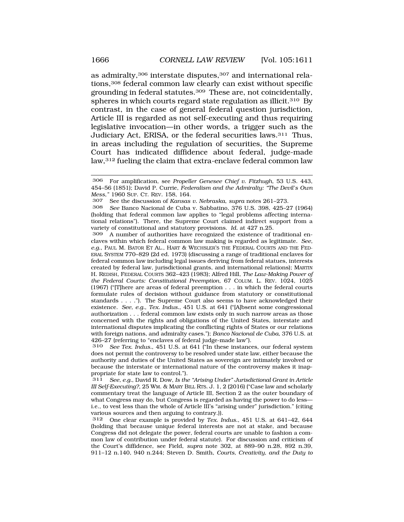as admiralty,<sup>306</sup> interstate disputes,<sup>307</sup> and international relations,308 federal common law clearly can exist without specific grounding in federal statutes.309 These are, not coincidentally, spheres in which courts regard state regulation as illicit.<sup>310</sup> By contrast, in the case of general federal question jurisdiction, Article III is regarded as not self-executing and thus requiring legislative invocation—in other words, a trigger such as the Judiciary Act, ERISA, or the federal securities laws.311 Thus, in areas including the regulation of securities, the Supreme Court has indicated diffidence about federal, judge-made law,312 fueling the claim that extra-enclave federal common law

307 See the discussion of *Kansas v. Nebraska*, *supra* notes 261–273.

308 *See* Banco Nacional de Cuba v. Sabbatino, 376 U.S. 398, 425–27 (1964) (holding that federal common law applies to "legal problems affecting international relations"). There, the Supreme Court claimed indirect support from a variety of constitutional and statutory provisions. *Id.* at 427 n.25.

309 A number of authorities have recognized the existence of traditional enclaves within which federal common law making is regarded as legitimate. *See, e.g.*, PAUL M. BATOR ET AL., HART & WECHSLER'S THE FEDERAL COURTS AND THE FED-ERAL SYSTEM 770–829 (2d ed. 1973) (discussing a range of traditional enclaves for federal common law including legal issues deriving from federal statues, interests created by federal law, jurisdictional grants, and international relations); MARTIN H. REDISH, FEDERAL COURTS 362–423 (1983); Alfred Hill, *The Law-Making Power of the Federal Courts: Constitutional Preemption*, 67 COLUM. L. REV. 1024, 1025 (1967) ("[T]here are areas of federal preemption . . . in which the federal courts formulate rules of decision without guidance from statutory or constitutional standards . . . ."). The Supreme Court also seems to have acknowledged their existence. *See, e.g.*, *Tex. Indus.*, 451 U.S. at 641 ("[A]bsent some congressional authorization . . . federal common law exists only in such narrow areas as those concerned with the rights and obligations of the United States, interstate and international disputes implicating the conflicting rights of States or our relations with foreign nations, and admiralty cases."); *Banco Nacional de Cuba*, 376 U.S. at 426–27 (referring to "enclaves of federal judge-made law").<br> $310$  See Tex Indus, 451 U.S. at 641 ("In these instance

See Tex. Indus., 451 U.S. at 641 ("In these instances, our federal system does not permit the controversy to be resolved under state law, either because the authority and duties of the United States as sovereign are intimately involved or because the interstate or international nature of the controversy makes it inappropriate for state law to control.").

311 *See, e.g.*, David R. Dow, *Is the "Arising Under" Jurisdictional Grant in Article III Self-Executing?*, 25 WM. & MARY BILL RTS. J. 1, 2 (2016) ("Case law and scholarly commentary treat the language of Article III, Section 2 as the outer boundary of what Congress may do, but Congress is regarded as having the power to do less i.e., to vest less than the whole of Article III's "arising under" jurisdiction." (citing various sources and then arguing to contrary.)).

312 One clear example is provided by *Tex. Indus.*, 451 U.S. at 641–42, 644 (holding that because unique federal interests are not at stake, and because Congress did not delegate the power, federal courts are unable to fashion a common law of contribution under federal statute). For discussion and criticism of the Court's diffidence, see Field, *supra* note 302, at 889–90 n.28, 892 n.39, 911–12 n.140, 940 n.244; Steven D. Smith, *Courts, Creativity, and the Duty to* 

<sup>306</sup> For amplification, see *Propeller Genesee Chief v. Fitzhugh*, 53 U.S. 443, 454–56 (1851); David P. Currie, *Federalism and the Admiralty: "The Devil's Own Mess*,<sup>"</sup> 1960 SUP. CT. REV. 158, 164.<br>307 See the discussion of Kansas.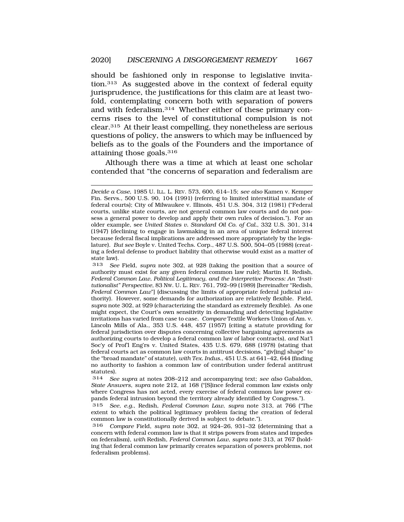should be fashioned only in response to legislative invitation.313 As suggested above in the context of federal equity jurisprudence, the justifications for this claim are at least twofold, contemplating concern both with separation of powers and with federalism.314 Whether either of these primary concerns rises to the level of constitutional compulsion is not clear.315 At their least compelling, they nonetheless are serious questions of policy, the answers to which may be influenced by beliefs as to the goals of the Founders and the importance of attaining those goals.316

Although there was a time at which at least one scholar contended that "the concerns of separation and federalism are

313 *See* Field, *supra* note 302, at 928 (taking the position that a source of authority must exist for any given federal common law rule); Martin H. Redish, *Federal Common Law, Political Legitimacy, and the Interpretive Process: An "Institutionalist" Perspective*, 83 NW. U. L. REV. 761, 792–99 (1989) [hereinafter "Redish, *Federal Common Law*"] (discussing the limits of appropriate federal judicial authority). However, some demands for authorization are relatively flexible. Field, *supra* note 302, at 929 (characterizing the standard as extremely flexible). As one might expect, the Court's own sensitivity in demanding and detecting legislative invitations has varied from case to case. *Compare* Textile Workers Union of Am. v. Lincoln Mills of Ala., 353 U.S. 448, 457 (1957) (citing a statute providing for federal jurisdiction over disputes concerning collective bargaining agreements as authorizing courts to develop a federal common law of labor contracts), *and* Nat'l Soc'y of Prof'l Eng'rs v. United States, 435 U.S. 679, 688 (1978) (stating that federal courts act as common law courts in antitrust decisions, "giv[ing] shape" to the "broad mandate" of statute), *with Tex. Indus.*, 451 U.S. at 641–42, 644 (finding no authority to fashion a common law of contribution under federal antitrust statutes).

314 *See supra* at notes 208–212 and accompanying text; *see also* Gabaldon, *State Answers*, *supra* note 212, at 168 ("[S]ince federal common law exists only where Congress has not acted, every exercise of federal common law power expands federal intrusion beyond the territory already identified by Congress.").

315 *See, e.g.*, Redish, *Federal Common Law*, *supra* note 313, at 766 ("The extent to which the political legitimacy problem facing the creation of federal common law is constitutionally derived is subject to debate.").

316 *Compare* Field, *supra* note 302, at 924–26, 931–32 (determining that a concern with federal common law is that it strips powers from states and impedes on federalism), *with* Redish, *Federal Common Law*, *supra* note 313, at 767 (holding that federal common law primarily creates separation of powers problems, not federalism problems).

*Decide a Case*, 1985 U. ILL. L. REV. 573, 600, 614–15; *see also* Kamen v. Kemper Fin. Servs., 500 U.S. 90, 104 (1991) (referring to limited interstitial mandate of federal courts); City of Milwaukee v. Illinois, 451 U.S. 304, 312 (1981) ("Federal courts, unlike state courts, are not general common law courts and do not possess a general power to develop and apply their own rules of decision."). For an older example, see *United States v. Standard Oil Co. of Cal.*, 332 U.S. 301, 314 (1947) (declining to engage in lawmaking in an area of unique federal interest because federal fiscal implications are addressed more appropriately by the legislature). *But see* Boyle v. United Techs. Corp., 487 U.S. 500, 504–05 (1988) (creating a federal defense to product liability that otherwise would exist as a matter of state law).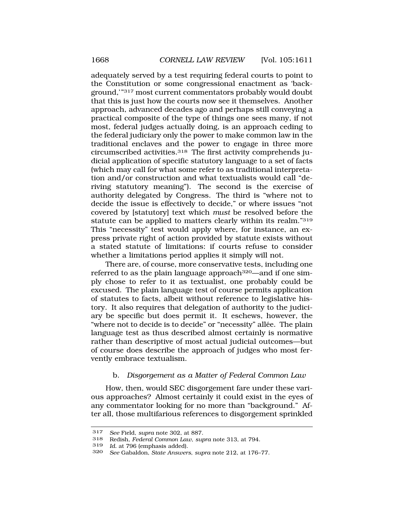adequately served by a test requiring federal courts to point to the Constitution or some congressional enactment as 'background,'"317 most current commentators probably would doubt that this is just how the courts now see it themselves. Another approach, advanced decades ago and perhaps still conveying a practical composite of the type of things one sees many, if not most, federal judges actually doing, is an approach ceding to the federal judiciary only the power to make common law in the traditional enclaves and the power to engage in three more circumscribed activities.318 The first activity comprehends judicial application of specific statutory language to a set of facts (which may call for what some refer to as traditional interpretation and/or construction and what textualists would call "deriving statutory meaning"). The second is the exercise of authority delegated by Congress. The third is "where not to decide the issue is effectively to decide," or where issues "not covered by [statutory] text which *must* be resolved before the statute can be applied to matters clearly within its realm."319 This "necessity" test would apply where, for instance, an express private right of action provided by statute exists without a stated statute of limitations: if courts refuse to consider whether a limitations period applies it simply will not.

There are, of course, more conservative tests, including one referred to as the plain language approach<sup>320</sup>—and if one simply chose to refer to it as textualist, one probably could be excused. The plain language test of course permits application of statutes to facts, albeit without reference to legislative history. It also requires that delegation of authority to the judiciary be specific but does permit it. It eschews, however, the "where not to decide is to decide" or "necessity" allée. The plain language test as thus described almost certainly is normative rather than descriptive of most actual judicial outcomes—but of course does describe the approach of judges who most fervently embrace textualism.

# b. *Disgorgement as a Matter of Federal Common Law*

How, then, would SEC disgorgement fare under these various approaches? Almost certainly it could exist in the eyes of any commentator looking for no more than "background." After all, those multifarious references to disgorgement sprinkled

<sup>317</sup> *See* Field, *supra* note 302, at 887.

<sup>318</sup> Redish, *Federal Common Law*, *supra* note 313, at 794.

<sup>319</sup> *Id.* at 796 (emphasis added).

<sup>320</sup> *See* Gabaldon, *State Answers*, *supra* note 212, at 176–77.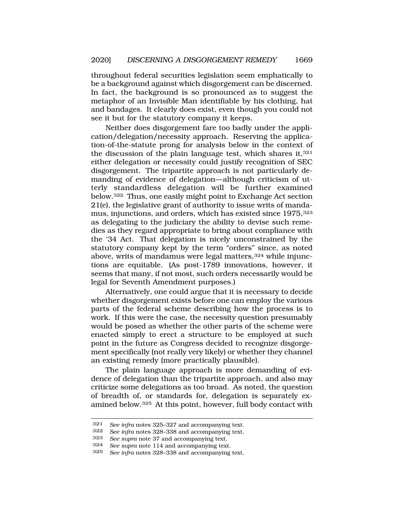throughout federal securities legislation seem emphatically to be a background against which disgorgement can be discerned. In fact, the background is so pronounced as to suggest the metaphor of an Invisible Man identifiable by his clothing, hat and bandages. It clearly does exist, even though you could not see it but for the statutory company it keeps.

Neither does disgorgement fare too badly under the application/delegation/necessity approach. Reserving the application-of-the-statute prong for analysis below in the context of the discussion of the plain language test, which shares it, $321$ either delegation or necessity could justify recognition of SEC disgorgement. The tripartite approach is not particularly demanding of evidence of delegation—although criticism of utterly standardless delegation will be further examined below.322 Thus, one easily might point to Exchange Act section 21(e), the legislative grant of authority to issue writs of mandamus, injunctions, and orders, which has existed since 1975,323 as delegating to the judiciary the ability to devise such remedies as they regard appropriate to bring about compliance with the '34 Act. That delegation is nicely unconstrained by the statutory company kept by the term "orders" since, as noted above, writs of mandamus were legal matters,<sup>324</sup> while injunctions are equitable. (As post-1789 innovations, however, it seems that many, if not most, such orders necessarily would be legal for Seventh Amendment purposes.)

Alternatively, one could argue that it is necessary to decide whether disgorgement exists before one can employ the various parts of the federal scheme describing how the process is to work. If this were the case, the necessity question presumably would be posed as whether the other parts of the scheme were enacted simply to erect a structure to be employed at such point in the future as Congress decided to recognize disgorgement specifically (not really very likely) or whether they channel an existing remedy (more practically plausible).

The plain language approach is more demanding of evidence of delegation than the tripartite approach, and also may criticize some delegations as too broad. As noted, the question of breadth of, or standards for, delegation is separately examined below.325 At this point, however, full body contact with

<sup>321</sup> *See infra* notes 325–327 and accompanying text.

<sup>322</sup> *See infra* notes 328–338 and accompanying text.

<sup>323</sup> *See supra* note 37 and accompanying text.

<sup>324</sup> *See supra* note 114 and accompanying text.

<sup>325</sup> *See infra* notes 328–338 and accompanying text.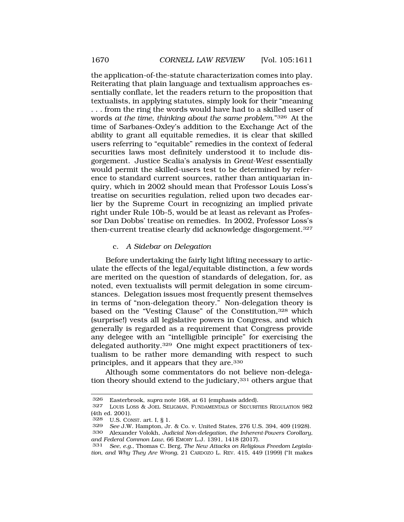the application-of-the-statute characterization comes into play. Reiterating that plain language and textualism approaches essentially conflate, let the readers return to the proposition that textualists, in applying statutes, simply look for their "meaning . . . from the ring the words would have had to a skilled user of words *at the time*, *thinking about the same problem*."326 At the time of Sarbanes-Oxley's addition to the Exchange Act of the ability to grant all equitable remedies, it is clear that skilled users referring to "equitable" remedies in the context of federal securities laws most definitely understood it to include disgorgement. Justice Scalia's analysis in *Great-West* essentially would permit the skilled-users test to be determined by reference to standard current sources, rather than antiquarian inquiry, which in 2002 should mean that Professor Louis Loss's treatise on securities regulation, relied upon two decades earlier by the Supreme Court in recognizing an implied private right under Rule 10b-5, would be at least as relevant as Professor Dan Dobbs' treatise on remedies. In 2002, Professor Loss's then-current treatise clearly did acknowledge disgorgement.<sup>327</sup>

## c. *A Sidebar on Delegation*

Before undertaking the fairly light lifting necessary to articulate the effects of the legal/equitable distinction, a few words are merited on the question of standards of delegation, for, as noted, even textualists will permit delegation in some circumstances. Delegation issues most frequently present themselves in terms of "non-delegation theory." Non-delegation theory is based on the "Vesting Clause" of the Constitution,<sup>328</sup> which (surprise!) vests all legislative powers in Congress, and which generally is regarded as a requirement that Congress provide any delegee with an "intelligible principle" for exercising the delegated authority.329 One might expect practitioners of textualism to be rather more demanding with respect to such principles, and it appears that they are.330

Although some commentators do not believe non-delegation theory should extend to the judiciary,<sup>331</sup> others argue that

<sup>326</sup> Easterbrook, *supra* note 168, at 61 (emphasis added).

<sup>327</sup> LOUIS LOSS & JOEL SELIGMAN, FUNDAMENTALS OF SECURITIES REGULATION 982  $(4th$  ed. 2001).<br>328 IIS Col

U.S. CONST. art. I, § 1.

<sup>329</sup> *See* J.W. Hampton, Jr. & Co. v. United States, 276 U.S. 394, 409 (1928). 330 Alexander Volokh, *Judicial Non-delegation, the Inherent-Powers Corollary,* 

*and Federal Common Law*, 66 EMORY L.J. 1391, 1418 (2017).

<sup>331</sup> *See, e.g.*, Thomas C. Berg, *The New Attacks on Religious Freedom Legislation, and Why They Are Wrong*, 21 CARDOZO L. REV. 415, 449 (1999) ("It makes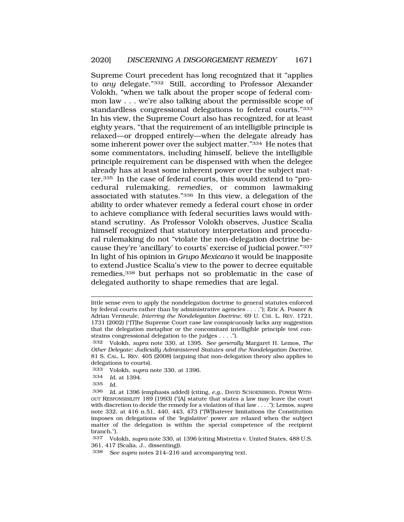Supreme Court precedent has long recognized that it "applies to *any* delegate."332 Still, according to Professor Alexander Volokh, "when we talk about the proper scope of federal common law . . . we're also talking about the permissible scope of standardless congressional delegations to federal courts."333 In his view, the Supreme Court also has recognized, for at least eighty years, "that the requirement of an intelligible principle is relaxed—or dropped entirely—when the delegate already has some inherent power over the subject matter."334 He notes that some commentators, including himself, believe the intelligible principle requirement can be dispensed with when the delegee already has at least some inherent power over the subject matter.335 In the case of federal courts, this would extend to "procedural rulemaking, *remedies*, or common lawmaking associated with statutes."336 In this view, a delegation of the ability to order whatever remedy a federal court chose in order to achieve compliance with federal securities laws would withstand scrutiny. As Professor Volokh observes, Justice Scalia himself recognized that statutory interpretation and procedural rulemaking do not "violate the non-delegation doctrine because they're 'ancillary' to courts' exercise of judicial power."337 In light of his opinion in *Grupo Mexicano* it would be inapposite to extend Justice Scalia's view to the power to decree equitable remedies,338 but perhaps not so problematic in the case of delegated authority to shape remedies that are legal.

little sense even to apply the nondelegation doctrine to general statutes enforced by federal courts rather than by administrative agencies . . . ."); Eric A. Posner & Adrian Vermeule, *Interring the Nondelegation Doctrine*, 69 U. CHI. L. REV. 1721, 1731 (2002) ("[T]he Supreme Court case law conspicuously lacks any suggestion that the delegation metaphor or the concomitant intelligible principle test constrains congressional delegation to the judges . . . .").

<sup>332</sup> Volokh, *supra* note 330, at 1395. *See generally* Margaret H. Lemos, *The Other Delegate: Judicially Administered Statutes and the Nondelegation Doctrine*, 81 S. CAL. L. REV. 405 (2008) (arguing that non-delegation theory also applies to delegations to courts).

<sup>333</sup> Volokh, *supra* note 330, at 1396.

<sup>334</sup> *Id.* at 1394.

<sup>335</sup> *Id.* 

<sup>336</sup> *Id.* at 1396 (emphasis added) (citing, *e.g.*, DAVID SCHOENBROD, POWER WITH-OUT RESPONSIBILITY 189 (1993) ("[A] statute that states a law may leave the court with discretion to decide the remedy for a violation of that law . . . ."); Lemos, *supra*  note 332, at 416 n.51, 440, 443, 473 ("[W]hatever limitations the Constitution imposes on delegations of the 'legislative' power are relaxed when the subject matter of the delegation is within the special competence of the recipient branch.").

<sup>337</sup> Volokh, *supra* note 330, at 1396 (citing Mistretta v. United States, 488 U.S. 361, 417 (Scalia, J., dissenting)).

<sup>338</sup> *See supra* notes 214–216 and accompanying text.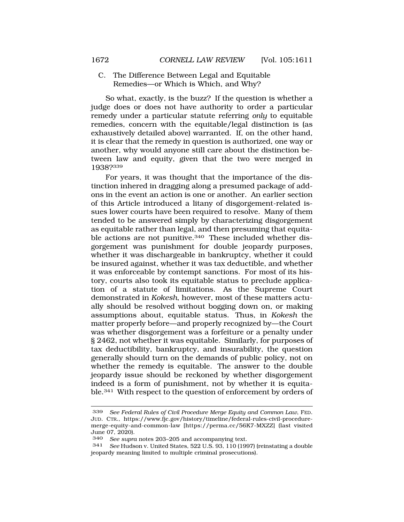C. The Difference Between Legal and Equitable Remedies—or Which is Which, and Why?

So what, exactly, is the buzz? If the question is whether a judge does or does not have authority to order a particular remedy under a particular statute referring *only* to equitable remedies, concern with the equitable/legal distinction is (as exhaustively detailed above) warranted. If, on the other hand, it is clear that the remedy in question is authorized, one way or another, why would anyone still care about the distinction between law and equity, given that the two were merged in 1938?339

For years, it was thought that the importance of the distinction inhered in dragging along a presumed package of addons in the event an action is one or another. An earlier section of this Article introduced a litany of disgorgement-related issues lower courts have been required to resolve. Many of them tended to be answered simply by characterizing disgorgement as equitable rather than legal, and then presuming that equitable actions are not punitive.<sup>340</sup> These included whether disgorgement was punishment for double jeopardy purposes, whether it was dischargeable in bankruptcy, whether it could be insured against, whether it was tax deductible, and whether it was enforceable by contempt sanctions. For most of its history, courts also took its equitable status to preclude application of a statute of limitations. As the Supreme Court demonstrated in *Kokesh*, however, most of these matters actually should be resolved without bogging down on, or making assumptions about, equitable status. Thus, in *Kokesh* the matter properly before—and properly recognized by—the Court was whether disgorgement was a forfeiture or a penalty under § 2462, not whether it was equitable. Similarly, for purposes of tax deductibility, bankruptcy, and insurability, the question generally should turn on the demands of public policy, not on whether the remedy is equitable. The answer to the double jeopardy issue should be reckoned by whether disgorgement indeed is a form of punishment, not by whether it is equitable.341 With respect to the question of enforcement by orders of

<sup>339</sup> *See Federal Rules of Civil Procedure Merge Equity and Common Law*, FED. JUD. CTR., <https://www.fjc.gov/history/timeline/federal-rules-civil-procedure>merge-equity-and-common-law [<https://perma.cc/56K7-MXZZ>] (last visited June 07, 2020).<br>340 See supro

See supra notes 203-205 and accompanying text.

<sup>341</sup> *See* Hudson v. United States, 522 U.S. 93, 110 (1997) (reinstating a double jeopardy meaning limited to multiple criminal prosecutions).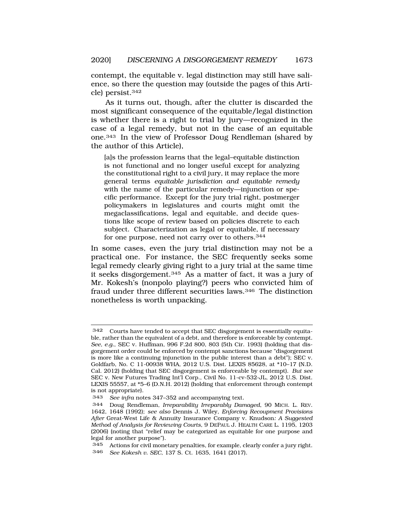contempt, the equitable v. legal distinction may still have salience, so there the question may (outside the pages of this Article) persist.342

As it turns out, though, after the clutter is discarded the most significant consequence of the equitable/legal distinction is whether there is a right to trial by jury—recognized in the case of a legal remedy, but not in the case of an equitable one.343 In the view of Professor Doug Rendleman (shared by the author of this Article),

[a]s the profession learns that the legal–equitable distinction is not functional and no longer useful except for analyzing the constitutional right to a civil jury, it may replace the more general terms *equitable jurisdiction and equitable remedy*  with the name of the particular remedy—injunction or specific performance. Except for the jury trial right, postmerger policymakers in legislatures and courts might omit the megaclassifications, legal and equitable, and decide questions like scope of review based on policies discrete to each subject. Characterization as legal or equitable, if necessary for one purpose, need not carry over to others.<sup>344</sup>

In some cases, even the jury trial distinction may not be a practical one. For instance, the SEC frequently seeks some legal remedy clearly giving right to a jury trial at the same time it seeks disgorgement.345 As a matter of fact, it was a jury of Mr. Kokesh's (nonpolo playing?) peers who convicted him of fraud under three different securities laws.346 The distinction nonetheless is worth unpacking.

<sup>342</sup> Courts have tended to accept that SEC disgorgement is essentially equitable, rather than the equivalent of a debt, and therefore is enforceable by contempt. *See, e.g.*, SEC v. Huffman, 996 F.2d 800, 803 (5th Cir. 1993) (holding that disgorgement order could be enforced by contempt sanctions because "disgorgement is more like a continuing injunction in the public interest than a debt"); SEC v. Goldfarb, No. C 11-00938 WHA, 2012 U.S. Dist. LEXIS 85628, at \*10–17 (N.D. Cal. 2012) (holding that SEC disgorgement is enforceable by contempt). *But see*  SEC v. New Futures Trading Int'l Corp., Civil No. 11-cv-532-JL, 2012 U.S. Dist. LEXIS 55557, at \*5–6 (D.N.H. 2012) (holding that enforcement through contempt is not appropriate).

<sup>343</sup> *See infra* notes 347–352 and accompanying text*.* 

<sup>344</sup> Doug Rendleman, *Irreparability Irreparably Damaged*, 90 MICH. L. REV. 1642, 1648 (1992); *see also* Dennis J. Wiley, *Enforcing Recoupment Provisions After* Great-West Life & Annuity Insurance Company v. Knudson*: A Suggested Method of Analysis for Reviewing Courts*, 9 DEPAUL J. HEALTH CARE L. 1195, 1203 (2006) (noting that "relief may be categorized as equitable for one purpose and legal for another purpose").

<sup>345</sup> Actions for civil monetary penalties, for example, clearly confer a jury right. 346 *See Kokesh v. SEC*, 137 S. Ct. 1635, 1641 (2017).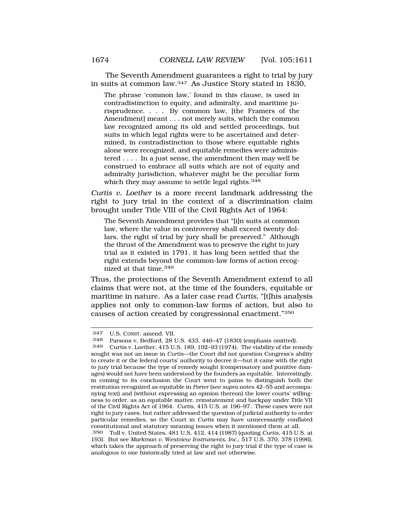The Seventh Amendment guarantees a right to trial by jury in suits at common law.347 As Justice Story stated in 1830,

The phrase 'common law,' found in this clause, is used in contradistinction to equity, and admiralty, and maritime jurisprudence. . . . By common law, [the Framers of the Amendment] meant . . . not merely suits, which the common law recognized among its old and settled proceedings, but suits in which legal rights were to be ascertained and determined, in contradistinction to those where equitable rights alone were recognized, and equitable remedies were administered . . . . In a just sense, the amendment then may well be construed to embrace all suits which are not of equity and admiralty jurisdiction, whatever might be the peculiar form which they may assume to settle legal rights.<sup>348</sup>

*Curtis v. Loether* is a more recent landmark addressing the right to jury trial in the context of a discrimination claim brought under Title VIII of the Civil Rights Act of 1964:

The Seventh Amendment provides that "[i]n suits at common law, where the value in controversy shall exceed twenty dollars, the right of trial by jury shall be preserved." Although the thrust of the Amendment was to preserve the right to jury trial as it existed in 1791, it has long been settled that the right extends beyond the common-law forms of action recognized at that time.<sup>349</sup>

Thus, the protections of the Seventh Amendment extend to all claims that were not, at the time of the founders, equitable or maritime in nature. As a later case read *Curtis*, "[t]his analysis applies not only to common-law forms of action, but also to causes of action created by congressional enactment."350

<sup>347</sup> U.S. CONST. amend. VII.

<sup>348</sup> Parsons v. Bedford, 28 U.S. 433, 446–47 (1830) (emphasis omitted).

Curtis v. Loether, 415 U.S. 189, 192–93 (1974). The viability of the remedy sought was not an issue in *Curtis*—the Court did not question Congress's ability to create it or the federal courts' authority to decree it—but it came with the right to jury trial because the type of remedy sought (compensatory and punitive damages) would not have been understood by the founders as equitable. Interestingly, in coming to its conclusion the Court went to pains to distinguish both the restitution recognized as equitable in *Porter* (s*ee supra* notes 42–55 and accompanying text) and (without expressing an opinion thereon) the lower courts' willingness to order, as an equitable matter, reinstatement and backpay under Title VII of the Civil Rights Act of 1964. *Curtis*, 415 U.S. at 196–97. These cases were not right to jury cases, but rather addressed the question of judicial authority to order particular remedies, so the Court in *Curtis* may have unnecessarily conflated constitutional and statutory meaning issues when it mentioned them at all.

<sup>350</sup> Tull v. United States, 481 U.S. 412, 414 (1987) (quoting *Curtis*, 415 U.S. at 193). But see *Markman v. Westview Instruments, Inc.*, 517 U.S. 370, 378 (1996), which takes the approach of preserving the right to jury trial if the type of case is analogous to one historically tried at law and not otherwise.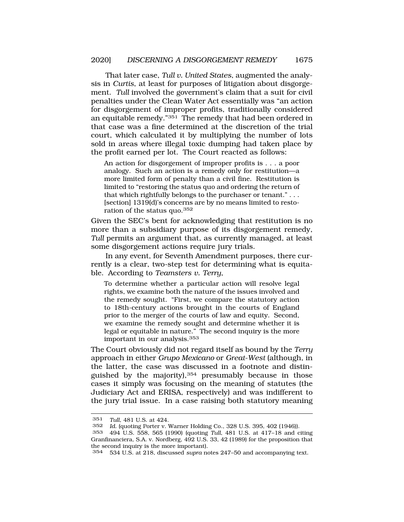That later case, *Tull v. United States*, augmented the analysis in *Curtis*, at least for purposes of litigation about disgorgement. Tull involved the government's claim that a suit for civil penalties under the Clean Water Act essentially was "an action for disgorgement of improper profits, traditionally considered an equitable remedy."351 The remedy that had been ordered in that case was a fine determined at the discretion of the trial court, which calculated it by multiplying the number of lots sold in areas where illegal toxic dumping had taken place by the profit earned per lot. The Court reacted as follows:

An action for disgorgement of improper profits is . . . a poor analogy. Such an action is a remedy only for restitution—a more limited form of penalty than a civil fine. Restitution is limited to "restoring the status quo and ordering the return of that which rightfully belongs to the purchaser or tenant." . . . [section] 1319(d)'s concerns are by no means limited to restoration of the status quo.<sup>352</sup>

Given the SEC's bent for acknowledging that restitution is no more than a subsidiary purpose of its disgorgement remedy, *Tull* permits an argument that, as currently managed, at least some disgorgement actions require jury trials.

In any event, for Seventh Amendment purposes, there currently is a clear, two-step test for determining what is equitable. According to *Teamsters v. Terry*,

To determine whether a particular action will resolve legal rights, we examine both the nature of the issues involved and the remedy sought. "First, we compare the statutory action to 18th-century actions brought in the courts of England prior to the merger of the courts of law and equity. Second, we examine the remedy sought and determine whether it is legal or equitable in nature." The second inquiry is the more important in our analysis.<sup>353</sup>

The Court obviously did not regard itself as bound by the *Terry*  approach in either *Grupo Mexicano* or *Great*-*West* (although, in the latter, the case was discussed in a footnote and distinguished by the majority), $354$  presumably because in those cases it simply was focusing on the meaning of statutes (the Judiciary Act and ERISA, respectively) and was indifferent to the jury trial issue. In a case raising both statutory meaning

<sup>351</sup> *Tull*, 481 U.S. at 424.

Id. (quoting Porter v. Warner Holding Co., 328 U.S. 395, 402 (1946)).

<sup>353 494</sup> U.S. 558, 565 (1990) (quoting *Tull*, 481 U.S. at 417–18 and citing Granfinanciera, S.A. v. Nordberg, 492 U.S. 33, 42 (1989) for the proposition that the second inquiry is the more important).

<sup>354 534</sup> U.S. at 218, discussed *supra* notes 247–50 and accompanying text.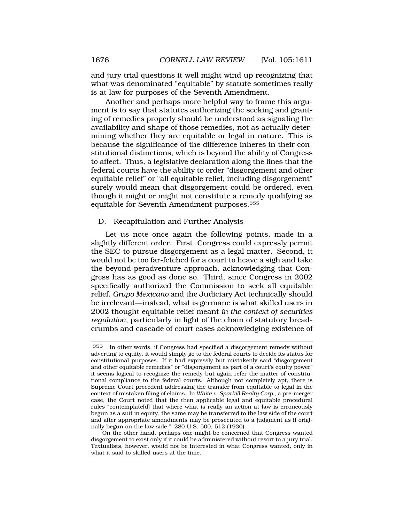and jury trial questions it well might wind up recognizing that what was denominated "equitable" by statute sometimes really is at law for purposes of the Seventh Amendment.

Another and perhaps more helpful way to frame this argument is to say that statutes authorizing the seeking and granting of remedies properly should be understood as signaling the availability and shape of those remedies, not as actually determining whether they are equitable or legal in nature. This is because the significance of the difference inheres in their constitutional distinctions, which is beyond the ability of Congress to affect. Thus, a legislative declaration along the lines that the federal courts have the ability to order "disgorgement and other equitable relief" or "all equitable relief, including disgorgement" surely would mean that disgorgement could be ordered, even though it might or might not constitute a remedy qualifying as equitable for Seventh Amendment purposes.355

## D. Recapitulation and Further Analysis

Let us note once again the following points, made in a slightly different order. First, Congress could expressly permit the SEC to pursue disgorgement as a legal matter. Second, it would not be too far-fetched for a court to heave a sigh and take the beyond-peradventure approach, acknowledging that Congress has as good as done so. Third, since Congress in 2002 specifically authorized the Commission to seek all equitable relief, *Grupo Mexicano* and the Judiciary Act technically should be irrelevant—instead, what is germane is what skilled users in 2002 thought equitable relief meant *in the context of securities regulation*, particularly in light of the chain of statutory breadcrumbs and cascade of court cases acknowledging existence of

On the other hand, perhaps one might be concerned that Congress wanted disgorgement to exist only if it could be administered without resort to a jury trial. Textualists, however, would not be interested in what Congress wanted, only in what it said to skilled users at the time.

<sup>355</sup> In other words, if Congress had specified a disgorgement remedy without adverting to equity, it would simply go to the federal courts to decide its status for constitutional purposes. If it had expressly but mistakenly said "disgorgement and other equitable remedies" or "disgorgement as part of a court's equity power" it seems logical to recognize the remedy but again refer the matter of constitutional compliance to the federal courts. Although not completely apt, there is Supreme Court precedent addressing the transfer from equitable to legal in the context of mistaken filing of claims. In *White v. Sparkill Realty Corp.*, a pre-merger case, the Court noted that the then applicable legal and equitable procedural rules "contemplate[d] that where what is really an action at law is erroneously begun as a suit in equity, the same may be transferred to the law side of the court and after appropriate amendments may be prosecuted to a judgment as if originally begun on the law side." 280 U.S. 500, 512 (1930).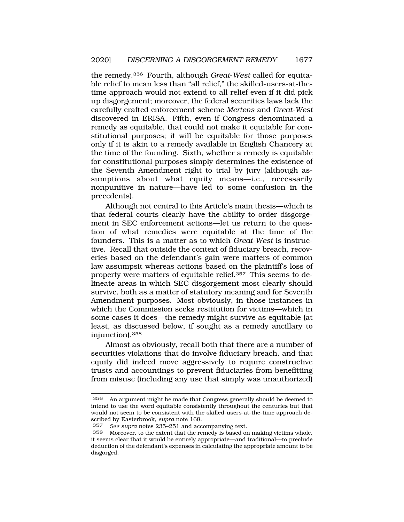the remedy.356 Fourth, although *Great*-*West* called for equitable relief to mean less than "all relief," the skilled-users-at-thetime approach would not extend to all relief even if it did pick up disgorgement; moreover, the federal securities laws lack the carefully crafted enforcement scheme *Mertens* and *Great*-*West*  discovered in ERISA. Fifth, even if Congress denominated a remedy as equitable, that could not make it equitable for constitutional purposes; it will be equitable for those purposes only if it is akin to a remedy available in English Chancery at the time of the founding. Sixth, whether a remedy is equitable for constitutional purposes simply determines the existence of the Seventh Amendment right to trial by jury (although assumptions about what equity means—i.e., necessarily nonpunitive in nature—have led to some confusion in the precedents).

Although not central to this Article's main thesis—which is that federal courts clearly have the ability to order disgorgement in SEC enforcement actions—let us return to the question of what remedies were equitable at the time of the founders. This is a matter as to which *Great*-*West* is instructive. Recall that outside the context of fiduciary breach, recoveries based on the defendant's gain were matters of common law assumpsit whereas actions based on the plaintiff's loss of property were matters of equitable relief.357 This seems to delineate areas in which SEC disgorgement most clearly should survive, both as a matter of statutory meaning and for Seventh Amendment purposes. Most obviously, in those instances in which the Commission seeks restitution for victims—which in some cases it does—the remedy might survive as equitable (at least, as discussed below, if sought as a remedy ancillary to injunction).358

Almost as obviously, recall both that there are a number of securities violations that do involve fiduciary breach, and that equity did indeed move aggressively to require constructive trusts and accountings to prevent fiduciaries from benefitting from misuse (including any use that simply was unauthorized)

<sup>356</sup> An argument might be made that Congress generally should be deemed to intend to use the word equitable consistently throughout the centuries but that would not seem to be consistent with the skilled-users-at-the-time approach described by Easterbrook, *supra* note 168.

<sup>357</sup> *See supra* notes 235–251 and accompanying text.

Moreover, to the extent that the remedy is based on making victims whole, it seems clear that it would be entirely appropriate—and traditional—to preclude deduction of the defendant's expenses in calculating the appropriate amount to be disgorged.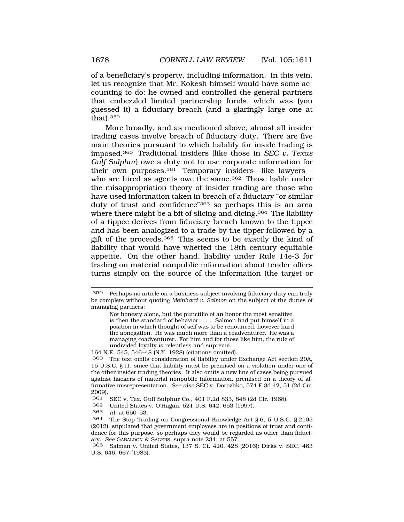of a beneficiary's property, including information. In this vein, let us recognize that Mr. Kokesh himself would have some accounting to do: he owned and controlled the general partners that embezzled limited partnership funds, which was (you guessed it) a fiduciary breach (and a glaringly large one at that).359

More broadly, and as mentioned above, almost all insider trading cases involve breach of fiduciary duty. There are five main theories pursuant to which liability for inside trading is imposed.360 Traditional insiders (like those in *SEC v. Texas Gulf Sulphur*) owe a duty not to use corporate information for their own purposes.361 Temporary insiders—like lawyers who are hired as agents owe the same.<sup>362</sup> Those liable under the misappropriation theory of insider trading are those who have used information taken in breach of a fiduciary "or similar duty of trust and confidence"<sup>363</sup> so perhaps this is an area where there might be a bit of slicing and dicing.<sup>364</sup> The liability of a tippee derives from fiduciary breach known to the tippee and has been analogized to a trade by the tipper followed by a gift of the proceeds.365 This seems to be exactly the kind of liability that would have whetted the 18th century equitable appetite. On the other hand, liability under Rule 14e-3 for trading on material nonpublic information about tender offers turns simply on the source of the information (the target or

Not honesty alone, but the punctilio of an honor the most sensitive, is then the standard of behavior. . . . Salmon had put himself in a position in which thought of self was to be renounced, however hard the abnegation. He was much more than a coadventurer. He was a managing coadventurer. For him and for those like him, the rule of undivided loyalty is relentless and supreme.

<sup>359</sup> Perhaps no article on a business subject involving fiduciary duty can truly be complete without quoting *Meinhard v. Salmon* on the subject of the duties of managing partners:

<sup>164</sup> N.E. 545, 546–48 (N.Y. 1928) (citations omitted).

<sup>360</sup> The text omits consideration of liability under Exchange Act section 20A, 15 U.S.C. § t1, since that liability must be premised on a violation under one of the other insider trading theories. It also omits a new line of cases being pursued against hackers of material nonpublic information, premised on a theory of affirmative misrepresentation. *See also* SEC v. Dorozhko, 574 F.3d 42, 51 (2d Cir. 2009).

<sup>361</sup> SEC v. Tex. Gulf Sulphur Co., 401 F.2d 833, 848 (2d Cir. 1968).

<sup>362</sup> United States v. O'Hagan, 521 U.S. 642, 653 (1997).

<sup>363</sup> *Id.* at 650–53.

<sup>364</sup> The Stop Trading on Congressional Knowledge Act § 6, 5 U.S.C. § 2105 (2012), stipulated that government employees are in positions of trust and confidence for this purpose, so perhaps they would be regarded as other than fiduciary. *See* GABALDON & SAGERS*,* supra note 234, at 557.

<sup>365</sup> Salman v. United States, 137 S. Ct. 420, 428 (2016); Dirks v. SEC, 463 U.S. 646, 667 (1983).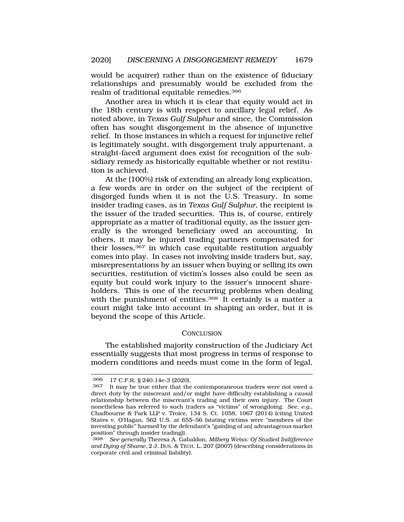would be acquirer) rather than on the existence of fiduciary relationships and presumably would be excluded from the realm of traditional equitable remedies.366

Another area in which it is clear that equity would act in the 18th century is with respect to ancillary legal relief. As noted above, in *Texas Gulf Sulphur* and since, the Commission often has sought disgorgement in the absence of injunctive relief. In those instances in which a request for injunctive relief is legitimately sought, with disgorgement truly appurtenant, a straight-faced argument does exist for recognition of the subsidiary remedy as historically equitable whether or not restitution is achieved.

At the (100%) risk of extending an already long explication, a few words are in order on the subject of the recipient of disgorged funds when it is not the U.S. Treasury. In some insider trading cases, as in *Texas Gulf Sulphur*, the recipient is the issuer of the traded securities. This is, of course, entirely appropriate as a matter of traditional equity, as the issuer generally is the wronged beneficiary owed an accounting. In others, it may be injured trading partners compensated for their losses,367 in which case equitable restitution arguably comes into play. In cases not involving inside traders but, say, misrepresentations by an issuer when buying or selling its own securities, restitution of victim's losses also could be seen as equity but could work injury to the issuer's innocent shareholders. This is one of the recurring problems when dealing with the punishment of entities.<sup>368</sup> It certainly is a matter a court might take into account in shaping an order, but it is beyond the scope of this Article.

#### **CONCLUSION**

The established majority construction of the Judiciary Act essentially suggests that most progress in terms of response to modern conditions and needs must come in the form of legal,

<sup>366 17</sup> C.F.R. § 240.14e-3 (2020).

It may be true either that the contemporaneous traders were not owed a direct duty by the miscreant and/or might have difficulty establishing a causal relationship between the miscreant's trading and their own injury. The Court nonetheless has referred to such traders as "victims" of wrongdoing. *See, e.g.*, Chadbourne & Park LLP v. Troice, 134 S. Ct. 1058, 1067 (2014) (citing United States v. O'Hagan, 562 U.S. at 655–56 (stating victims were "members of the investing public" harmed by the defendant's "gain[ing of an] advantageous market position" through insider trading)).

<sup>368</sup> *See generally* Theresa A. Gabaldon, *Milberg Weiss: Of Studied Indifference and Dying of Shame*, 2 J. BUS. & TECH. L. 207 (2007) (describing considerations in corporate civil and criminal liability).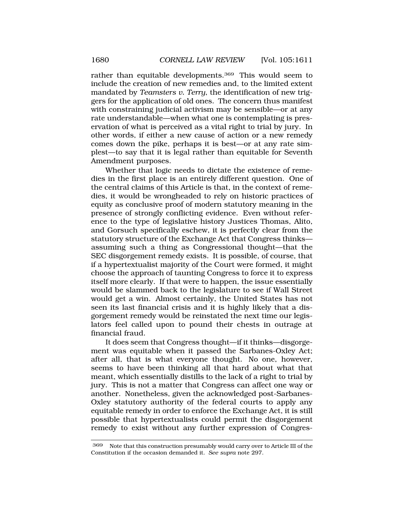rather than equitable developments.369 This would seem to include the creation of new remedies and, to the limited extent mandated by *Teamsters v. Terry*, the identification of new triggers for the application of old ones. The concern thus manifest with constraining judicial activism may be sensible—or at any rate understandable—when what one is contemplating is preservation of what is perceived as a vital right to trial by jury. In other words, if either a new cause of action or a new remedy comes down the pike, perhaps it is best—or at any rate simplest—to say that it is legal rather than equitable for Seventh Amendment purposes.

Whether that logic needs to dictate the existence of remedies in the first place is an entirely different question. One of the central claims of this Article is that, in the context of remedies, it would be wrongheaded to rely on historic practices of equity as conclusive proof of modern statutory meaning in the presence of strongly conflicting evidence. Even without reference to the type of legislative history Justices Thomas, Alito, and Gorsuch specifically eschew, it is perfectly clear from the statutory structure of the Exchange Act that Congress thinks assuming such a thing as Congressional thought—that the SEC disgorgement remedy exists. It is possible, of course, that if a hypertextualist majority of the Court were formed, it might choose the approach of taunting Congress to force it to express itself more clearly. If that were to happen, the issue essentially would be slammed back to the legislature to see if Wall Street would get a win. Almost certainly, the United States has not seen its last financial crisis and it is highly likely that a disgorgement remedy would be reinstated the next time our legislators feel called upon to pound their chests in outrage at financial fraud.

It does seem that Congress thought—if it thinks—disgorgement was equitable when it passed the Sarbanes-Oxley Act; after all, that is what everyone thought. No one, however, seems to have been thinking all that hard about what that meant, which essentially distills to the lack of a right to trial by jury. This is not a matter that Congress can affect one way or another. Nonetheless, given the acknowledged post-Sarbanes-Oxley statutory authority of the federal courts to apply any equitable remedy in order to enforce the Exchange Act, it is still possible that hypertextualists could permit the disgorgement remedy to exist without any further expression of Congres-

<sup>369</sup> Note that this construction presumably would carry over to Article III of the Constitution if the occasion demanded it. *See supra* note 297.